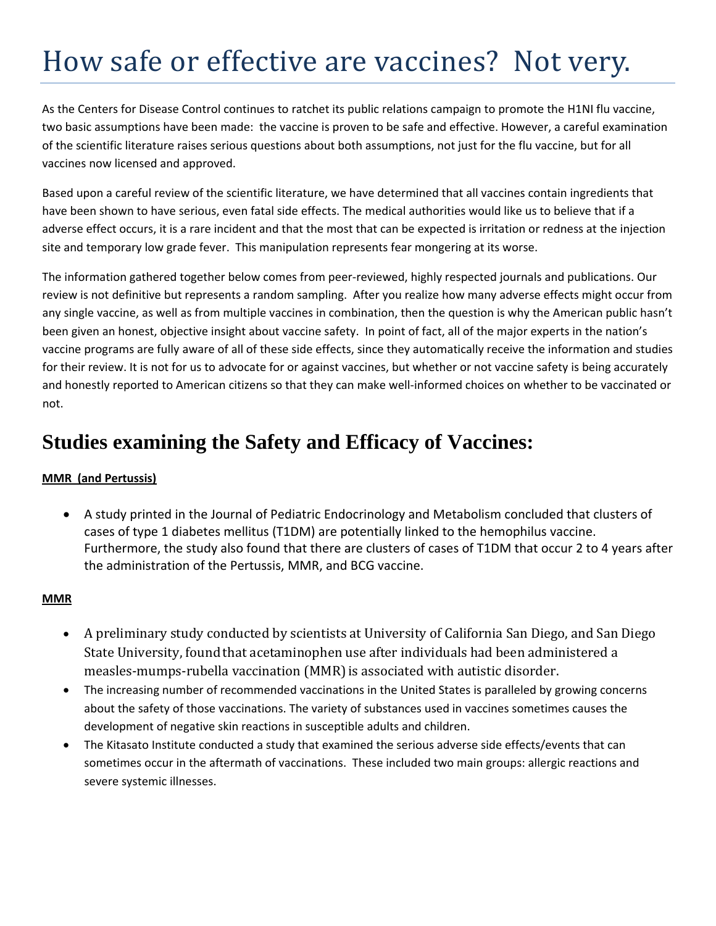# How safe or effective are vaccines? Not very.

As the Centers for Disease Control continues to ratchet its public relations campaign to promote the H1NI flu vaccine, two basic assumptions have been made: the vaccine is proven to be safe and effective. However, a careful examination of the scientific literature raises serious questions about both assumptions, not just for the flu vaccine, but for all vaccines now licensed and approved.

Based upon a careful review of the scientific literature, we have determined that all vaccines contain ingredients that have been shown to have serious, even fatal side effects. The medical authorities would like us to believe that if a adverse effect occurs, it is a rare incident and that the most that can be expected is irritation or redness at the injection site and temporary low grade fever. This manipulation represents fear mongering at its worse.

The information gathered together below comes from peer‐reviewed, highly respected journals and publications. Our review is not definitive but represents a random sampling. After you realize how many adverse effects might occur from any single vaccine, as well as from multiple vaccines in combination, then the question is why the American public hasn't been given an honest, objective insight about vaccine safety. In point of fact, all of the major experts in the nation's vaccine programs are fully aware of all of these side effects, since they automatically receive the information and studies for their review. It is not for us to advocate for or against vaccines, but whether or not vaccine safety is being accurately and honestly reported to American citizens so that they can make well‐informed choices on whether to be vaccinated or not.

## **Studies examining the Safety and Efficacy of Vaccines:**

#### **MMR (and Pertussis)**

• A study printed in the Journal of Pediatric Endocrinology and Metabolism concluded that clusters of cases of type 1 diabetes mellitus (T1DM) are potentially linked to the hemophilus vaccine. Furthermore, the study also found that there are clusters of cases of T1DM that occur 2 to 4 years after the administration of the Pertussis, MMR, and BCG vaccine.

#### **MMR**

- A preliminary study conducted by scientists at University of California San Diego, and San Diego State University, found that acetaminophen use after individuals had been administered a measles-mumps-rubella vaccination (MMR) is associated with autistic disorder.
- The increasing number of recommended vaccinations in the United States is paralleled by growing concerns about the safety of those vaccinations. The variety of substances used in vaccines sometimes causes the development of negative skin reactions in susceptible adults and children.
- The Kitasato Institute conducted a study that examined the serious adverse side effects/events that can sometimes occur in the aftermath of vaccinations. These included two main groups: allergic reactions and severe systemic illnesses.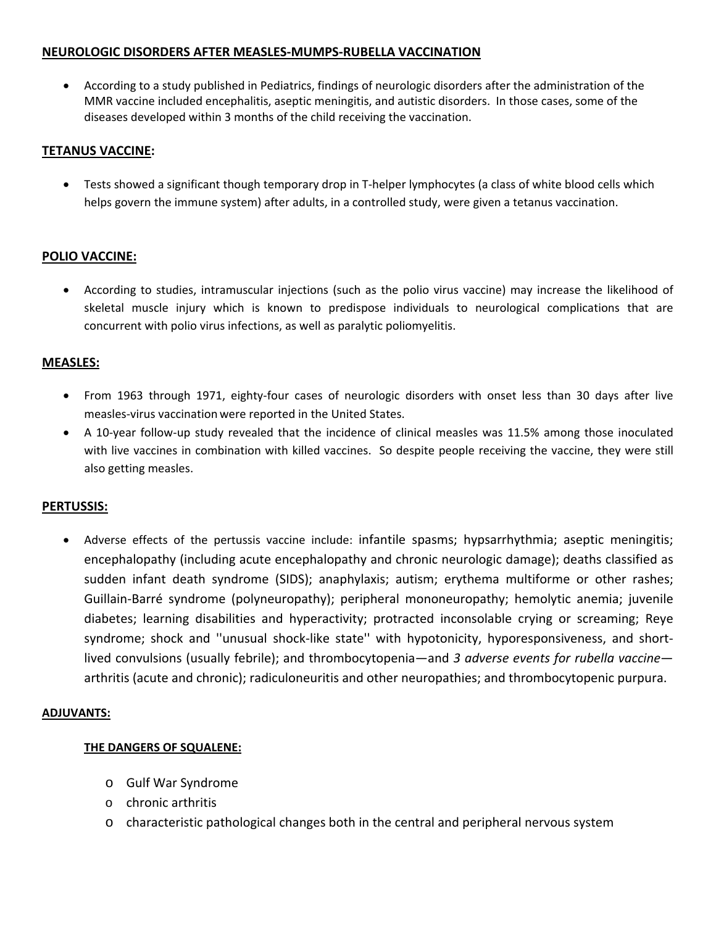#### **NEUROLOGIC DISORDERS AFTER MEASLES‐MUMPS‐RUBELLA VACCINATION**

• According to a study published in Pediatrics, findings of neurologic disorders after the administration of the MMR vaccine included encephalitis, aseptic meningitis, and autistic disorders. In those cases, some of the diseases developed within 3 months of the child receiving the vaccination.

#### **TETANUS VACCINE:**

• Tests showed a significant though temporary drop in T-helper lymphocytes (a class of white blood cells which helps govern the immune system) after adults, in a controlled study, were given a tetanus vaccination.

#### **POLIO VACCINE:**

• According to studies, intramuscular injections (such as the polio virus vaccine) may increase the likelihood of skeletal muscle injury which is known to predispose individuals to neurological complications that are concurrent with polio virus infections, as well as paralytic poliomyelitis.

#### **MEASLES:**

- From 1963 through 1971, eighty-four cases of neurologic disorders with onset less than 30 days after live measles‐virus vaccination were reported in the United States.
- A 10‐year follow‐up study revealed that the incidence of clinical measles was 11.5% among those inoculated with live vaccines in combination with killed vaccines. So despite people receiving the vaccine, they were still also getting measles.

#### **PERTUSSIS:**

• Adverse effects of the pertussis vaccine include: infantile spasms; hypsarrhythmia; aseptic meningitis; encephalopathy (including acute encephalopathy and chronic neurologic damage); deaths classified as sudden infant death syndrome (SIDS); anaphylaxis; autism; erythema multiforme or other rashes; Guillain‐Barré syndrome (polyneuropathy); peripheral mononeuropathy; hemolytic anemia; juvenile diabetes; learning disabilities and hyperactivity; protracted inconsolable crying or screaming; Reye syndrome; shock and "unusual shock-like state" with hypotonicity, hyporesponsiveness, and shortlived convulsions (usually febrile); and thrombocytopenia—and *3 adverse events for rubella vaccine* arthritis (acute and chronic); radiculoneuritis and other neuropathies; and thrombocytopenic purpura.

#### **ADJUVANTS:**

#### **THE DANGERS OF SQUALENE:**

- o Gulf War Syndrome
- o chronic arthritis
- o characteristic pathological changes both in the central and peripheral nervous system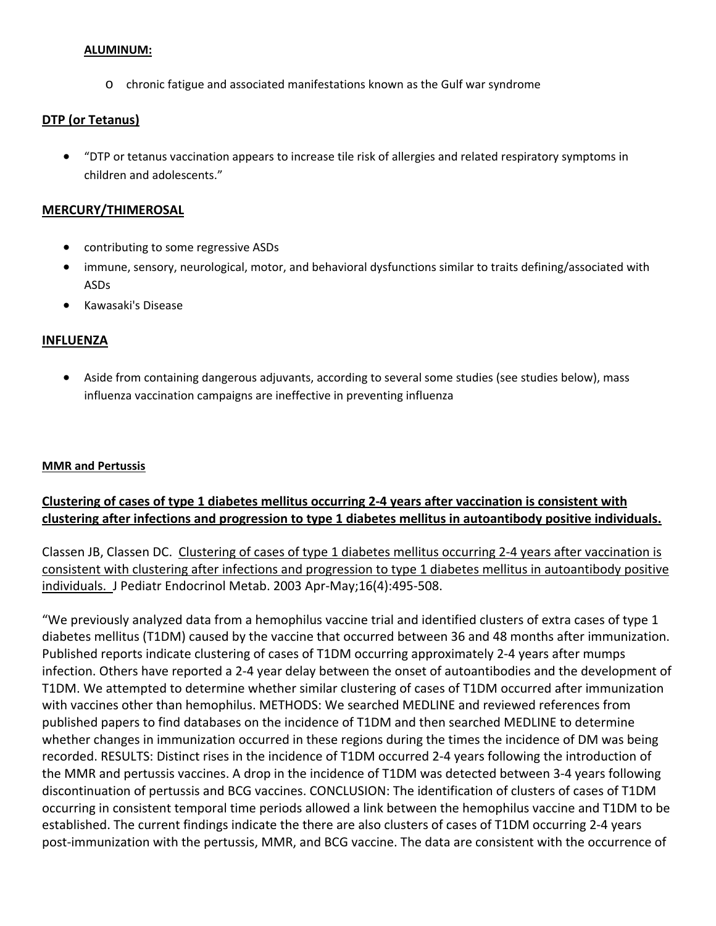#### **ALUMINUM:**

o chronic fatigue and associated manifestations known as the Gulf war syndrome

#### **DTP (or Tetanus)**

• "DTP or tetanus vaccination appears to increase tile risk of allergies and related respiratory symptoms in children and adolescents."

#### **MERCURY/THIMEROSAL**

- contributing to some regressive ASDs
- immune, sensory, neurological, motor, and behavioral dysfunctions similar to traits defining/associated with ASDs
- Kawasaki's Disease

#### **INFLUENZA**

• Aside from containing dangerous adjuvants, according to several some studies (see studies below), mass influenza vaccination campaigns are ineffective in preventing influenza

#### **MMR and Pertussis**

#### Clustering of cases of type 1 diabetes mellitus occurring 2-4 years after vaccination is consistent with **clustering after infections and progression to type 1 diabetes mellitus in autoantibody positive individuals.**

Classen JB, Classen DC. Clustering of cases of type 1 diabetes mellitus occurring 2‐4 years after vaccination is consistent with clustering after infections and progression to type 1 diabetes mellitus in autoantibody positive individuals. J Pediatr Endocrinol Metab. 2003 Apr‐May;16(4):495‐508.

"We previously analyzed data from a hemophilus vaccine trial and identified clusters of extra cases of type 1 diabetes mellitus (T1DM) caused by the vaccine that occurred between 36 and 48 months after immunization. Published reports indicate clustering of cases of T1DM occurring approximately 2‐4 years after mumps infection. Others have reported a 2‐4 year delay between the onset of autoantibodies and the development of T1DM. We attempted to determine whether similar clustering of cases of T1DM occurred after immunization with vaccines other than hemophilus. METHODS: We searched MEDLINE and reviewed references from published papers to find databases on the incidence of T1DM and then searched MEDLINE to determine whether changes in immunization occurred in these regions during the times the incidence of DM was being recorded. RESULTS: Distinct rises in the incidence of T1DM occurred 2‐4 years following the introduction of the MMR and pertussis vaccines. A drop in the incidence of T1DM was detected between 3‐4 years following discontinuation of pertussis and BCG vaccines. CONCLUSION: The identification of clusters of cases of T1DM occurring in consistent temporal time periods allowed a link between the hemophilus vaccine and T1DM to be established. The current findings indicate the there are also clusters of cases of T1DM occurring 2‐4 years post‐immunization with the pertussis, MMR, and BCG vaccine. The data are consistent with the occurrence of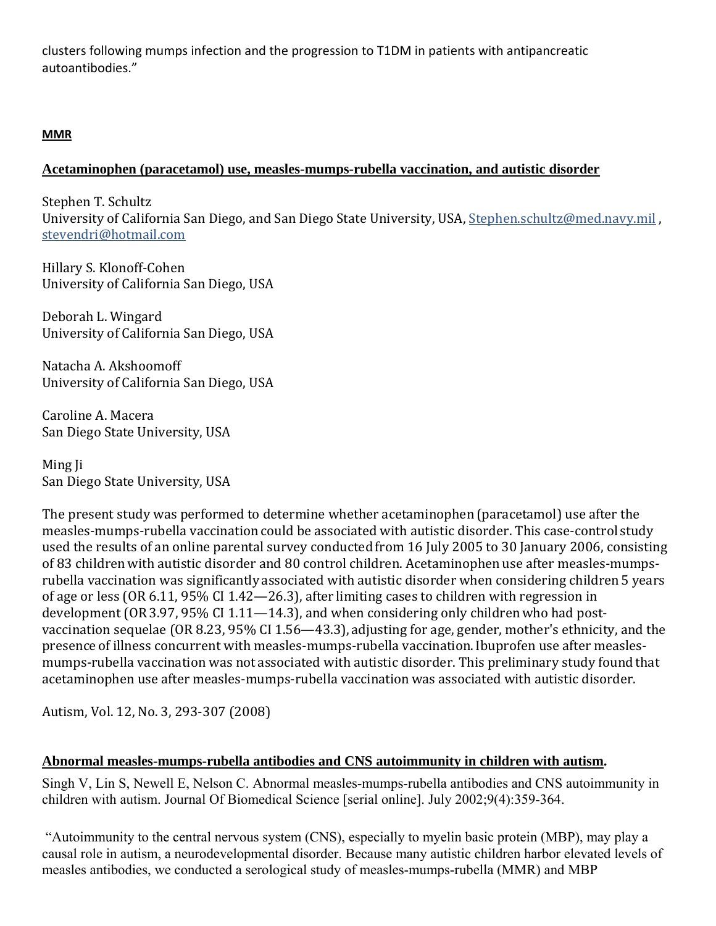clusters following mumps infection and the progression to T1DM in patients with antipancreatic autoantibodies."

## **MMR**

#### **Acetaminophen (paracetamol) use, measles-mumps-rubella vaccination, and autistic disorder**

Stephen T. Schultz University of California San Diego, and San Diego State University, USA, [Stephen.schultz@med.navy.mil](mailto:Stephen.schultz@med.navy.mil), stevendri@hotmail.com

Hillary S. Klonoff-Cohen University of California San Diego, USA

Deborah L. Wingard University of California San Diego, USA

Natacha A. Akshoomoff University of California San Diego, USA

Caroline A. Macera San Diego State University, USA

Ming Ji San Diego State University, USA

The present study was performed to determine whether acetaminophen (paracetamol) use after the measles‐mumps‐rubella vaccination could be associated with autistic disorder. This case‐control study used the results of an online parental survey conducted from 16 July 2005 to 30 January 2006, consisting of 83 children with autistic disorder and 80 control children. Acetaminophen use after measles-mumpsrubella vaccination was significantly associated with autistic disorder when considering children 5 years of age or less (OR 6.11, 95% CI 1.42—26.3), after limiting cases to children with regression in development (OR3.97, 95% CI 1.11—14.3), and when considering only children who had postvaccination sequelae (OR 8.23, 95% CI 1.56—43.3), adjusting for age, gender, mother's ethnicity, and the presence of illness concurrent with measles-mumps-rubella vaccination. Ibuprofen use after measlesmumps‐rubella vaccination was not associated with autistic disorder. This preliminary study found that acetaminophen use after measles‐mumps‐rubella vaccinationwas associated with autistic disorder.

Autism, Vol. 12, No. 3, 293‐307 (2008)

#### **Abnormal measles-mumps-rubella antibodies and CNS autoimmunity in children with autism.**

Singh V, Lin S, Newell E, Nelson C. Abnormal measles-mumps-rubella antibodies and CNS autoimmunity in children with autism. Journal Of Biomedical Science [serial online]. July 2002;9(4):359-364.

 "Autoimmunity to the central nervous system (CNS), especially to myelin basic protein (MBP), may play a causal role in autism, a neurodevelopmental disorder. Because many autistic children harbor elevated levels of measles antibodies, we conducted a serological study of measles-mumps-rubella (MMR) and MBP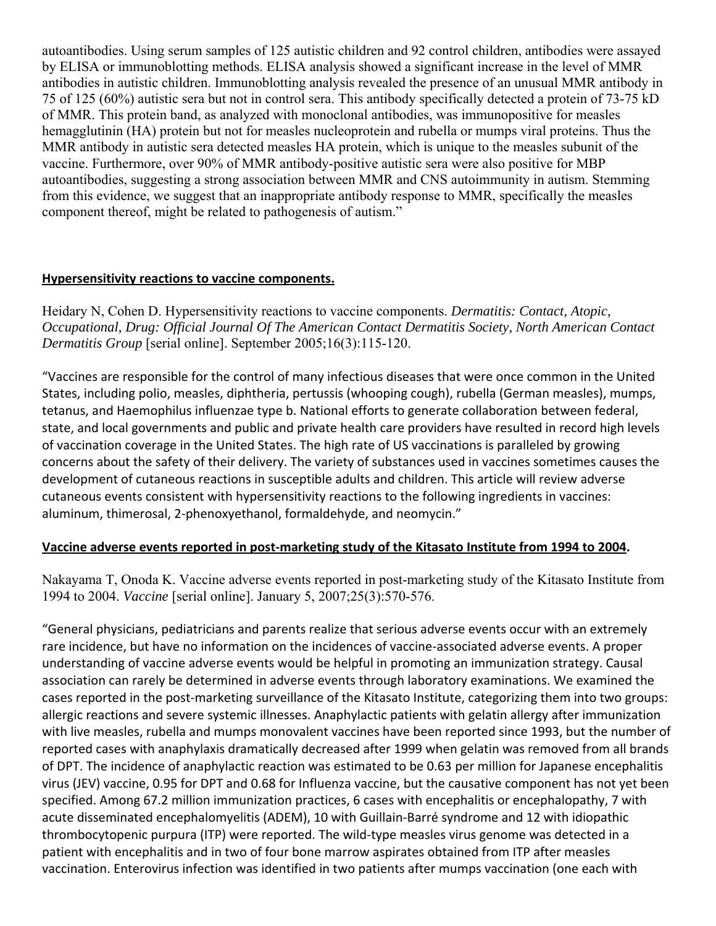autoantibodies. Using serum samples of 125 autistic children and 92 control children, antibodies were assayed by ELISA or immunoblotting methods. ELISA analysis showed a significant increase in the level of MMR antibodies in autistic children. Immunoblotting analysis revealed the presence of an unusual MMR antibody in 75 of 125 (60%) autistic sera but not in control sera. This antibody specifically detected a protein of 73-75 kD of MMR. This protein band, as analyzed with monoclonal antibodies, was immunopositive for measles hemagglutinin (HA) protein but not for measles nucleoprotein and rubella or mumps viral proteins. Thus the MMR antibody in autistic sera detected measles HA protein, which is unique to the measles subunit of the vaccine. Furthermore, over 90% of MMR antibody-positive autistic sera were also positive for MBP autoantibodies, suggesting a strong association between MMR and CNS autoimmunity in autism. Stemming from this evidence, we suggest that an inappropriate antibody response to MMR, specifically the measles component thereof, might be related to pathogenesis of autism."

#### **Hypersensitivity reactions to vaccine components.**

Heidary N, Cohen D. Hypersensitivity reactions to vaccine components. *Dermatitis: Contact, Atopic, Occupational, Drug: Official Journal Of The American Contact Dermatitis Society, North American Contact Dermatitis Group* [serial online]. September 2005;16(3):115-120.

"Vaccines are responsible for the control of many infectious diseases that were once common in the United States, including polio, measles, diphtheria, pertussis (whooping cough), rubella (German measles), mumps, tetanus, and Haemophilus influenzae type b. National efforts to generate collaboration between federal, state, and local governments and public and private health care providers have resulted in record high levels of vaccination coverage in the United States. The high rate of US vaccinations is paralleled by growing concerns about the safety of their delivery. The variety of substances used in vaccines sometimes causes the development of cutaneous reactions in susceptible adults and children. This article will review adverse cutaneous events consistent with hypersensitivity reactions to the following ingredients in vaccines: aluminum, thimerosal, 2‐phenoxyethanol, formaldehyde, and neomycin."

#### **Vaccine adverse events reported in post‐marketing study of the Kitasato Institute from 1994 to 2004.**

Nakayama T, Onoda K. Vaccine adverse events reported in post-marketing study of the Kitasato Institute from 1994 to 2004. *Vaccine* [serial online]. January 5, 2007;25(3):570-576.

"General physicians, pediatricians and parents realize that serious adverse events occur with an extremely rare incidence, but have no information on the incidences of vaccine‐associated adverse events. A proper understanding of vaccine adverse events would be helpful in promoting an immunization strategy. Causal association can rarely be determined in adverse events through laboratory examinations. We examined the cases reported in the post‐marketing surveillance of the Kitasato Institute, categorizing them into two groups: allergic reactions and severe systemic illnesses. Anaphylactic patients with gelatin allergy after immunization with live measles, rubella and mumps monovalent vaccines have been reported since 1993, but the number of reported cases with anaphylaxis dramatically decreased after 1999 when gelatin was removed from all brands of DPT. The incidence of anaphylactic reaction was estimated to be 0.63 per million for Japanese encephalitis virus (JEV) vaccine, 0.95 for DPT and 0.68 for Influenza vaccine, but the causative component has not yet been specified. Among 67.2 million immunization practices, 6 cases with encephalitis or encephalopathy, 7 with acute disseminated encephalomyelitis (ADEM), 10 with Guillain‐Barré syndrome and 12 with idiopathic thrombocytopenic purpura (ITP) were reported. The wild‐type measles virus genome was detected in a patient with encephalitis and in two of four bone marrow aspirates obtained from ITP after measles vaccination. Enterovirus infection was identified in two patients after mumps vaccination (one each with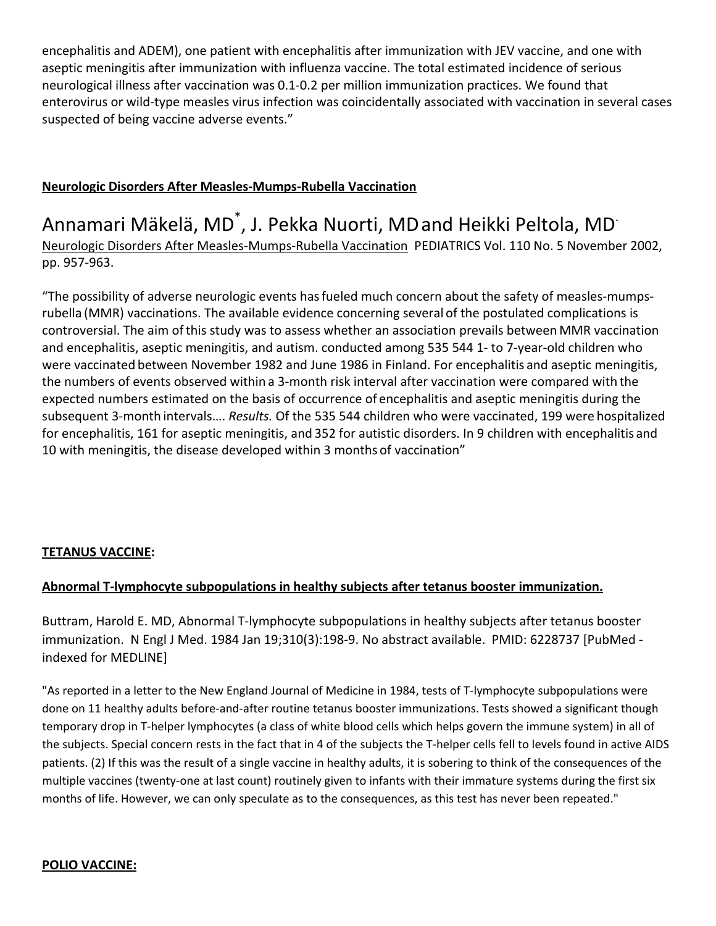encephalitis and ADEM), one patient with encephalitis after immunization with JEV vaccine, and one with aseptic meningitis after immunization with influenza vaccine. The total estimated incidence of serious neurological illness after vaccination was 0.1‐0.2 per million immunization practices. We found that enterovirus or wild‐type measles virus infection was coincidentally associated with vaccination in several cases suspected of being vaccine adverse events."

## **Neurologic Disorders After Measles‐Mumps‐Rubella Vaccination**

Annamari Mäkelä, MD<sup>\*</sup>, J. Pekka Nuorti, MD and Heikki Peltola, MD<sup>.</sup> Neurologic Disorders After Measles‐Mumps‐Rubella Vaccination PEDIATRICS Vol. 110 No. 5 November 2002, pp. 957‐963.

"The possibility of adverse neurologic events hasfueled much concern about the safety of measles‐mumps‐ rubella (MMR) vaccinations. The available evidence concerning several of the postulated complications is controversial. The aim ofthis study was to assess whether an association prevails between MMR vaccination and encephalitis, aseptic meningitis, and autism. conducted among 535 544 1‐ to 7‐year‐old children who were vaccinated between November 1982 and June 1986 in Finland. For encephalitis and aseptic meningitis, the numbers of events observed within a 3‐month risk interval after vaccination were compared with the expected numbers estimated on the basis of occurrence of encephalitis and aseptic meningitis during the subsequent 3‐month intervals…. *Results.* Of the 535 544 children who were vaccinated, 199 were hospitalized for encephalitis, 161 for aseptic meningitis, and 352 for autistic disorders. In 9 children with encephalitis and 10 with meningitis, the disease developed within 3 months of vaccination"

#### **TETANUS VACCINE:**

#### **Abnormal T‐lymphocyte subpopulations in healthy subjects after tetanus booster immunization.**

Buttram, Harold E. MD, Abnormal T‐lymphocyte subpopulations in healthy subjects after tetanus booster immunization. N Engl J Med. 1984 Jan 19;310(3):198-9. No abstract available. PMID: 6228737 [PubMed indexed for MEDLINE]

"As reported in a letter to the New England Journal of Medicine in 1984, tests of T‐lymphocyte subpopulations were done on 11 healthy adults before‐and‐after routine tetanus booster immunizations. Tests showed a significant though temporary drop in T-helper lymphocytes (a class of white blood cells which helps govern the immune system) in all of the subjects. Special concern rests in the fact that in 4 of the subjects the T-helper cells fell to levels found in active AIDS patients. (2) If this was the result of a single vaccine in healthy adults, it is sobering to think of the consequences of the multiple vaccines (twenty-one at last count) routinely given to infants with their immature systems during the first six months of life. However, we can only speculate as to the consequences, as this test has never been repeated."

#### **POLIO VACCINE:**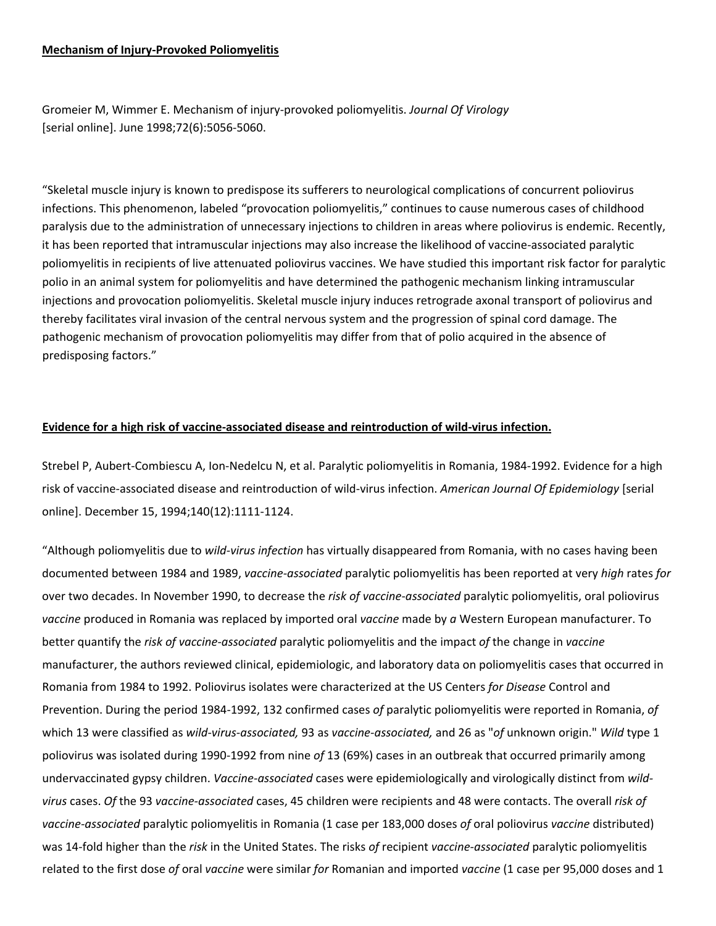#### **Mechanism of Injury‐Provoked Poliomyelitis**

Gromeier M, Wimmer E. Mechanism of injury‐provoked poliomyelitis. *Journal Of Virology* [serial online]. June 1998;72(6):5056‐5060.

"Skeletal muscle injury is known to predispose its sufferers to neurological complications of concurrent poliovirus infections. This phenomenon, labeled "provocation poliomyelitis," continues to cause numerous cases of childhood paralysis due to the administration of unnecessary injections to children in areas where poliovirus is endemic. Recently, it has been reported that intramuscular injections may also increase the likelihood of vaccine‐associated paralytic poliomyelitis in recipients of live attenuated poliovirus vaccines. We have studied this important risk factor for paralytic polio in an animal system for poliomyelitis and have determined the pathogenic mechanism linking intramuscular injections and provocation poliomyelitis. Skeletal muscle injury induces retrograde axonal transport of poliovirus and thereby facilitates viral invasion of the central nervous system and the progression of spinal cord damage. The pathogenic mechanism of provocation poliomyelitis may differ from that of polio acquired in the absence of predisposing factors."

#### **Evidence for a high risk of vaccine‐associated disease and reintroduction of wild‐virus infection.**

Strebel P, Aubert‐Combiescu A, Ion‐Nedelcu N, et al. Paralytic poliomyelitis in Romania, 1984‐1992. Evidence for a high risk of vaccine‐associated disease and reintroduction of wild‐virus infection. *American Journal Of Epidemiology* [serial online]. December 15, 1994;140(12):1111‐1124.

"Although poliomyelitis due to *wild‐virus infection* has virtually disappeared from Romania, with no cases having been documented between 1984 and 1989, *vaccine‐associated* paralytic poliomyelitis has been reported at very *high* rates *for* over two decades. In November 1990, to decrease the *risk of vaccine‐associated* paralytic poliomyelitis, oral poliovirus *vaccine* produced in Romania was replaced by imported oral *vaccine* made by *a* Western European manufacturer. To better quantify the *risk of vaccine‐associated* paralytic poliomyelitis and the impact *of* the change in *vaccine* manufacturer, the authors reviewed clinical, epidemiologic, and laboratory data on poliomyelitis cases that occurred in Romania from 1984 to 1992. Poliovirus isolates were characterized at the US Centers *for Disease* Control and Prevention. During the period 1984‐1992, 132 confirmed cases *of* paralytic poliomyelitis were reported in Romania, *of* which 13 were classified as *wild‐virus‐associated,* 93 as *vaccine‐associated,* and 26 as "*of* unknown origin." *Wild* type 1 poliovirus was isolated during 1990‐1992 from nine *of* 13 (69%) cases in an outbreak that occurred primarily among undervaccinated gypsy children. *Vaccine‐associated* cases were epidemiologically and virologically distinct from *wild‐ virus* cases. *Of* the 93 *vaccine‐associated* cases, 45 children were recipients and 48 were contacts. The overall *risk of vaccine‐associated* paralytic poliomyelitis in Romania (1 case per 183,000 doses *of* oral poliovirus *vaccine* distributed) was 14‐fold higher than the *risk* in the United States. The risks *of* recipient *vaccine‐associated* paralytic poliomyelitis related to the first dose *of* oral *vaccine* were similar *for* Romanian and imported *vaccine* (1 case per 95,000 doses and 1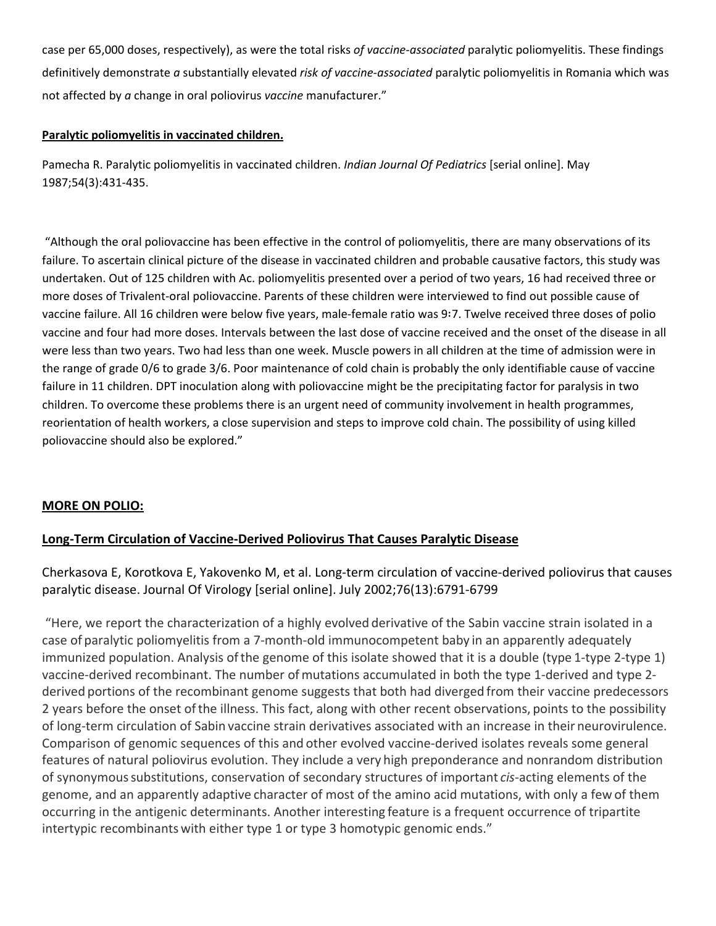case per 65,000 doses, respectively), as were the total risks *of vaccine‐associated* paralytic poliomyelitis. These findings definitively demonstrate *a* substantially elevated *risk of vaccine‐associated* paralytic poliomyelitis in Romania which was not affected by *a* change in oral poliovirus *vaccine* manufacturer."

#### **Paralytic poliomyelitis in vaccinated children.**

Pamecha R. Paralytic poliomyelitis in vaccinated children. *Indian Journal Of Pediatrics* [serial online]. May 1987;54(3):431‐435.

"Although the oral poliovaccine has been effective in the control of poliomyelitis, there are many observations of its failure. To ascertain clinical picture of the disease in vaccinated children and probable causative factors, this study was undertaken. Out of 125 children with Ac. poliomyelitis presented over a period of two years, 16 had received three or more doses of Trivalent‐oral poliovaccine. Parents of these children were interviewed to find out possible cause of vaccine failure. All 16 children were below five years, male‐female ratio was 97. Twelve received three doses of polio vaccine and four had more doses. Intervals between the last dose of vaccine received and the onset of the disease in all were less than two years. Two had less than one week. Muscle powers in all children at the time of admission were in the range of grade 0/6 to grade 3/6. Poor maintenance of cold chain is probably the only identifiable cause of vaccine failure in 11 children. DPT inoculation along with poliovaccine might be the precipitating factor for paralysis in two children. To overcome these problems there is an urgent need of community involvement in health programmes, reorientation of health workers, a close supervision and steps to improve cold chain. The possibility of using killed poliovaccine should also be explored."

#### **MORE ON POLIO:**

#### **Long‐Term Circulation of Vaccine‐Derived Poliovirus That Causes Paralytic Disease**

Cherkasova E, Korotkova E, Yakovenko M, et al. Long‐term circulation of vaccine‐derived poliovirus that causes paralytic disease. Journal Of Virology [serial online]. July 2002;76(13):6791‐6799

"Here, we report the characterization of a highly evolved derivative of the Sabin vaccine strain isolated in a case of paralytic poliomyelitis from a 7‐month‐old immunocompetent baby in an apparently adequately immunized population. Analysis ofthe genome of this isolate showed that it is a double (type 1‐type 2‐type 1) vaccine-derived recombinant. The number of mutations accumulated in both the type 1-derived and type 2derived portions of the recombinant genome suggests that both had diverged from their vaccine predecessors 2 years before the onset ofthe illness. This fact, along with other recent observations, points to the possibility of long‐term circulation of Sabin vaccine strain derivatives associated with an increase in their neurovirulence. Comparison of genomic sequences of this and other evolved vaccine‐derived isolates reveals some general features of natural poliovirus evolution. They include a very high preponderance and nonrandom distribution of synonymoussubstitutions, conservation of secondary structures of important *cis*‐acting elements of the genome, and an apparently adaptive character of most of the amino acid mutations, with only a few of them occurring in the antigenic determinants. Another interesting feature is a frequent occurrence of tripartite intertypic recombinants with either type 1 or type 3 homotypic genomic ends."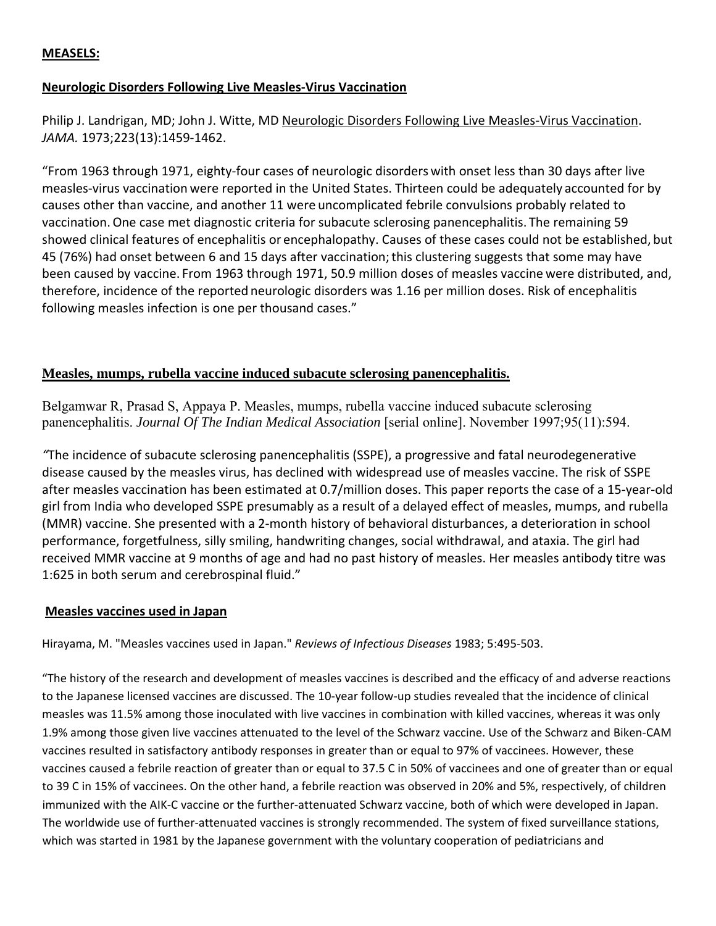#### **MEASELS:**

#### **Neurologic Disorders Following Live Measles‐Virus Vaccination**

Philip J. Landrigan, MD; John J. Witte, MD Neurologic Disorders Following Live Measles‐Virus Vaccination. *JAMA.* 1973;223(13):1459‐1462.

"From 1963 through 1971, eighty‐four cases of neurologic disorders with onset less than 30 days after live measles‐virus vaccination were reported in the United States. Thirteen could be adequately accounted for by causes other than vaccine, and another 11 were uncomplicated febrile convulsions probably related to vaccination.One case met diagnostic criteria for subacute sclerosing panencephalitis. The remaining 59 showed clinical features of encephalitis or encephalopathy. Causes of these cases could not be established, but 45 (76%) had onset between 6 and 15 days after vaccination;this clustering suggests that some may have been caused by vaccine. From 1963 through 1971, 50.9 million doses of measles vaccine were distributed, and, therefore, incidence of the reported neurologic disorders was 1.16 per million doses. Risk of encephalitis following measles infection is one per thousand cases."

#### **Measles, mumps, rubella vaccine induced subacute sclerosing panencephalitis.**

Belgamwar R, Prasad S, Appaya P. Measles, mumps, rubella vaccine induced subacute sclerosing panencephalitis. *Journal Of The Indian Medical Association* [serial online]. November 1997;95(11):594.

*"*The incidence of subacute sclerosing panencephalitis (SSPE), a progressive and fatal neurodegenerative disease caused by the measles virus, has declined with widespread use of measles vaccine. The risk of SSPE after measles vaccination has been estimated at 0.7/million doses. This paper reports the case of a 15‐year‐old girl from India who developed SSPE presumably as a result of a delayed effect of measles, mumps, and rubella (MMR) vaccine. She presented with a 2‐month history of behavioral disturbances, a deterioration in school performance, forgetfulness, silly smiling, handwriting changes, social withdrawal, and ataxia. The girl had received MMR vaccine at 9 months of age and had no past history of measles. Her measles antibody titre was 1:625 in both serum and cerebrospinal fluid."

#### **Measles vaccines used in Japan**

Hirayama, M. "Measles vaccines used in Japan." *Reviews of Infectious Diseases* 1983; 5:495‐503.

"The history of the research and development of measles vaccines is described and the efficacy of and adverse reactions to the Japanese licensed vaccines are discussed. The 10‐year follow‐up studies revealed that the incidence of clinical measles was 11.5% among those inoculated with live vaccines in combination with killed vaccines, whereas it was only 1.9% among those given live vaccines attenuated to the level of the Schwarz vaccine. Use of the Schwarz and Biken‐CAM vaccines resulted in satisfactory antibody responses in greater than or equal to 97% of vaccinees. However, these vaccines caused a febrile reaction of greater than or equal to 37.5 C in 50% of vaccinees and one of greater than or equal to 39 C in 15% of vaccinees. On the other hand, a febrile reaction was observed in 20% and 5%, respectively, of children immunized with the AIK‐C vaccine or the further‐attenuated Schwarz vaccine, both of which were developed in Japan. The worldwide use of further‐attenuated vaccines is strongly recommended. The system of fixed surveillance stations, which was started in 1981 by the Japanese government with the voluntary cooperation of pediatricians and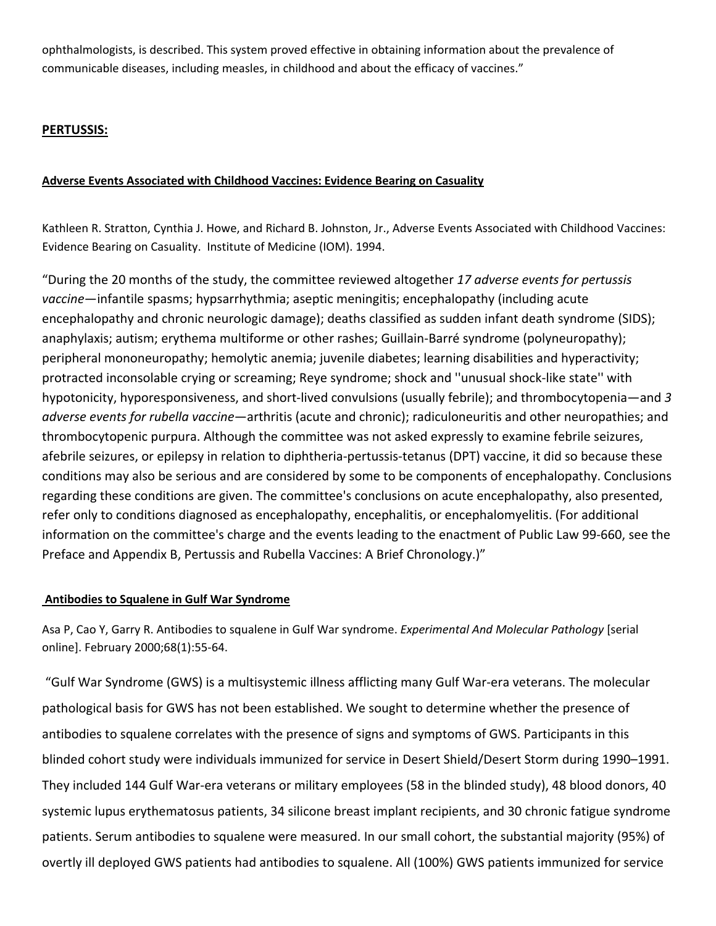ophthalmologists, is described. This system proved effective in obtaining information about the prevalence of communicable diseases, including measles, in childhood and about the efficacy of vaccines."

#### **PERTUSSIS:**

#### **Adverse Events Associated with Childhood Vaccines: Evidence Bearing on Casuality**

Kathleen R. Stratton, Cynthia J. Howe, and Richard B. Johnston, Jr., Adverse Events Associated with Childhood Vaccines: Evidence Bearing on Casuality. Institute of Medicine (IOM). 1994.

"During the 20 months of the study, the committee reviewed altogether *17 adverse events for pertussis vaccine*—infantile spasms; hypsarrhythmia; aseptic meningitis; encephalopathy (including acute encephalopathy and chronic neurologic damage); deaths classified as sudden infant death syndrome (SIDS); anaphylaxis; autism; erythema multiforme or other rashes; Guillain‐Barré syndrome (polyneuropathy); peripheral mononeuropathy; hemolytic anemia; juvenile diabetes; learning disabilities and hyperactivity; protracted inconsolable crying or screaming; Reye syndrome; shock and ''unusual shock‐like state'' with hypotonicity, hyporesponsiveness, and short‐lived convulsions (usually febrile); and thrombocytopenia—and *3 adverse events for rubella vaccine*—arthritis (acute and chronic); radiculoneuritis and other neuropathies; and thrombocytopenic purpura. Although the committee was not asked expressly to examine febrile seizures, afebrile seizures, or epilepsy in relation to diphtheria‐pertussis‐tetanus (DPT) vaccine, it did so because these conditions may also be serious and are considered by some to be components of encephalopathy. Conclusions regarding these conditions are given. The committee's conclusions on acute encephalopathy, also presented, refer only to conditions diagnosed as encephalopathy, encephalitis, or encephalomyelitis. (For additional information on the committee's charge and the events leading to the enactment of Public Law 99‐660, see the Preface and Appendix B, Pertussis and Rubella Vaccines: A Brief Chronology.)"

#### **Antibodies to Squalene in Gulf War Syndrome**

Asa P, Cao Y, Garry R. Antibodies to squalene in Gulf War syndrome. *Experimental And Molecular Pathology* [serial online]. February 2000;68(1):55‐64.

"Gulf War Syndrome (GWS) is a multisystemic illness afflicting many Gulf War‐era veterans. The molecular pathological basis for GWS has not been established. We sought to determine whether the presence of antibodies to squalene correlates with the presence of signs and symptoms of GWS. Participants in this blinded cohort study were individuals immunized for service in Desert Shield/Desert Storm during 1990–1991. They included 144 Gulf War‐era veterans or military employees (58 in the blinded study), 48 blood donors, 40 systemic lupus erythematosus patients, 34 silicone breast implant recipients, and 30 chronic fatigue syndrome patients. Serum antibodies to squalene were measured. In our small cohort, the substantial majority (95%) of overtly ill deployed GWS patients had antibodies to squalene. All (100%) GWS patients immunized for service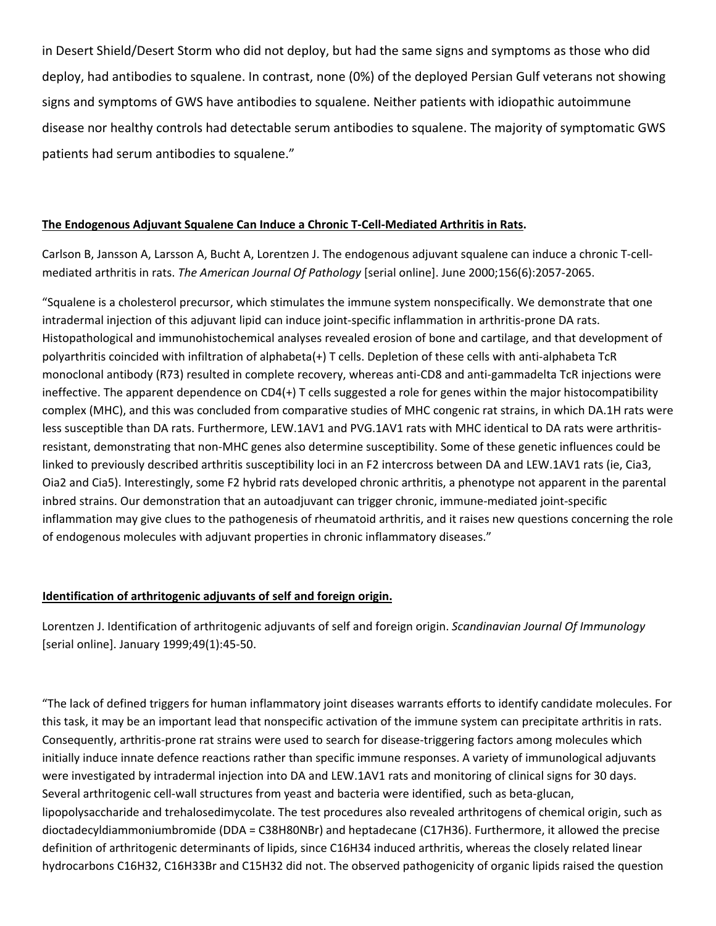in Desert Shield/Desert Storm who did not deploy, but had the same signs and symptoms as those who did deploy, had antibodies to squalene. In contrast, none (0%) of the deployed Persian Gulf veterans not showing signs and symptoms of GWS have antibodies to squalene. Neither patients with idiopathic autoimmune disease nor healthy controls had detectable serum antibodies to squalene. The majority of symptomatic GWS patients had serum antibodies to squalene."

#### **The Endogenous Adjuvant Squalene Can Induce a Chronic T‐Cell‐Mediated Arthritis in Rats.**

Carlson B, Jansson A, Larsson A, Bucht A, Lorentzen J. The endogenous adjuvant squalene can induce a chronic T‐cell‐ mediated arthritis in rats. *The American Journal Of Pathology* [serial online]. June 2000;156(6):2057‐2065.

"Squalene is a cholesterol precursor, which stimulates the immune system nonspecifically. We demonstrate that one intradermal injection of this adjuvant lipid can induce joint‐specific inflammation in arthritis‐prone DA rats. Histopathological and immunohistochemical analyses revealed erosion of bone and cartilage, and that development of polyarthritis coincided with infiltration of alphabeta(+) T cells. Depletion of these cells with anti‐alphabeta TcR monoclonal antibody (R73) resulted in complete recovery, whereas anti‐CD8 and anti‐gammadelta TcR injections were ineffective. The apparent dependence on CD4(+) T cells suggested a role for genes within the major histocompatibility complex (MHC), and this was concluded from comparative studies of MHC congenic rat strains, in which DA.1H rats were less susceptible than DA rats. Furthermore, LEW.1AV1 and PVG.1AV1 rats with MHC identical to DA rats were arthritisresistant, demonstrating that non‐MHC genes also determine susceptibility. Some of these genetic influences could be linked to previously described arthritis susceptibility loci in an F2 intercross between DA and LEW.1AV1 rats (ie, Cia3, Oia2 and Cia5). Interestingly, some F2 hybrid rats developed chronic arthritis, a phenotype not apparent in the parental inbred strains. Our demonstration that an autoadjuvant can trigger chronic, immune-mediated joint-specific inflammation may give clues to the pathogenesis of rheumatoid arthritis, and it raises new questions concerning the role of endogenous molecules with adjuvant properties in chronic inflammatory diseases."

#### **Identification of arthritogenic adjuvants of self and foreign origin.**

Lorentzen J. Identification of arthritogenic adjuvants of self and foreign origin. *Scandinavian Journal Of Immunology* [serial online]. January 1999;49(1):45‐50.

"The lack of defined triggers for human inflammatory joint diseases warrants efforts to identify candidate molecules. For this task, it may be an important lead that nonspecific activation of the immune system can precipitate arthritis in rats. Consequently, arthritis-prone rat strains were used to search for disease-triggering factors among molecules which initially induce innate defence reactions rather than specific immune responses. A variety of immunological adjuvants were investigated by intradermal injection into DA and LEW.1AV1 rats and monitoring of clinical signs for 30 days. Several arthritogenic cell‐wall structures from yeast and bacteria were identified, such as beta‐glucan, lipopolysaccharide and trehalosedimycolate. The test procedures also revealed arthritogens of chemical origin, such as dioctadecyldiammoniumbromide (DDA = C38H80NBr) and heptadecane (C17H36). Furthermore, it allowed the precise definition of arthritogenic determinants of lipids, since C16H34 induced arthritis, whereas the closely related linear hydrocarbons C16H32, C16H33Br and C15H32 did not. The observed pathogenicity of organic lipids raised the question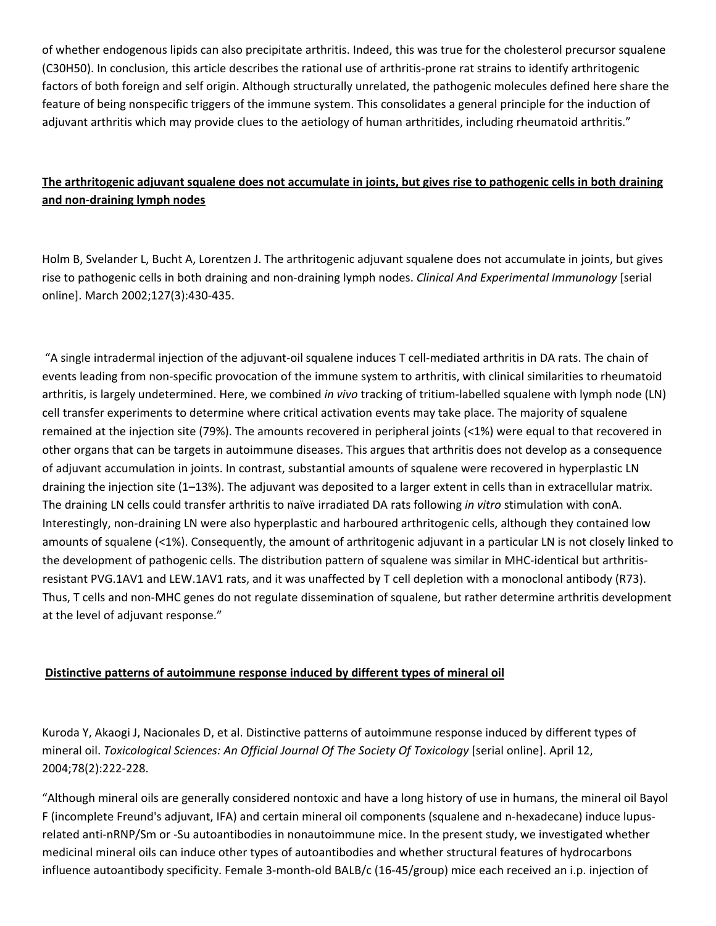of whether endogenous lipids can also precipitate arthritis. Indeed, this was true for the cholesterol precursor squalene (C30H50). In conclusion, this article describes the rational use of arthritis‐prone rat strains to identify arthritogenic factors of both foreign and self origin. Although structurally unrelated, the pathogenic molecules defined here share the feature of being nonspecific triggers of the immune system. This consolidates a general principle for the induction of adjuvant arthritis which may provide clues to the aetiology of human arthritides, including rheumatoid arthritis."

## The arthritogenic adjuvant squalene does not accumulate in joints, but gives rise to pathogenic cells in both draining **and non‐draining lymph nodes**

Holm B, Svelander L, Bucht A, Lorentzen J. The arthritogenic adjuvant squalene does not accumulate in joints, but gives rise to pathogenic cells in both draining and non‐draining lymph nodes. *Clinical And Experimental Immunology* [serial online]. March 2002;127(3):430‐435.

"A single intradermal injection of the adjuvant‐oil squalene induces T cell‐mediated arthritis in DA rats. The chain of events leading from non‐specific provocation of the immune system to arthritis, with clinical similarities to rheumatoid arthritis, is largely undetermined. Here, we combined *in vivo* tracking of tritium‐labelled squalene with lymph node (LN) cell transfer experiments to determine where critical activation events may take place. The majority of squalene remained at the injection site (79%). The amounts recovered in peripheral joints (<1%) were equal to that recovered in other organs that can be targets in autoimmune diseases. This argues that arthritis does not develop as a consequence of adjuvant accumulation in joints. In contrast, substantial amounts of squalene were recovered in hyperplastic LN draining the injection site (1–13%). The adjuvant was deposited to a larger extent in cells than in extracellular matrix. The draining LN cells could transfer arthritis to naïve irradiated DA rats following *in vitro* stimulation with conA. Interestingly, non‐draining LN were also hyperplastic and harboured arthritogenic cells, although they contained low amounts of squalene (<1%). Consequently, the amount of arthritogenic adjuvant in a particular LN is not closely linked to the development of pathogenic cells. The distribution pattern of squalene was similar in MHC-identical but arthritisresistant PVG.1AV1 and LEW.1AV1 rats, and it was unaffected by T cell depletion with a monoclonal antibody (R73). Thus, T cells and non-MHC genes do not regulate dissemination of squalene, but rather determine arthritis development at the level of adjuvant response."

#### **Distinctive patterns of autoimmune response induced by different types of mineral oil**

Kuroda Y, Akaogi J, Nacionales D, et al. Distinctive patterns of autoimmune response induced by different types of mineral oil. *Toxicological Sciences: An Official Journal Of The Society Of Toxicology* [serial online]. April 12, 2004;78(2):222‐228.

"Although mineral oils are generally considered nontoxic and have a long history of use in humans, the mineral oil Bayol F (incomplete Freund's adjuvant, IFA) and certain mineral oil components (squalene and n‐hexadecane) induce lupus‐ related anti‐nRNP/Sm or ‐Su autoantibodies in nonautoimmune mice. In the present study, we investigated whether medicinal mineral oils can induce other types of autoantibodies and whether structural features of hydrocarbons influence autoantibody specificity. Female 3‐month‐old BALB/c (16‐45/group) mice each received an i.p. injection of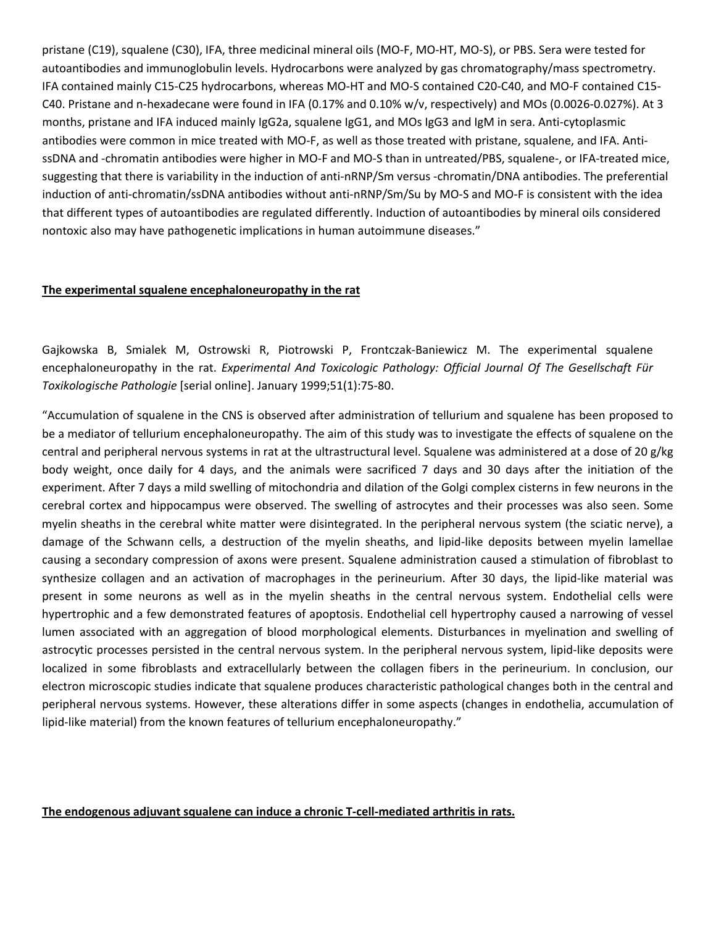pristane (C19), squalene (C30), IFA, three medicinal mineral oils (MO‐F, MO‐HT, MO‐S), or PBS. Sera were tested for autoantibodies and immunoglobulin levels. Hydrocarbons were analyzed by gas chromatography/mass spectrometry. IFA contained mainly C15‐C25 hydrocarbons, whereas MO‐HT and MO‐S contained C20‐C40, and MO‐F contained C15‐ C40. Pristane and n‐hexadecane were found in IFA (0.17% and 0.10% w/v, respectively) and MOs (0.0026‐0.027%). At 3 months, pristane and IFA induced mainly IgG2a, squalene IgG1, and MOs IgG3 and IgM in sera. Anti‐cytoplasmic antibodies were common in mice treated with MO-F, as well as those treated with pristane, squalene, and IFA. AntissDNA and -chromatin antibodies were higher in MO-F and MO-S than in untreated/PBS, squalene-, or IFA-treated mice, suggesting that there is variability in the induction of anti‐nRNP/Sm versus ‐chromatin/DNA antibodies. The preferential induction of anti-chromatin/ssDNA antibodies without anti-nRNP/Sm/Su by MO-S and MO-F is consistent with the idea that different types of autoantibodies are regulated differently. Induction of autoantibodies by mineral oils considered nontoxic also may have pathogenetic implications in human autoimmune diseases."

#### **The experimental squalene encephaloneuropathy in the rat**

Gajkowska B, Smialek M, Ostrowski R, Piotrowski P, Frontczak‐Baniewicz M. The experimental squalene encephaloneuropathy in the rat. *Experimental And Toxicologic Pathology: Official Journal Of The Gesellschaft Für Toxikologische Pathologie* [serial online]. January 1999;51(1):75‐80.

"Accumulation of squalene in the CNS is observed after administration of tellurium and squalene has been proposed to be a mediator of tellurium encephaloneuropathy. The aim of this study was to investigate the effects of squalene on the central and peripheral nervous systems in rat at the ultrastructural level. Squalene was administered at a dose of 20 g/kg body weight, once daily for 4 days, and the animals were sacrificed 7 days and 30 days after the initiation of the experiment. After 7 days a mild swelling of mitochondria and dilation of the Golgi complex cisterns in few neurons in the cerebral cortex and hippocampus were observed. The swelling of astrocytes and their processes was also seen. Some myelin sheaths in the cerebral white matter were disintegrated. In the peripheral nervous system (the sciatic nerve), a damage of the Schwann cells, a destruction of the myelin sheaths, and lipid‐like deposits between myelin lamellae causing a secondary compression of axons were present. Squalene administration caused a stimulation of fibroblast to synthesize collagen and an activation of macrophages in the perineurium. After 30 days, the lipid-like material was present in some neurons as well as in the myelin sheaths in the central nervous system. Endothelial cells were hypertrophic and a few demonstrated features of apoptosis. Endothelial cell hypertrophy caused a narrowing of vessel lumen associated with an aggregation of blood morphological elements. Disturbances in myelination and swelling of astrocytic processes persisted in the central nervous system. In the peripheral nervous system, lipid‐like deposits were localized in some fibroblasts and extracellularly between the collagen fibers in the perineurium. In conclusion, our electron microscopic studies indicate that squalene produces characteristic pathological changes both in the central and peripheral nervous systems. However, these alterations differ in some aspects (changes in endothelia, accumulation of lipid-like material) from the known features of tellurium encephaloneuropathy."

#### **The endogenous adjuvant squalene can induce a chronic T‐cell‐mediated arthritis in rats.**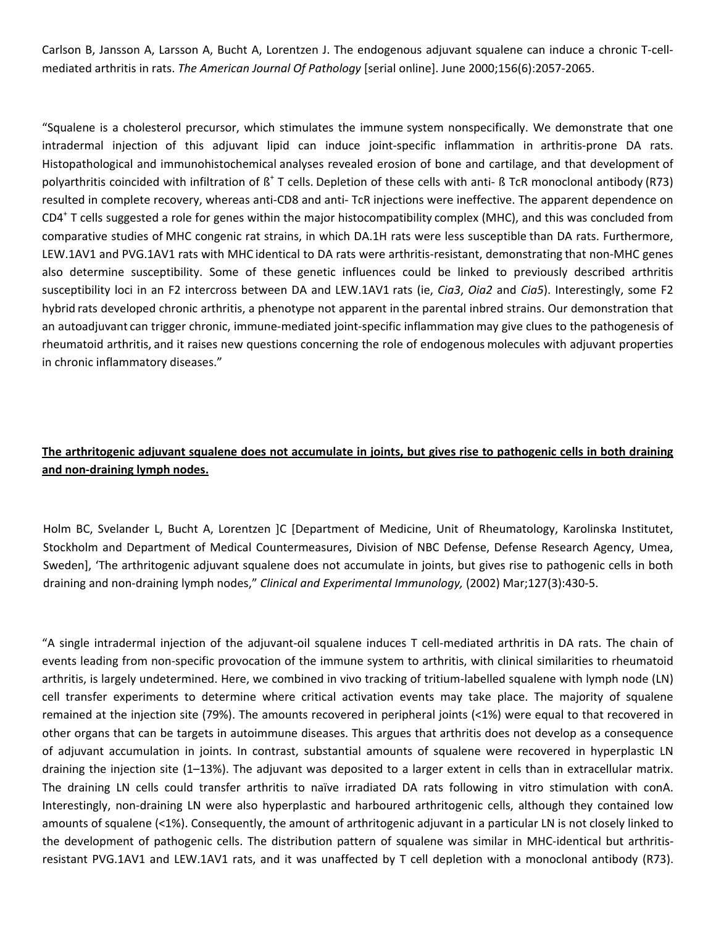Carlson B, Jansson A, Larsson A, Bucht A, Lorentzen J. The endogenous adjuvant squalene can induce a chronic T‐cell‐ mediated arthritis in rats. *The American Journal Of Pathology* [serial online]. June 2000;156(6):2057‐2065.

"Squalene is a cholesterol precursor, which stimulates the immune system nonspecifically. We demonstrate that one intradermal injection of this adjuvant lipid can induce joint‐specific inflammation in arthritis‐prone DA rats. Histopathological and immunohistochemical analyses revealed erosion of bone and cartilage, and that development of polyarthritis coincided with infiltration of  $\beta^+$  T cells. Depletion of these cells with anti- ß TcR monoclonal antibody (R73) resulted in complete recovery, whereas anti‐CD8 and anti‐ TcR injections were ineffective. The apparent dependence on CD4<sup>+</sup> T cells suggested a role for genes within the major histocompatibility complex (MHC), and this was concluded from comparative studies of MHC congenic rat strains, in which DA.1H rats were less susceptible than DA rats. Furthermore, LEW.1AV1 and PVG.1AV1 rats with MHC identical to DA rats were arthritis-resistant, demonstrating that non-MHC genes also determine susceptibility. Some of these genetic influences could be linked to previously described arthritis susceptibility loci in an F2 intercross between DA and LEW.1AV1 rats (ie, *Cia3*, *Oia2* and *Cia5*). Interestingly, some F2 hybrid rats developed chronic arthritis, a phenotype not apparent in the parental inbred strains. Our demonstration that an autoadjuvant can trigger chronic, immune‐mediated joint‐specific inflammation may give clues to the pathogenesis of rheumatoid arthritis, and it raises new questions concerning the role of endogenous molecules with adjuvant properties in chronic inflammatory diseases."

#### The arthritogenic adjuvant squalene does not accumulate in joints, but gives rise to pathogenic cells in both draining **and non‐draining lymph nodes.**

Holm BC, Svelander L, Bucht A, Lorentzen ]C [Department of Medicine, Unit of Rheumatology, Karolinska Institutet, Stockholm and Department of Medical Countermeasures, Division of NBC Defense, Defense Research Agency, Umea, Sweden], 'The arthritogenic adjuvant squalene does not accumulate in joints, but gives rise to pathogenic cells in both draining and non‐draining lymph nodes," *Clinical and Experimental Immunology,* (2002) Mar;127(3):430‐5.

"A single intradermal injection of the adjuvant‐oil squalene induces T cell‐mediated arthritis in DA rats. The chain of events leading from non‐specific provocation of the immune system to arthritis, with clinical similarities to rheumatoid arthritis, is largely undetermined. Here, we combined in vivo tracking of tritium‐labelled squalene with lymph node (LN) cell transfer experiments to determine where critical activation events may take place. The majority of squalene remained at the injection site (79%). The amounts recovered in peripheral joints (<1%) were equal to that recovered in other organs that can be targets in autoimmune diseases. This argues that arthritis does not develop as a consequence of adjuvant accumulation in joints. In contrast, substantial amounts of squalene were recovered in hyperplastic LN draining the injection site (1–13%). The adjuvant was deposited to a larger extent in cells than in extracellular matrix. The draining LN cells could transfer arthritis to naïve irradiated DA rats following in vitro stimulation with conA. Interestingly, non‐draining LN were also hyperplastic and harboured arthritogenic cells, although they contained low amounts of squalene (<1%). Consequently, the amount of arthritogenic adjuvant in a particular LN is not closely linked to the development of pathogenic cells. The distribution pattern of squalene was similar in MHC-identical but arthritisresistant PVG.1AV1 and LEW.1AV1 rats, and it was unaffected by T cell depletion with a monoclonal antibody (R73).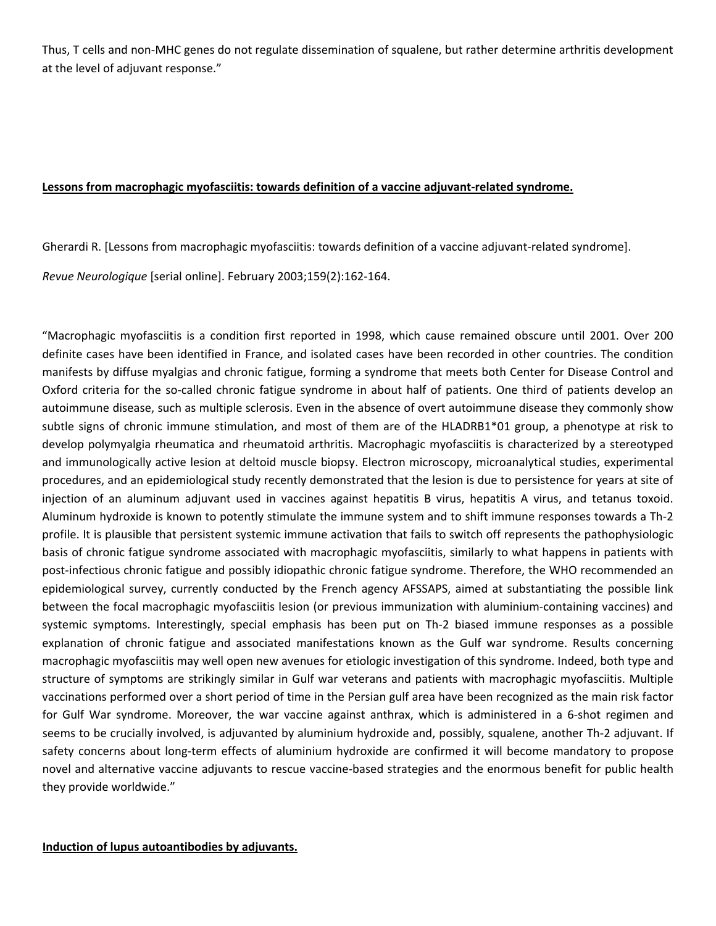Thus, T cells and non-MHC genes do not regulate dissemination of squalene, but rather determine arthritis development at the level of adjuvant response."

#### **Lessons from macrophagic myofasciitis: towards definition of a vaccine adjuvant‐related syndrome.**

Gherardi R. [Lessons from macrophagic myofasciitis: towards definition of a vaccine adjuvant-related syndrome].

*Revue Neurologique* [serial online]. February 2003;159(2):162‐164.

"Macrophagic myofasciitis is a condition first reported in 1998, which cause remained obscure until 2001. Over 200 definite cases have been identified in France, and isolated cases have been recorded in other countries. The condition manifests by diffuse myalgias and chronic fatigue, forming a syndrome that meets both Center for Disease Control and Oxford criteria for the so‐called chronic fatigue syndrome in about half of patients. One third of patients develop an autoimmune disease, such as multiple sclerosis. Even in the absence of overt autoimmune disease they commonly show subtle signs of chronic immune stimulation, and most of them are of the HLADRB1\*01 group, a phenotype at risk to develop polymyalgia rheumatica and rheumatoid arthritis. Macrophagic myofasciitis is characterized by a stereotyped and immunologically active lesion at deltoid muscle biopsy. Electron microscopy, microanalytical studies, experimental procedures, and an epidemiological study recently demonstrated that the lesion is due to persistence for years at site of injection of an aluminum adjuvant used in vaccines against hepatitis B virus, hepatitis A virus, and tetanus toxoid. Aluminum hydroxide is known to potently stimulate the immune system and to shift immune responses towards a Th‐2 profile. It is plausible that persistent systemic immune activation that fails to switch off represents the pathophysiologic basis of chronic fatigue syndrome associated with macrophagic myofasciitis, similarly to what happens in patients with post-infectious chronic fatigue and possibly idiopathic chronic fatigue syndrome. Therefore, the WHO recommended an epidemiological survey, currently conducted by the French agency AFSSAPS, aimed at substantiating the possible link between the focal macrophagic myofasciitis lesion (or previous immunization with aluminium‐containing vaccines) and systemic symptoms. Interestingly, special emphasis has been put on Th‐2 biased immune responses as a possible explanation of chronic fatigue and associated manifestations known as the Gulf war syndrome. Results concerning macrophagic myofasciitis may well open new avenues for etiologic investigation of this syndrome. Indeed, both type and structure of symptoms are strikingly similar in Gulf war veterans and patients with macrophagic myofasciitis. Multiple vaccinations performed over a short period of time in the Persian gulf area have been recognized as the main risk factor for Gulf War syndrome. Moreover, the war vaccine against anthrax, which is administered in a 6‐shot regimen and seems to be crucially involved, is adjuvanted by aluminium hydroxide and, possibly, squalene, another Th-2 adjuvant. If safety concerns about long-term effects of aluminium hydroxide are confirmed it will become mandatory to propose novel and alternative vaccine adjuvants to rescue vaccine‐based strategies and the enormous benefit for public health they provide worldwide."

#### **Induction of lupus autoantibodies by adjuvants.**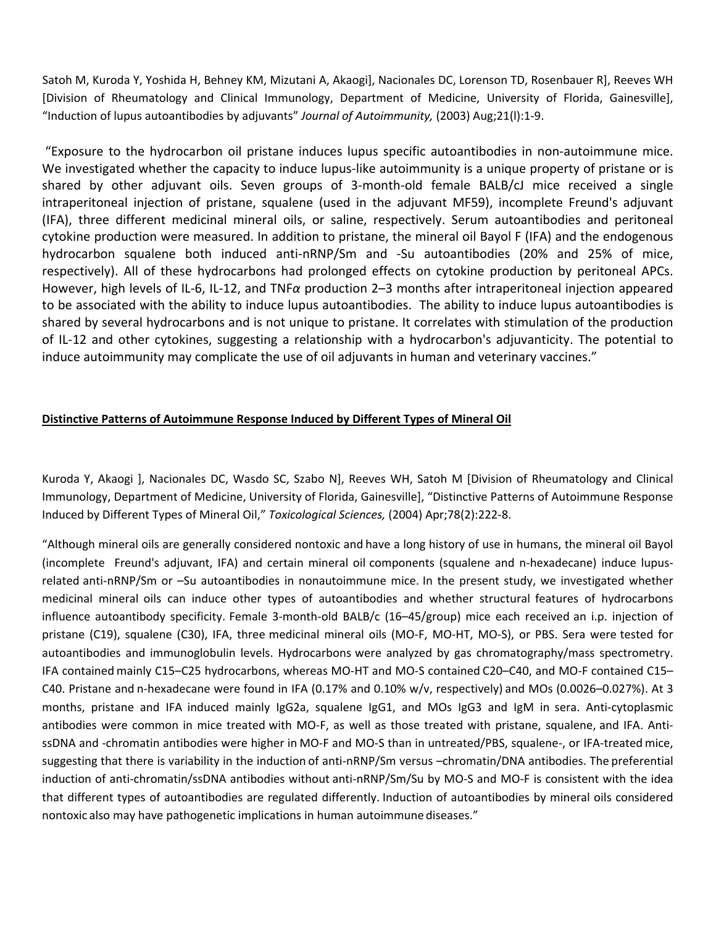Satoh M, Kuroda Y, Yoshida H, Behney KM, Mizutani A, Akaogi], Nacionales DC, Lorenson TD, Rosenbauer R], Reeves WH [Division of Rheumatology and Clinical Immunology, Department of Medicine, University of Florida, Gainesville], "Induction of lupus autoantibodies by adjuvants" *Journal of Autoimmunity,* (2003) Aug;21(l):1‐9.

"Exposure to the hydrocarbon oil pristane induces lupus specific autoantibodies in non‐autoimmune mice. We investigated whether the capacity to induce lupus-like autoimmunity is a unique property of pristane or is shared by other adjuvant oils. Seven groups of 3‐month‐old female BALB/cJ mice received a single intraperitoneal injection of pristane, squalene (used in the adjuvant MF59), incomplete Freund's adjuvant (IFA), three different medicinal mineral oils, or saline, respectively. Serum autoantibodies and peritoneal cytokine production were measured. In addition to pristane, the mineral oil Bayol F (IFA) and the endogenous hydrocarbon squalene both induced anti-nRNP/Sm and -Su autoantibodies (20% and 25% of mice, respectively). All of these hydrocarbons had prolonged effects on cytokine production by peritoneal APCs. However, high levels of IL‐6, IL‐12, and TNF*α* production 2–3 months after intraperitoneal injection appeared to be associated with the ability to induce lupus autoantibodies. The ability to induce lupus autoantibodies is shared by several hydrocarbons and is not unique to pristane. It correlates with stimulation of the production of IL‐12 and other cytokines, suggesting a relationship with a hydrocarbon's adjuvanticity. The potential to induce autoimmunity may complicate the use of oil adjuvants in human and veterinary vaccines."

#### **Distinctive Patterns of Autoimmune Response Induced by Different Types of Mineral Oil**

Kuroda Y, Akaogi ], Nacionales DC, Wasdo SC, Szabo N], Reeves WH, Satoh M [Division of Rheumatology and Clinical Immunology, Department of Medicine, University of Florida, Gainesville], "Distinctive Patterns of Autoimmune Response Induced by Different Types of Mineral Oil," *Toxicological Sciences,* (2004) Apr;78(2):222‐8.

"Although mineral oils are generally considered nontoxic and have a long history of use in humans, the mineral oil Bayol (incomplete Freund's adjuvant, IFA) and certain mineral oil components (squalene and n‐hexadecane) induce lupus‐ related anti‐nRNP/Sm or –Su autoantibodies in nonautoimmune mice. In the present study, we investigated whether medicinal mineral oils can induce other types of autoantibodies and whether structural features of hydrocarbons influence autoantibody specificity. Female 3-month-old BALB/c (16–45/group) mice each received an i.p. injection of pristane (C19), squalene (C30), IFA, three medicinal mineral oils (MO‐F, MO‐HT, MO‐S), or PBS. Sera were tested for autoantibodies and immunoglobulin levels. Hydrocarbons were analyzed by gas chromatography/mass spectrometry. IFA contained mainly C15–C25 hydrocarbons, whereas MO‐HT and MO‐S contained C20–C40, and MO‐F contained C15– C40. Pristane and n‐hexadecane were found in IFA (0.17% and 0.10% w/v, respectively) and MOs (0.0026–0.027%). At 3 months, pristane and IFA induced mainly IgG2a, squalene IgG1, and MOs IgG3 and IgM in sera. Anti‐cytoplasmic antibodies were common in mice treated with MO-F, as well as those treated with pristane, squalene, and IFA. AntissDNA and -chromatin antibodies were higher in MO-F and MO-S than in untreated/PBS, squalene-, or IFA-treated mice, suggesting that there is variability in the induction of anti‐nRNP/Sm versus –chromatin/DNA antibodies. The preferential induction of anti‐chromatin/ssDNA antibodies without anti‐nRNP/Sm/Su by MO‐S and MO‐F is consistent with the idea that different types of autoantibodies are regulated differently. Induction of autoantibodies by mineral oils considered nontoxic also may have pathogenetic implications in human autoimmune diseases."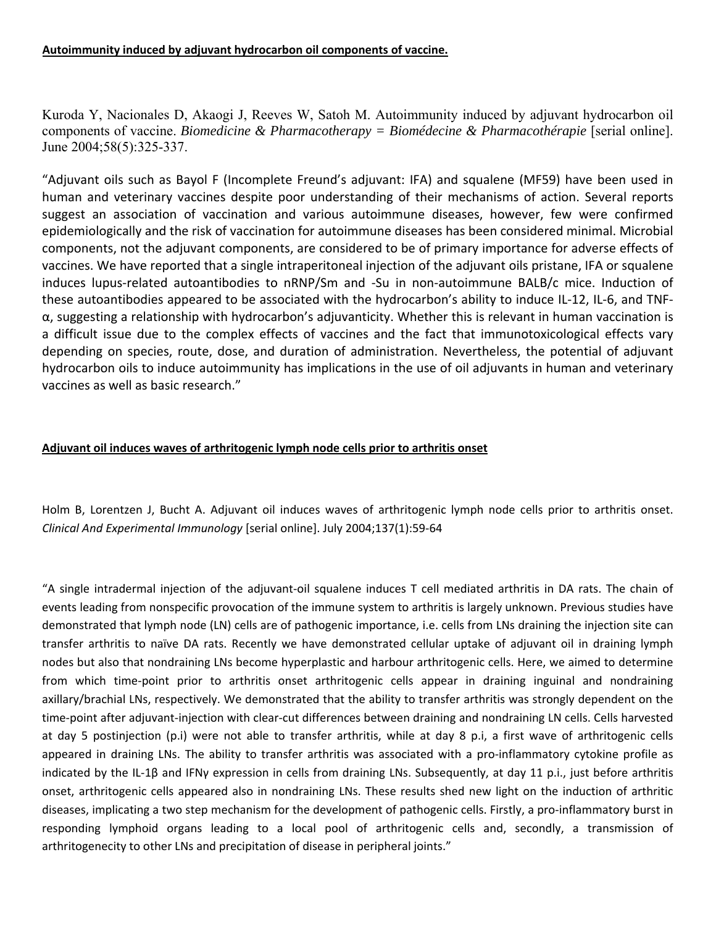Kuroda Y, Nacionales D, Akaogi J, Reeves W, Satoh M. Autoimmunity induced by adjuvant hydrocarbon oil components of vaccine. *Biomedicine & Pharmacotherapy = Biomédecine & Pharmacothérapie* [serial online]. June 2004;58(5):325-337.

"Adjuvant oils such as Bayol F (Incomplete Freund's adjuvant: IFA) and squalene (MF59) have been used in human and veterinary vaccines despite poor understanding of their mechanisms of action. Several reports suggest an association of vaccination and various autoimmune diseases, however, few were confirmed epidemiologically and the risk of vaccination for autoimmune diseases has been considered minimal. Microbial components, not the adjuvant components, are considered to be of primary importance for adverse effects of vaccines. We have reported that a single intraperitoneal injection of the adjuvant oils pristane, IFA or squalene induces lupus-related autoantibodies to nRNP/Sm and -Su in non-autoimmune BALB/c mice. Induction of these autoantibodies appeared to be associated with the hydrocarbon's ability to induce IL‐12, IL‐6, and TNF‐ α, suggesting a relationship with hydrocarbon's adjuvanticity. Whether this is relevant in human vaccination is a difficult issue due to the complex effects of vaccines and the fact that immunotoxicological effects vary depending on species, route, dose, and duration of administration. Nevertheless, the potential of adjuvant hydrocarbon oils to induce autoimmunity has implications in the use of oil adjuvants in human and veterinary vaccines as well as basic research."

#### **Adjuvant oil induces waves of arthritogenic lymph node cells prior to arthritis onset**

Holm B, Lorentzen J, Bucht A. Adjuvant oil induces waves of arthritogenic lymph node cells prior to arthritis onset. *Clinical And Experimental Immunology* [serial online]. July 2004;137(1):59‐64

"A single intradermal injection of the adjuvant‐oil squalene induces T cell mediated arthritis in DA rats. The chain of events leading from nonspecific provocation of the immune system to arthritis is largely unknown. Previous studies have demonstrated that lymph node (LN) cells are of pathogenic importance, i.e. cells from LNs draining the injection site can transfer arthritis to naïve DA rats. Recently we have demonstrated cellular uptake of adjuvant oil in draining lymph nodes but also that nondraining LNs become hyperplastic and harbour arthritogenic cells. Here, we aimed to determine from which time-point prior to arthritis onset arthritogenic cells appear in draining inguinal and nondraining axillary/brachial LNs, respectively. We demonstrated that the ability to transfer arthritis was strongly dependent on the time-point after adjuvant-injection with clear-cut differences between draining and nondraining LN cells. Cells harvested at day 5 postinjection (p.i) were not able to transfer arthritis, while at day 8 p.i, a first wave of arthritogenic cells appeared in draining LNs. The ability to transfer arthritis was associated with a pro-inflammatory cytokine profile as indicated by the IL‐1β and IFNγ expression in cells from draining LNs. Subsequently, at day 11 p.i., just before arthritis onset, arthritogenic cells appeared also in nondraining LNs. These results shed new light on the induction of arthritic diseases, implicating a two step mechanism for the development of pathogenic cells. Firstly, a pro-inflammatory burst in responding lymphoid organs leading to a local pool of arthritogenic cells and, secondly, a transmission of arthritogenecity to other LNs and precipitation of disease in peripheral joints."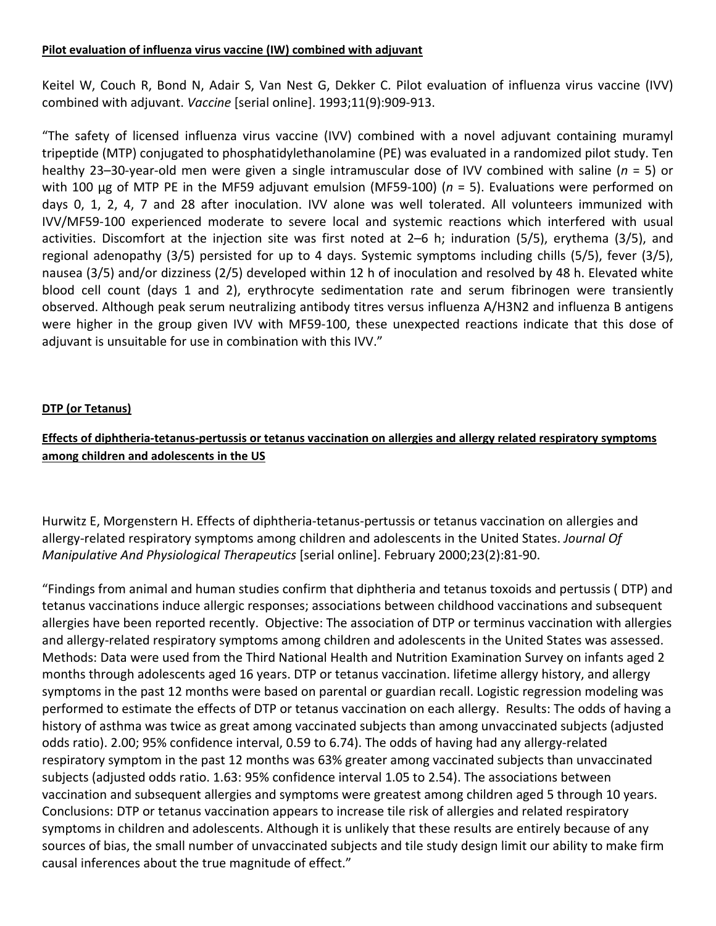#### **Pilot evaluation of influenza virus vaccine (IW) combined with adjuvant**

Keitel W, Couch R, Bond N, Adair S, Van Nest G, Dekker C. Pilot evaluation of influenza virus vaccine (IVV) combined with adjuvant. *Vaccine* [serial online]. 1993;11(9):909‐913.

"The safety of licensed influenza virus vaccine (IVV) combined with a novel adjuvant containing muramyl tripeptide (MTP) conjugated to phosphatidylethanolamine (PE) was evaluated in a randomized pilot study. Ten healthy 23–30‐year‐old men were given a single intramuscular dose of IVV combined with saline (*n* = 5) or with 100 μg of MTP PE in the MF59 adjuvant emulsion (MF59‐100) (*n* = 5). Evaluations were performed on days 0, 1, 2, 4, 7 and 28 after inoculation. IVV alone was well tolerated. All volunteers immunized with IVV/MF59‐100 experienced moderate to severe local and systemic reactions which interfered with usual activities. Discomfort at the injection site was first noted at 2–6 h; induration (5/5), erythema (3/5), and regional adenopathy (3/5) persisted for up to 4 days. Systemic symptoms including chills (5/5), fever (3/5), nausea (3/5) and/or dizziness (2/5) developed within 12 h of inoculation and resolved by 48 h. Elevated white blood cell count (days 1 and 2), erythrocyte sedimentation rate and serum fibrinogen were transiently observed. Although peak serum neutralizing antibody titres versus influenza A/H3N2 and influenza B antigens were higher in the group given IVV with MF59-100, these unexpected reactions indicate that this dose of adjuvant is unsuitable for use in combination with this IVV."

#### **DTP (or Tetanus)**

## Effects of diphtheria-tetanus-pertussis or tetanus vaccination on allergies and allergy related respiratory symptoms **among children and adolescents in the US**

Hurwitz E, Morgenstern H. Effects of diphtheria-tetanus-pertussis or tetanus vaccination on allergies and allergy‐related respiratory symptoms among children and adolescents in the United States. *Journal Of Manipulative And Physiological Therapeutics* [serial online]. February 2000;23(2):81‐90.

"Findings from animal and human studies confirm that diphtheria and tetanus toxoids and pertussis ( DTP) and tetanus vaccinations induce allergic responses; associations between childhood vaccinations and subsequent allergies have been reported recently. Objective: The association of DTP or terminus vaccination with allergies and allergy-related respiratory symptoms among children and adolescents in the United States was assessed. Methods: Data were used from the Third National Health and Nutrition Examination Survey on infants aged 2 months through adolescents aged 16 years. DTP or tetanus vaccination. lifetime allergy history, and allergy symptoms in the past 12 months were based on parental or guardian recall. Logistic regression modeling was performed to estimate the effects of DTP or tetanus vaccination on each allergy. Results: The odds of having a history of asthma was twice as great among vaccinated subjects than among unvaccinated subjects (adjusted odds ratio). 2.00; 95% confidence interval, 0.59 to 6.74). The odds of having had any allergy‐related respiratory symptom in the past 12 months was 63% greater among vaccinated subjects than unvaccinated subjects (adjusted odds ratio. 1.63: 95% confidence interval 1.05 to 2.54). The associations between vaccination and subsequent allergies and symptoms were greatest among children aged 5 through 10 years. Conclusions: DTP or tetanus vaccination appears to increase tile risk of allergies and related respiratory symptoms in children and adolescents. Although it is unlikely that these results are entirely because of any sources of bias, the small number of unvaccinated subjects and tile study design limit our ability to make firm causal inferences about the true magnitude of effect."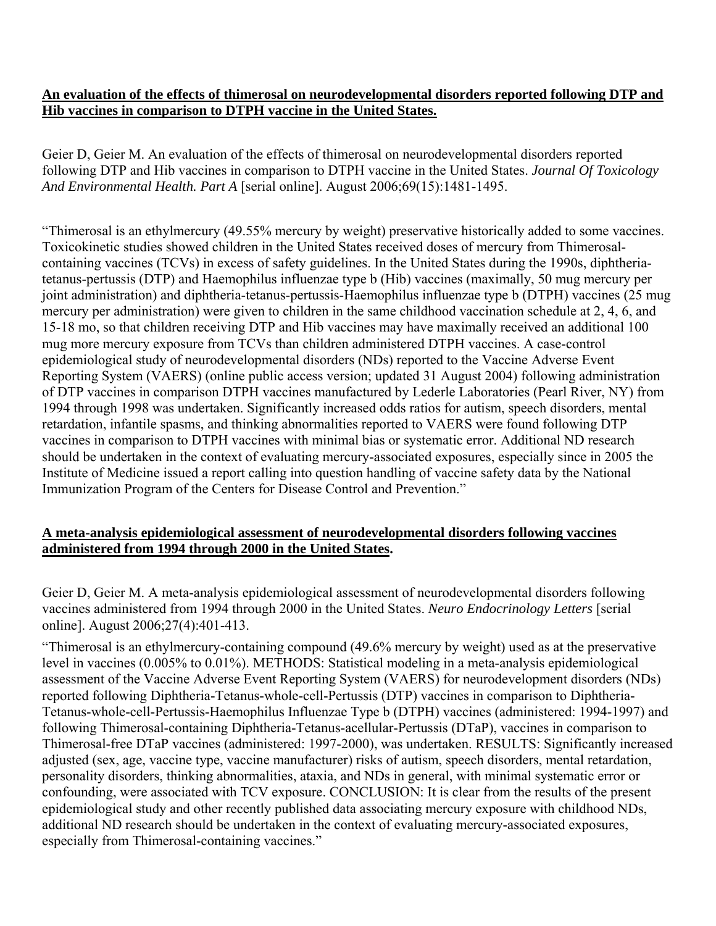#### **An evaluation of the effects of thimerosal on neurodevelopmental disorders reported following DTP and Hib vaccines in comparison to DTPH vaccine in the United States.**

Geier D, Geier M. An evaluation of the effects of thimerosal on neurodevelopmental disorders reported following DTP and Hib vaccines in comparison to DTPH vaccine in the United States. *Journal Of Toxicology And Environmental Health. Part A* [serial online]. August 2006;69(15):1481-1495.

"Thimerosal is an ethylmercury (49.55% mercury by weight) preservative historically added to some vaccines. Toxicokinetic studies showed children in the United States received doses of mercury from Thimerosalcontaining vaccines (TCVs) in excess of safety guidelines. In the United States during the 1990s, diphtheriatetanus-pertussis (DTP) and Haemophilus influenzae type b (Hib) vaccines (maximally, 50 mug mercury per joint administration) and diphtheria-tetanus-pertussis-Haemophilus influenzae type b (DTPH) vaccines (25 mug mercury per administration) were given to children in the same childhood vaccination schedule at 2, 4, 6, and 15-18 mo, so that children receiving DTP and Hib vaccines may have maximally received an additional 100 mug more mercury exposure from TCVs than children administered DTPH vaccines. A case-control epidemiological study of neurodevelopmental disorders (NDs) reported to the Vaccine Adverse Event Reporting System (VAERS) (online public access version; updated 31 August 2004) following administration of DTP vaccines in comparison DTPH vaccines manufactured by Lederle Laboratories (Pearl River, NY) from 1994 through 1998 was undertaken. Significantly increased odds ratios for autism, speech disorders, mental retardation, infantile spasms, and thinking abnormalities reported to VAERS were found following DTP vaccines in comparison to DTPH vaccines with minimal bias or systematic error. Additional ND research should be undertaken in the context of evaluating mercury-associated exposures, especially since in 2005 the Institute of Medicine issued a report calling into question handling of vaccine safety data by the National Immunization Program of the Centers for Disease Control and Prevention."

#### **A meta-analysis epidemiological assessment of neurodevelopmental disorders following vaccines administered from 1994 through 2000 in the United States.**

Geier D, Geier M. A meta-analysis epidemiological assessment of neurodevelopmental disorders following vaccines administered from 1994 through 2000 in the United States. *Neuro Endocrinology Letters* [serial online]. August 2006;27(4):401-413.

"Thimerosal is an ethylmercury-containing compound (49.6% mercury by weight) used as at the preservative level in vaccines (0.005% to 0.01%). METHODS: Statistical modeling in a meta-analysis epidemiological assessment of the Vaccine Adverse Event Reporting System (VAERS) for neurodevelopment disorders (NDs) reported following Diphtheria-Tetanus-whole-cell-Pertussis (DTP) vaccines in comparison to Diphtheria-Tetanus-whole-cell-Pertussis-Haemophilus Influenzae Type b (DTPH) vaccines (administered: 1994-1997) and following Thimerosal-containing Diphtheria-Tetanus-acellular-Pertussis (DTaP), vaccines in comparison to Thimerosal-free DTaP vaccines (administered: 1997-2000), was undertaken. RESULTS: Significantly increased adjusted (sex, age, vaccine type, vaccine manufacturer) risks of autism, speech disorders, mental retardation, personality disorders, thinking abnormalities, ataxia, and NDs in general, with minimal systematic error or confounding, were associated with TCV exposure. CONCLUSION: It is clear from the results of the present epidemiological study and other recently published data associating mercury exposure with childhood NDs, additional ND research should be undertaken in the context of evaluating mercury-associated exposures, especially from Thimerosal-containing vaccines."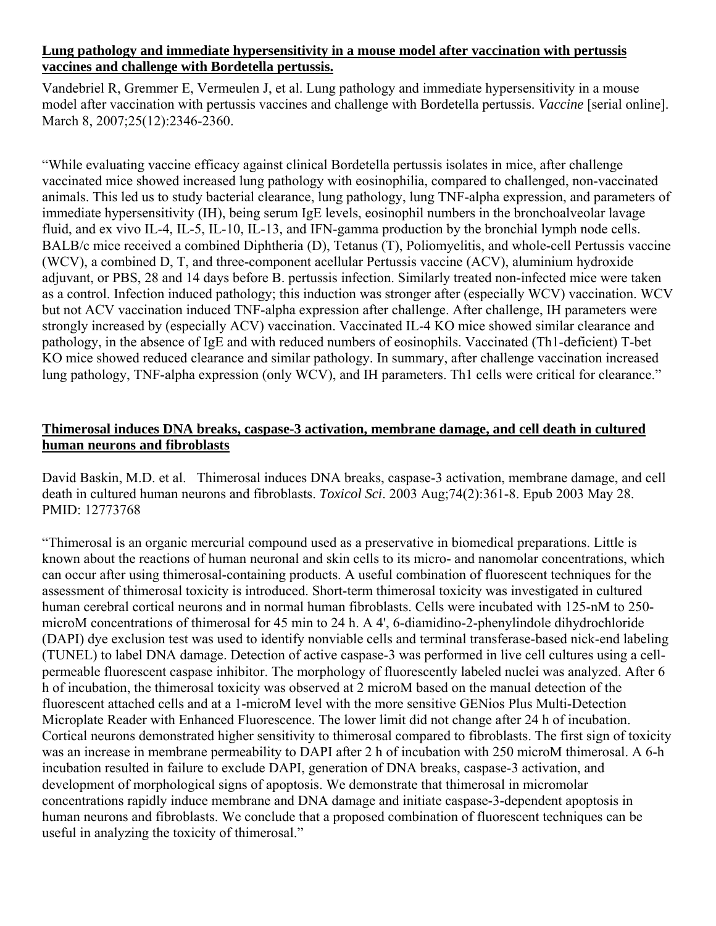#### **Lung pathology and immediate hypersensitivity in a mouse model after vaccination with pertussis vaccines and challenge with Bordetella pertussis.**

Vandebriel R, Gremmer E, Vermeulen J, et al. Lung pathology and immediate hypersensitivity in a mouse model after vaccination with pertussis vaccines and challenge with Bordetella pertussis. *Vaccine* [serial online]. March 8, 2007;25(12):2346-2360.

"While evaluating vaccine efficacy against clinical Bordetella pertussis isolates in mice, after challenge vaccinated mice showed increased lung pathology with eosinophilia, compared to challenged, non-vaccinated animals. This led us to study bacterial clearance, lung pathology, lung TNF-alpha expression, and parameters of immediate hypersensitivity (IH), being serum IgE levels, eosinophil numbers in the bronchoalveolar lavage fluid, and ex vivo IL-4, IL-5, IL-10, IL-13, and IFN-gamma production by the bronchial lymph node cells. BALB/c mice received a combined Diphtheria (D), Tetanus (T), Poliomyelitis, and whole-cell Pertussis vaccine (WCV), a combined D, T, and three-component acellular Pertussis vaccine (ACV), aluminium hydroxide adjuvant, or PBS, 28 and 14 days before B. pertussis infection. Similarly treated non-infected mice were taken as a control. Infection induced pathology; this induction was stronger after (especially WCV) vaccination. WCV but not ACV vaccination induced TNF-alpha expression after challenge. After challenge, IH parameters were strongly increased by (especially ACV) vaccination. Vaccinated IL-4 KO mice showed similar clearance and pathology, in the absence of IgE and with reduced numbers of eosinophils. Vaccinated (Th1-deficient) T-bet KO mice showed reduced clearance and similar pathology. In summary, after challenge vaccination increased lung pathology, TNF-alpha expression (only WCV), and IH parameters. Th1 cells were critical for clearance."

## **Thimerosal induces DNA breaks, caspase-3 activation, membrane damage, and cell death in cultured human neurons and fibroblasts**

David Baskin, M.D. et al. Thimerosal induces DNA breaks, caspase-3 activation, membrane damage, and cell death in cultured human neurons and fibroblasts. *Toxicol Sci*. 2003 Aug;74(2):361-8. Epub 2003 May 28. PMID: 12773768

"Thimerosal is an organic mercurial compound used as a preservative in biomedical preparations. Little is known about the reactions of human neuronal and skin cells to its micro- and nanomolar concentrations, which can occur after using thimerosal-containing products. A useful combination of fluorescent techniques for the assessment of thimerosal toxicity is introduced. Short-term thimerosal toxicity was investigated in cultured human cerebral cortical neurons and in normal human fibroblasts. Cells were incubated with 125-nM to 250 microM concentrations of thimerosal for 45 min to 24 h. A 4', 6-diamidino-2-phenylindole dihydrochloride (DAPI) dye exclusion test was used to identify nonviable cells and terminal transferase-based nick-end labeling (TUNEL) to label DNA damage. Detection of active caspase-3 was performed in live cell cultures using a cellpermeable fluorescent caspase inhibitor. The morphology of fluorescently labeled nuclei was analyzed. After 6 h of incubation, the thimerosal toxicity was observed at 2 microM based on the manual detection of the fluorescent attached cells and at a 1-microM level with the more sensitive GENios Plus Multi-Detection Microplate Reader with Enhanced Fluorescence. The lower limit did not change after 24 h of incubation. Cortical neurons demonstrated higher sensitivity to thimerosal compared to fibroblasts. The first sign of toxicity was an increase in membrane permeability to DAPI after 2 h of incubation with 250 microM thimerosal. A 6-h incubation resulted in failure to exclude DAPI, generation of DNA breaks, caspase-3 activation, and development of morphological signs of apoptosis. We demonstrate that thimerosal in micromolar concentrations rapidly induce membrane and DNA damage and initiate caspase-3-dependent apoptosis in human neurons and fibroblasts. We conclude that a proposed combination of fluorescent techniques can be useful in analyzing the toxicity of thimerosal."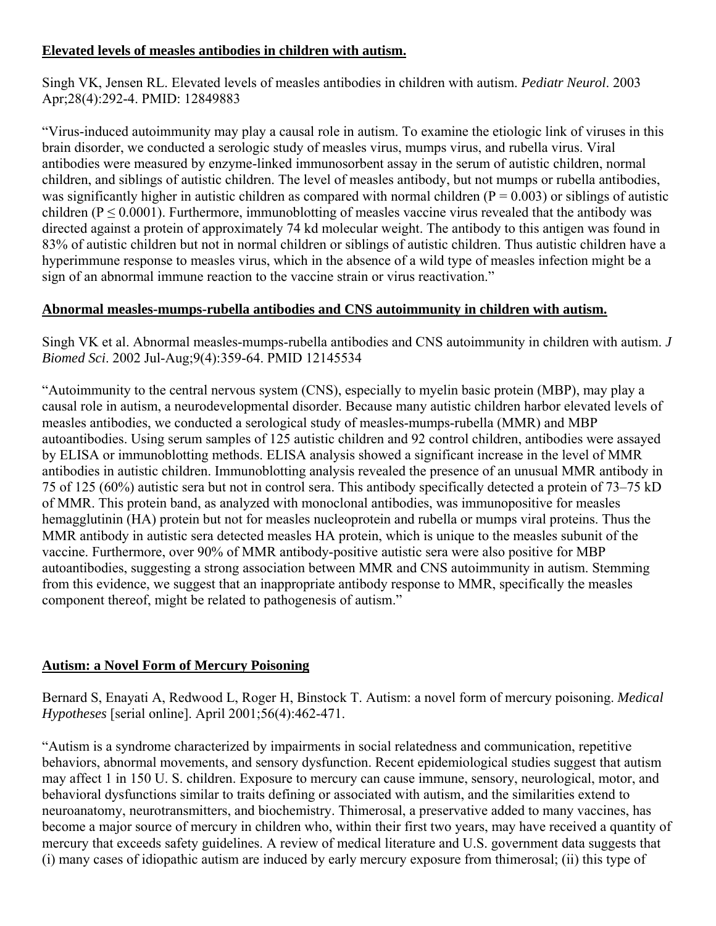## **Elevated levels of measles antibodies in children with autism.**

Singh VK, Jensen RL. Elevated levels of measles antibodies in children with autism. *Pediatr Neurol*. 2003 Apr;28(4):292-4. PMID: 12849883

"Virus-induced autoimmunity may play a causal role in autism. To examine the etiologic link of viruses in this brain disorder, we conducted a serologic study of measles virus, mumps virus, and rubella virus. Viral antibodies were measured by enzyme-linked immunosorbent assay in the serum of autistic children, normal children, and siblings of autistic children. The level of measles antibody, but not mumps or rubella antibodies, was significantly higher in autistic children as compared with normal children ( $P = 0.003$ ) or siblings of autistic children ( $P \le 0.0001$ ). Furthermore, immunoblotting of measles vaccine virus revealed that the antibody was directed against a protein of approximately 74 kd molecular weight. The antibody to this antigen was found in 83% of autistic children but not in normal children or siblings of autistic children. Thus autistic children have a hyperimmune response to measles virus, which in the absence of a wild type of measles infection might be a sign of an abnormal immune reaction to the vaccine strain or virus reactivation."

## **Abnormal measles-mumps-rubella antibodies and CNS autoimmunity in children with autism.**

Singh VK et al. Abnormal measles-mumps-rubella antibodies and CNS autoimmunity in children with autism. *J Biomed Sci*. 2002 Jul-Aug;9(4):359-64. PMID 12145534

"Autoimmunity to the central nervous system (CNS), especially to myelin basic protein (MBP), may play a causal role in autism, a neurodevelopmental disorder. Because many autistic children harbor elevated levels of measles antibodies, we conducted a serological study of measles-mumps-rubella (MMR) and MBP autoantibodies. Using serum samples of 125 autistic children and 92 control children, antibodies were assayed by ELISA or immunoblotting methods. ELISA analysis showed a significant increase in the level of MMR antibodies in autistic children. Immunoblotting analysis revealed the presence of an unusual MMR antibody in 75 of 125 (60%) autistic sera but not in control sera. This antibody specifically detected a protein of 73–75 kD of MMR. This protein band, as analyzed with monoclonal antibodies, was immunopositive for measles hemagglutinin (HA) protein but not for measles nucleoprotein and rubella or mumps viral proteins. Thus the MMR antibody in autistic sera detected measles HA protein, which is unique to the measles subunit of the vaccine. Furthermore, over 90% of MMR antibody-positive autistic sera were also positive for MBP autoantibodies, suggesting a strong association between MMR and CNS autoimmunity in autism. Stemming from this evidence, we suggest that an inappropriate antibody response to MMR, specifically the measles component thereof, might be related to pathogenesis of autism."

## **Autism: a Novel Form of Mercury Poisoning**

Bernard S, Enayati A, Redwood L, Roger H, Binstock T. Autism: a novel form of mercury poisoning. *Medical Hypotheses* [serial online]. April 2001;56(4):462-471.

"Autism is a syndrome characterized by impairments in social relatedness and communication, repetitive behaviors, abnormal movements, and sensory dysfunction. Recent epidemiological studies suggest that autism may affect 1 in 150 U. S. children. Exposure to mercury can cause immune, sensory, neurological, motor, and behavioral dysfunctions similar to traits defining or associated with autism, and the similarities extend to neuroanatomy, neurotransmitters, and biochemistry. Thimerosal, a preservative added to many vaccines, has become a major source of mercury in children who, within their first two years, may have received a quantity of mercury that exceeds safety guidelines. A review of medical literature and U.S. government data suggests that (i) many cases of idiopathic autism are induced by early mercury exposure from thimerosal; (ii) this type of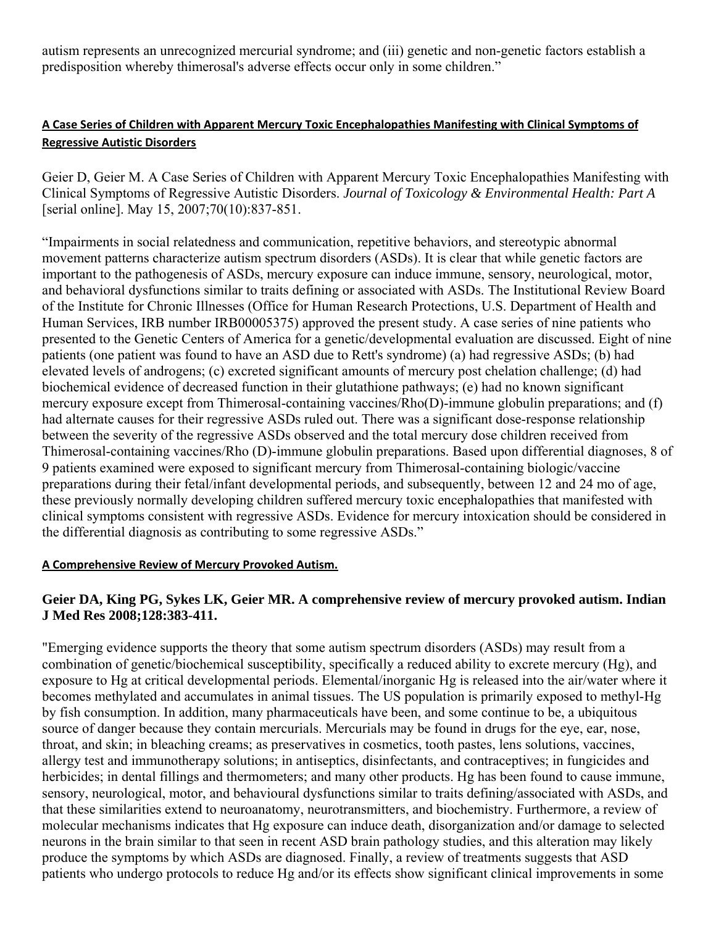autism represents an unrecognized mercurial syndrome; and (iii) genetic and non-genetic factors establish a predisposition whereby thimerosal's adverse effects occur only in some children."

## **A Case Series of Children with Apparent Mercury Toxic Encephalopathies Manifesting with Clinical Symptoms of Regressive Autistic Disorders**

Geier D, Geier M. A Case Series of Children with Apparent Mercury Toxic Encephalopathies Manifesting with Clinical Symptoms of Regressive Autistic Disorders. *Journal of Toxicology & Environmental Health: Part A* [serial online]. May 15, 2007;70(10):837-851.

"Impairments in social relatedness and communication, repetitive behaviors, and stereotypic abnormal movement patterns characterize autism spectrum disorders (ASDs). It is clear that while genetic factors are important to the pathogenesis of ASDs, mercury exposure can induce immune, sensory, neurological, motor, and behavioral dysfunctions similar to traits defining or associated with ASDs. The Institutional Review Board of the Institute for Chronic Illnesses (Office for Human Research Protections, U.S. Department of Health and Human Services, IRB number IRB00005375) approved the present study. A case series of nine patients who presented to the Genetic Centers of America for a genetic/developmental evaluation are discussed. Eight of nine patients (one patient was found to have an ASD due to Rett's syndrome) (a) had regressive ASDs; (b) had elevated levels of androgens; (c) excreted significant amounts of mercury post chelation challenge; (d) had biochemical evidence of decreased function in their glutathione pathways; (e) had no known significant mercury exposure except from Thimerosal-containing vaccines/Rho(D)-immune globulin preparations; and (f) had alternate causes for their regressive ASDs ruled out. There was a significant dose-response relationship between the severity of the regressive ASDs observed and the total mercury dose children received from Thimerosal-containing vaccines/Rho (D)-immune globulin preparations. Based upon differential diagnoses, 8 of 9 patients examined were exposed to significant mercury from Thimerosal-containing biologic/vaccine preparations during their fetal/infant developmental periods, and subsequently, between 12 and 24 mo of age, these previously normally developing children suffered mercury toxic encephalopathies that manifested with clinical symptoms consistent with regressive ASDs. Evidence for mercury intoxication should be considered in the differential diagnosis as contributing to some regressive ASDs."

#### **A Comprehensive Review of Mercury Provoked Autism.**

## **Geier DA, King PG, Sykes LK, Geier MR. A comprehensive review of mercury provoked autism. Indian J Med Res 2008;128:383-411.**

"Emerging evidence supports the theory that some autism spectrum disorders (ASDs) may result from a combination of genetic/biochemical susceptibility, specifically a reduced ability to excrete mercury (Hg), and exposure to Hg at critical developmental periods. Elemental/inorganic Hg is released into the air/water where it becomes methylated and accumulates in animal tissues. The US population is primarily exposed to methyl-Hg by fish consumption. In addition, many pharmaceuticals have been, and some continue to be, a ubiquitous source of danger because they contain mercurials. Mercurials may be found in drugs for the eye, ear, nose, throat, and skin; in bleaching creams; as preservatives in cosmetics, tooth pastes, lens solutions, vaccines, allergy test and immunotherapy solutions; in antiseptics, disinfectants, and contraceptives; in fungicides and herbicides; in dental fillings and thermometers; and many other products. Hg has been found to cause immune, sensory, neurological, motor, and behavioural dysfunctions similar to traits defining/associated with ASDs, and that these similarities extend to neuroanatomy, neurotransmitters, and biochemistry. Furthermore, a review of molecular mechanisms indicates that Hg exposure can induce death, disorganization and/or damage to selected neurons in the brain similar to that seen in recent ASD brain pathology studies, and this alteration may likely produce the symptoms by which ASDs are diagnosed. Finally, a review of treatments suggests that ASD patients who undergo protocols to reduce Hg and/or its effects show significant clinical improvements in some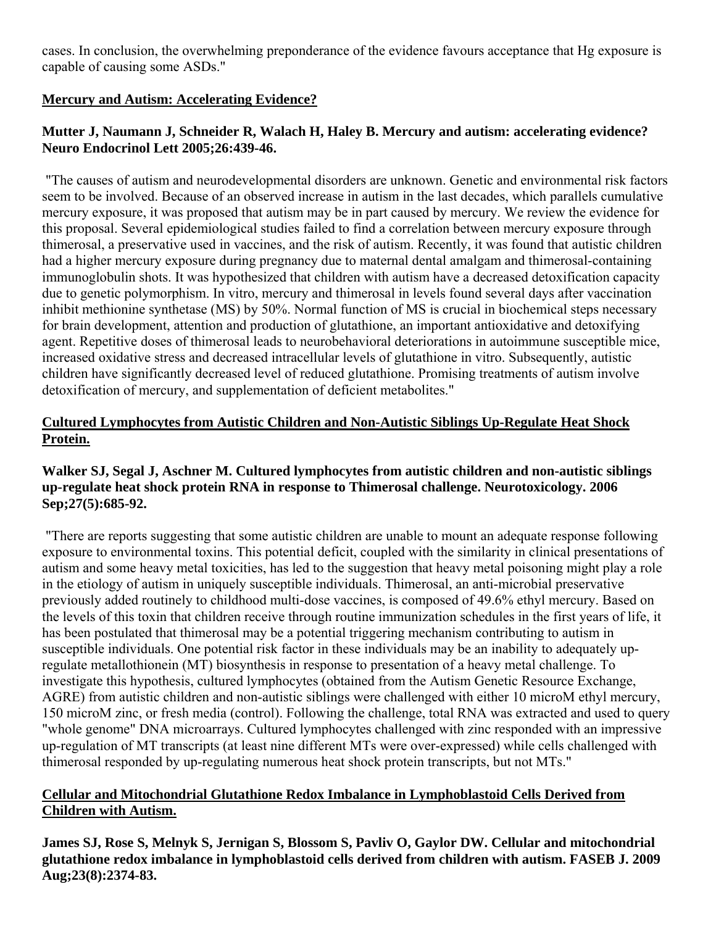cases. In conclusion, the overwhelming preponderance of the evidence favours acceptance that Hg exposure is capable of causing some ASDs."

## **Mercury and Autism: Accelerating Evidence?**

## **Mutter J, Naumann J, Schneider R, Walach H, Haley B. Mercury and autism: accelerating evidence? Neuro Endocrinol Lett 2005;26:439-46.**

 "The causes of autism and neurodevelopmental disorders are unknown. Genetic and environmental risk factors seem to be involved. Because of an observed increase in autism in the last decades, which parallels cumulative mercury exposure, it was proposed that autism may be in part caused by mercury. We review the evidence for this proposal. Several epidemiological studies failed to find a correlation between mercury exposure through thimerosal, a preservative used in vaccines, and the risk of autism. Recently, it was found that autistic children had a higher mercury exposure during pregnancy due to maternal dental amalgam and thimerosal-containing immunoglobulin shots. It was hypothesized that children with autism have a decreased detoxification capacity due to genetic polymorphism. In vitro, mercury and thimerosal in levels found several days after vaccination inhibit methionine synthetase (MS) by 50%. Normal function of MS is crucial in biochemical steps necessary for brain development, attention and production of glutathione, an important antioxidative and detoxifying agent. Repetitive doses of thimerosal leads to neurobehavioral deteriorations in autoimmune susceptible mice, increased oxidative stress and decreased intracellular levels of glutathione in vitro. Subsequently, autistic children have significantly decreased level of reduced glutathione. Promising treatments of autism involve detoxification of mercury, and supplementation of deficient metabolites."

## **Cultured Lymphocytes from Autistic Children and Non-Autistic Siblings Up-Regulate Heat Shock Protein.**

#### **Walker SJ, Segal J, Aschner M. Cultured lymphocytes from autistic children and non-autistic siblings up-regulate heat shock protein RNA in response to Thimerosal challenge. Neurotoxicology. 2006 Sep;27(5):685-92.**

 "There are reports suggesting that some autistic children are unable to mount an adequate response following exposure to environmental toxins. This potential deficit, coupled with the similarity in clinical presentations of autism and some heavy metal toxicities, has led to the suggestion that heavy metal poisoning might play a role in the etiology of autism in uniquely susceptible individuals. Thimerosal, an anti-microbial preservative previously added routinely to childhood multi-dose vaccines, is composed of 49.6% ethyl mercury. Based on the levels of this toxin that children receive through routine immunization schedules in the first years of life, it has been postulated that thimerosal may be a potential triggering mechanism contributing to autism in susceptible individuals. One potential risk factor in these individuals may be an inability to adequately upregulate metallothionein (MT) biosynthesis in response to presentation of a heavy metal challenge. To investigate this hypothesis, cultured lymphocytes (obtained from the Autism Genetic Resource Exchange, AGRE) from autistic children and non-autistic siblings were challenged with either 10 microM ethyl mercury, 150 microM zinc, or fresh media (control). Following the challenge, total RNA was extracted and used to query "whole genome" DNA microarrays. Cultured lymphocytes challenged with zinc responded with an impressive up-regulation of MT transcripts (at least nine different MTs were over-expressed) while cells challenged with thimerosal responded by up-regulating numerous heat shock protein transcripts, but not MTs."

## **Cellular and Mitochondrial Glutathione Redox Imbalance in Lymphoblastoid Cells Derived from Children with Autism.**

**James SJ, Rose S, Melnyk S, Jernigan S, Blossom S, Pavliv O, Gaylor DW. Cellular and mitochondrial glutathione redox imbalance in lymphoblastoid cells derived from children with autism. FASEB J. 2009 Aug;23(8):2374-83.**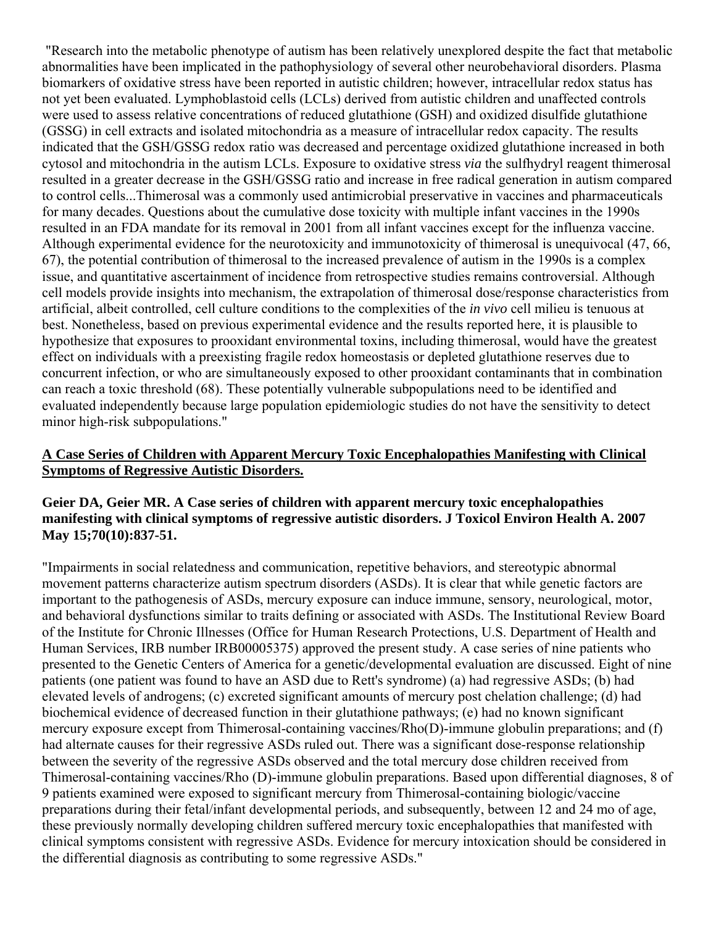"Research into the metabolic phenotype of autism has been relatively unexplored despite the fact that metabolic abnormalities have been implicated in the pathophysiology of several other neurobehavioral disorders. Plasma biomarkers of oxidative stress have been reported in autistic children; however, intracellular redox status has not yet been evaluated. Lymphoblastoid cells (LCLs) derived from autistic children and unaffected controls were used to assess relative concentrations of reduced glutathione (GSH) and oxidized disulfide glutathione (GSSG) in cell extracts and isolated mitochondria as a measure of intracellular redox capacity. The results indicated that the GSH/GSSG redox ratio was decreased and percentage oxidized glutathione increased in both cytosol and mitochondria in the autism LCLs. Exposure to oxidative stress *via* the sulfhydryl reagent thimerosal resulted in a greater decrease in the GSH/GSSG ratio and increase in free radical generation in autism compared to control cells...Thimerosal was a commonly used antimicrobial preservative in vaccines and pharmaceuticals for many decades. Questions about the cumulative dose toxicity with multiple infant vaccines in the 1990s resulted in an FDA mandate for its removal in 2001 from all infant vaccines except for the influenza vaccine. Although experimental evidence for the neurotoxicity and immunotoxicity of thimerosal is unequivocal (47, 66, 67), the potential contribution of thimerosal to the increased prevalence of autism in the 1990s is a complex issue, and quantitative ascertainment of incidence from retrospective studies remains controversial. Although cell models provide insights into mechanism, the extrapolation of thimerosal dose/response characteristics from artificial, albeit controlled, cell culture conditions to the complexities of the *in vivo* cell milieu is tenuous at best. Nonetheless, based on previous experimental evidence and the results reported here, it is plausible to hypothesize that exposures to prooxidant environmental toxins, including thimerosal, would have the greatest effect on individuals with a preexisting fragile redox homeostasis or depleted glutathione reserves due to concurrent infection, or who are simultaneously exposed to other prooxidant contaminants that in combination can reach a toxic threshold (68). These potentially vulnerable subpopulations need to be identified and evaluated independently because large population epidemiologic studies do not have the sensitivity to detect minor high-risk subpopulations."

#### **A Case Series of Children with Apparent Mercury Toxic Encephalopathies Manifesting with Clinical Symptoms of Regressive Autistic Disorders.**

#### **Geier DA, Geier MR. A Case series of children with apparent mercury toxic encephalopathies manifesting with clinical symptoms of regressive autistic disorders. J Toxicol Environ Health A. 2007 May 15;70(10):837-51.**

"Impairments in social relatedness and communication, repetitive behaviors, and stereotypic abnormal movement patterns characterize autism spectrum disorders (ASDs). It is clear that while genetic factors are important to the pathogenesis of ASDs, mercury exposure can induce immune, sensory, neurological, motor, and behavioral dysfunctions similar to traits defining or associated with ASDs. The Institutional Review Board of the Institute for Chronic Illnesses (Office for Human Research Protections, U.S. Department of Health and Human Services, IRB number IRB00005375) approved the present study. A case series of nine patients who presented to the Genetic Centers of America for a genetic/developmental evaluation are discussed. Eight of nine patients (one patient was found to have an ASD due to Rett's syndrome) (a) had regressive ASDs; (b) had elevated levels of androgens; (c) excreted significant amounts of mercury post chelation challenge; (d) had biochemical evidence of decreased function in their glutathione pathways; (e) had no known significant mercury exposure except from Thimerosal-containing vaccines/Rho(D)-immune globulin preparations; and (f) had alternate causes for their regressive ASDs ruled out. There was a significant dose-response relationship between the severity of the regressive ASDs observed and the total mercury dose children received from Thimerosal-containing vaccines/Rho (D)-immune globulin preparations. Based upon differential diagnoses, 8 of 9 patients examined were exposed to significant mercury from Thimerosal-containing biologic/vaccine preparations during their fetal/infant developmental periods, and subsequently, between 12 and 24 mo of age, these previously normally developing children suffered mercury toxic encephalopathies that manifested with clinical symptoms consistent with regressive ASDs. Evidence for mercury intoxication should be considered in the differential diagnosis as contributing to some regressive ASDs."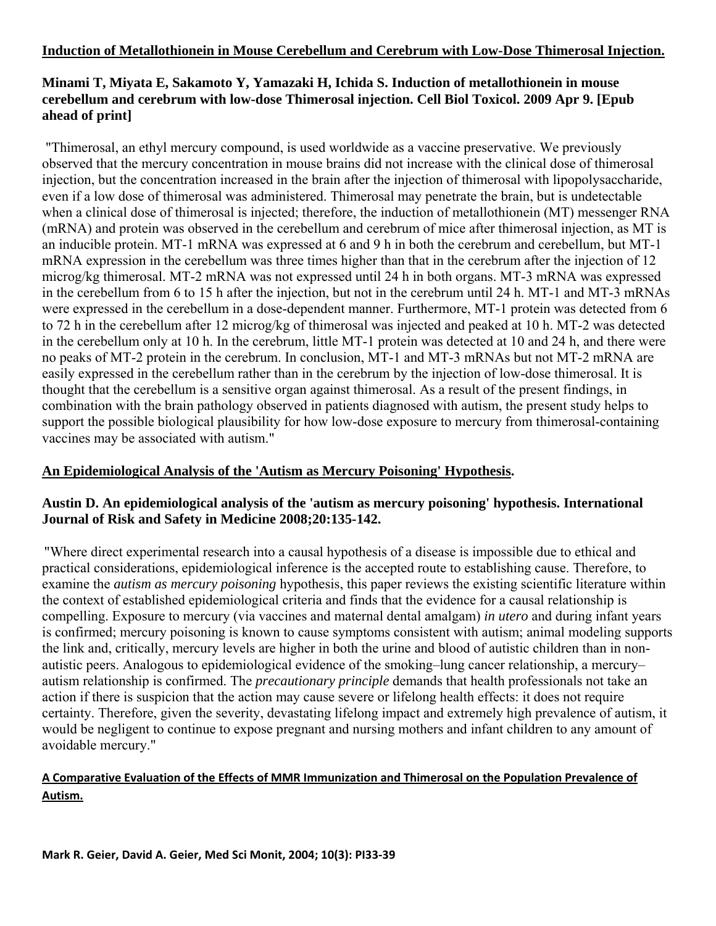#### **Induction of Metallothionein in Mouse Cerebellum and Cerebrum with Low-Dose Thimerosal Injection.**

## **Minami T, Miyata E, Sakamoto Y, Yamazaki H, Ichida S. Induction of metallothionein in mouse cerebellum and cerebrum with low-dose Thimerosal injection. Cell Biol Toxicol. 2009 Apr 9. [Epub ahead of print]**

 "Thimerosal, an ethyl mercury compound, is used worldwide as a vaccine preservative. We previously observed that the mercury concentration in mouse brains did not increase with the clinical dose of thimerosal injection, but the concentration increased in the brain after the injection of thimerosal with lipopolysaccharide, even if a low dose of thimerosal was administered. Thimerosal may penetrate the brain, but is undetectable when a clinical dose of thimerosal is injected; therefore, the induction of metallothionein (MT) messenger RNA (mRNA) and protein was observed in the cerebellum and cerebrum of mice after thimerosal injection, as MT is an inducible protein. MT-1 mRNA was expressed at 6 and 9 h in both the cerebrum and cerebellum, but MT-1 mRNA expression in the cerebellum was three times higher than that in the cerebrum after the injection of 12 microg/kg thimerosal. MT-2 mRNA was not expressed until 24 h in both organs. MT-3 mRNA was expressed in the cerebellum from 6 to 15 h after the injection, but not in the cerebrum until 24 h. MT-1 and MT-3 mRNAs were expressed in the cerebellum in a dose-dependent manner. Furthermore, MT-1 protein was detected from 6 to 72 h in the cerebellum after 12 microg/kg of thimerosal was injected and peaked at 10 h. MT-2 was detected in the cerebellum only at 10 h. In the cerebrum, little MT-1 protein was detected at 10 and 24 h, and there were no peaks of MT-2 protein in the cerebrum. In conclusion, MT-1 and MT-3 mRNAs but not MT-2 mRNA are easily expressed in the cerebellum rather than in the cerebrum by the injection of low-dose thimerosal. It is thought that the cerebellum is a sensitive organ against thimerosal. As a result of the present findings, in combination with the brain pathology observed in patients diagnosed with autism, the present study helps to support the possible biological plausibility for how low-dose exposure to mercury from thimerosal-containing vaccines may be associated with autism."

#### **An Epidemiological Analysis of the 'Autism as Mercury Poisoning' Hypothesis.**

#### **Austin D. An epidemiological analysis of the 'autism as mercury poisoning' hypothesis. International Journal of Risk and Safety in Medicine 2008;20:135-142.**

"Where direct experimental research into a causal hypothesis of a disease is impossible due to ethical and practical considerations, epidemiological inference is the accepted route to establishing cause. Therefore, to examine the *autism as mercury poisoning* hypothesis, this paper reviews the existing scientific literature within the context of established epidemiological criteria and finds that the evidence for a causal relationship is compelling. Exposure to mercury (via vaccines and maternal dental amalgam) *in utero* and during infant years is confirmed; mercury poisoning is known to cause symptoms consistent with autism; animal modeling supports the link and, critically, mercury levels are higher in both the urine and blood of autistic children than in nonautistic peers. Analogous to epidemiological evidence of the smoking–lung cancer relationship, a mercury– autism relationship is confirmed. The *precautionary principle* demands that health professionals not take an action if there is suspicion that the action may cause severe or lifelong health effects: it does not require certainty. Therefore, given the severity, devastating lifelong impact and extremely high prevalence of autism, it would be negligent to continue to expose pregnant and nursing mothers and infant children to any amount of avoidable mercury."

## **A Comparative Evaluation of the Effects of MMR Immunization and Thimerosal on the Population Prevalence of Autism.**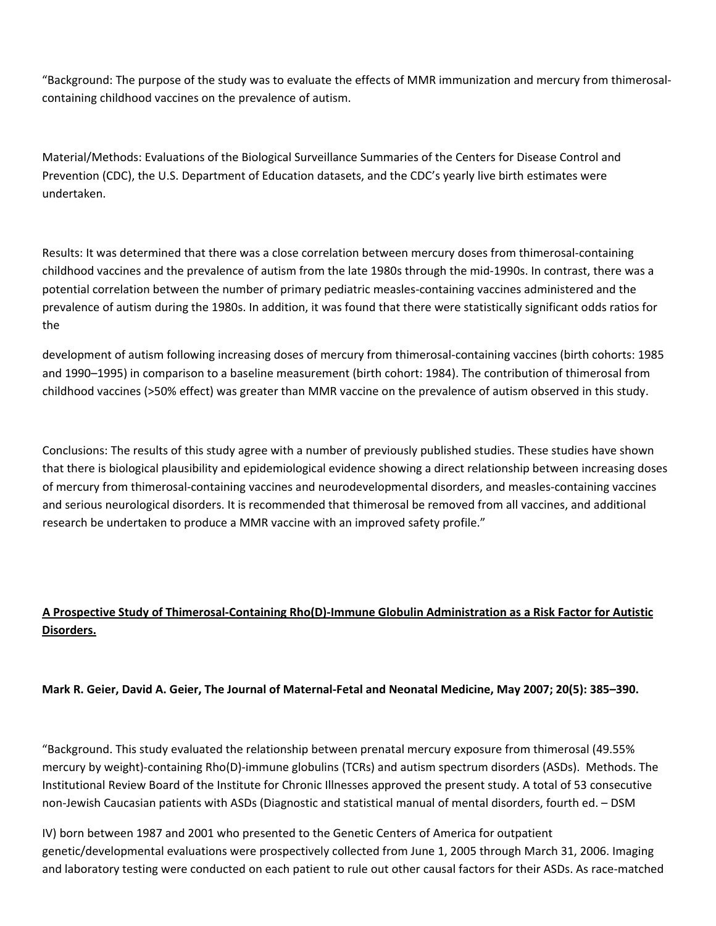"Background: The purpose of the study was to evaluate the effects of MMR immunization and mercury from thimerosal‐ containing childhood vaccines on the prevalence of autism.

Material/Methods: Evaluations of the Biological Surveillance Summaries of the Centers for Disease Control and Prevention (CDC), the U.S. Department of Education datasets, and the CDC's yearly live birth estimates were undertaken.

Results: It was determined that there was a close correlation between mercury doses from thimerosal‐containing childhood vaccines and the prevalence of autism from the late 1980s through the mid‐1990s. In contrast, there was a potential correlation between the number of primary pediatric measles‐containing vaccines administered and the prevalence of autism during the 1980s. In addition, it was found that there were statistically significant odds ratios for the

development of autism following increasing doses of mercury from thimerosal‐containing vaccines (birth cohorts: 1985 and 1990–1995) in comparison to a baseline measurement (birth cohort: 1984). The contribution of thimerosal from childhood vaccines (>50% effect) was greater than MMR vaccine on the prevalence of autism observed in this study.

Conclusions: The results of this study agree with a number of previously published studies. These studies have shown that there is biological plausibility and epidemiological evidence showing a direct relationship between increasing doses of mercury from thimerosal‐containing vaccines and neurodevelopmental disorders, and measles‐containing vaccines and serious neurological disorders. It is recommended that thimerosal be removed from all vaccines, and additional research be undertaken to produce a MMR vaccine with an improved safety profile."

## A Prospective Study of Thimerosal-Containing Rho(D)-Immune Globulin Administration as a Risk Factor for Autistic **Disorders.**

Mark R. Geier, David A. Geier, The Journal of Maternal-Fetal and Neonatal Medicine, May 2007; 20(5): 385-390.

"Background. This study evaluated the relationship between prenatal mercury exposure from thimerosal (49.55% mercury by weight)‐containing Rho(D)‐immune globulins (TCRs) and autism spectrum disorders (ASDs). Methods. The Institutional Review Board of the Institute for Chronic Illnesses approved the present study. A total of 53 consecutive non‐Jewish Caucasian patients with ASDs (Diagnostic and statistical manual of mental disorders, fourth ed. – DSM

IV) born between 1987 and 2001 who presented to the Genetic Centers of America for outpatient genetic/developmental evaluations were prospectively collected from June 1, 2005 through March 31, 2006. Imaging and laboratory testing were conducted on each patient to rule out other causal factors for their ASDs. As race-matched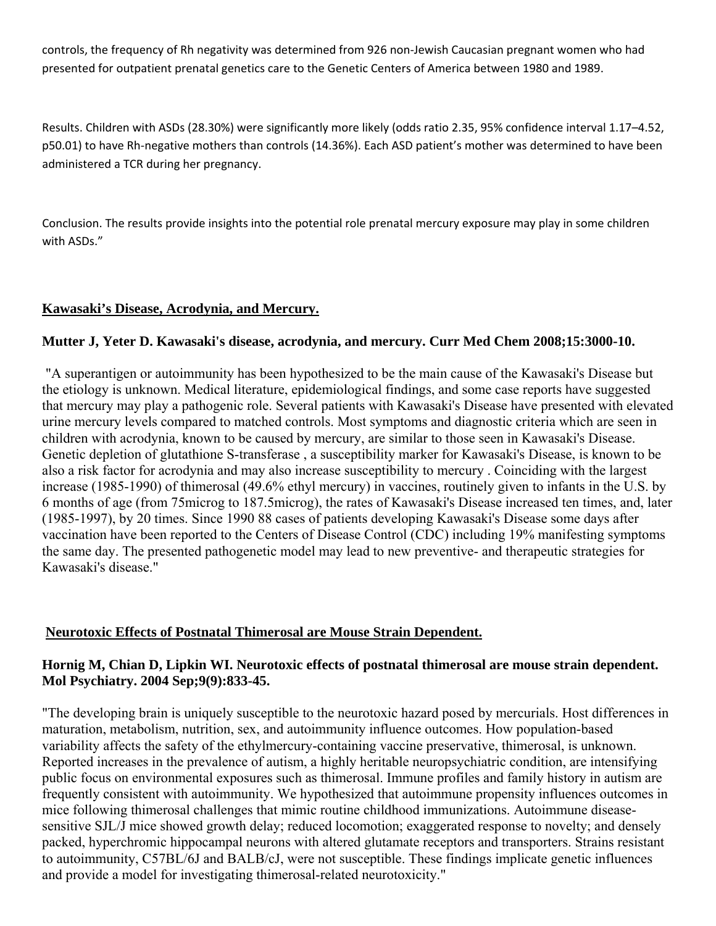controls, the frequency of Rh negativity was determined from 926 non‐Jewish Caucasian pregnant women who had presented for outpatient prenatal genetics care to the Genetic Centers of America between 1980 and 1989.

Results. Children with ASDs (28.30%) were significantly more likely (odds ratio 2.35, 95% confidence interval 1.17–4.52, p50.01) to have Rh-negative mothers than controls (14.36%). Each ASD patient's mother was determined to have been administered a TCR during her pregnancy.

Conclusion. The results provide insights into the potential role prenatal mercury exposure may play in some children with ASDs."

## **Kawasaki's Disease, Acrodynia, and Mercury.**

#### **Mutter J, Yeter D. Kawasaki's disease, acrodynia, and mercury. Curr Med Chem 2008;15:3000-10.**

 "A superantigen or autoimmunity has been hypothesized to be the main cause of the Kawasaki's Disease but the etiology is unknown. Medical literature, epidemiological findings, and some case reports have suggested that mercury may play a pathogenic role. Several patients with Kawasaki's Disease have presented with elevated urine mercury levels compared to matched controls. Most symptoms and diagnostic criteria which are seen in children with acrodynia, known to be caused by mercury, are similar to those seen in Kawasaki's Disease. Genetic depletion of glutathione S-transferase , a susceptibility marker for Kawasaki's Disease, is known to be also a risk factor for acrodynia and may also increase susceptibility to mercury . Coinciding with the largest increase (1985-1990) of thimerosal (49.6% ethyl mercury) in vaccines, routinely given to infants in the U.S. by 6 months of age (from 75microg to 187.5microg), the rates of Kawasaki's Disease increased ten times, and, later (1985-1997), by 20 times. Since 1990 88 cases of patients developing Kawasaki's Disease some days after vaccination have been reported to the Centers of Disease Control (CDC) including 19% manifesting symptoms the same day. The presented pathogenetic model may lead to new preventive- and therapeutic strategies for Kawasaki's disease."

#### **Neurotoxic Effects of Postnatal Thimerosal are Mouse Strain Dependent.**

#### **Hornig M, Chian D, Lipkin WI. Neurotoxic effects of postnatal thimerosal are mouse strain dependent. Mol Psychiatry. 2004 Sep;9(9):833-45.**

"The developing brain is uniquely susceptible to the neurotoxic hazard posed by mercurials. Host differences in maturation, metabolism, nutrition, sex, and autoimmunity influence outcomes. How population-based variability affects the safety of the ethylmercury-containing vaccine preservative, thimerosal, is unknown. Reported increases in the prevalence of autism, a highly heritable neuropsychiatric condition, are intensifying public focus on environmental exposures such as thimerosal. Immune profiles and family history in autism are frequently consistent with autoimmunity. We hypothesized that autoimmune propensity influences outcomes in mice following thimerosal challenges that mimic routine childhood immunizations. Autoimmune diseasesensitive SJL/J mice showed growth delay; reduced locomotion; exaggerated response to novelty; and densely packed, hyperchromic hippocampal neurons with altered glutamate receptors and transporters. Strains resistant to autoimmunity, C57BL/6J and BALB/cJ, were not susceptible. These findings implicate genetic influences and provide a model for investigating thimerosal-related neurotoxicity."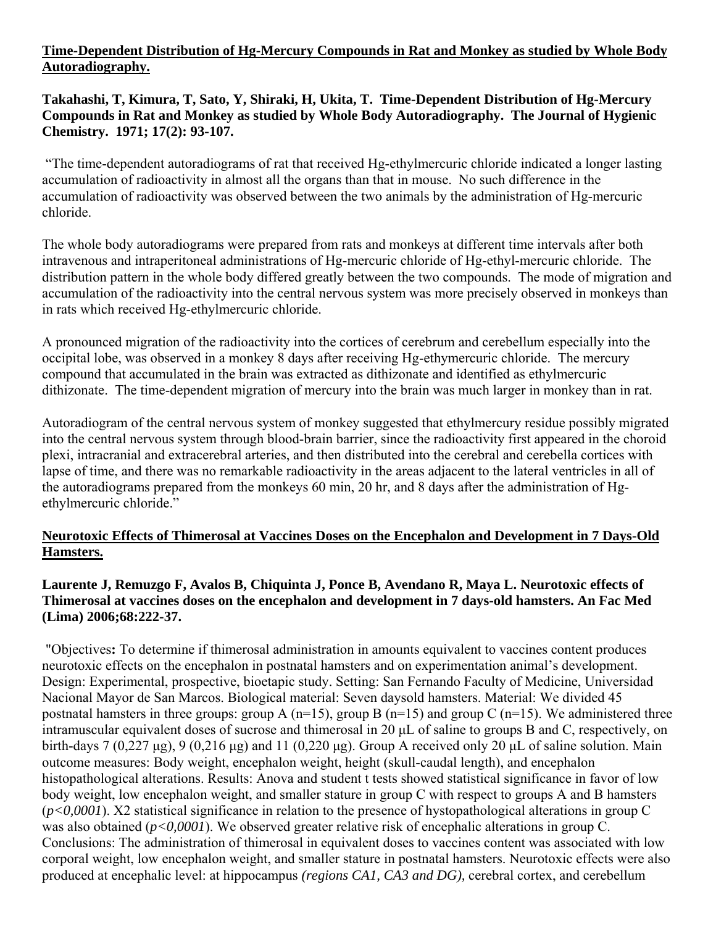#### **Time-Dependent Distribution of Hg-Mercury Compounds in Rat and Monkey as studied by Whole Body Autoradiography.**

## **Takahashi, T, Kimura, T, Sato, Y, Shiraki, H, Ukita, T. Time-Dependent Distribution of Hg-Mercury Compounds in Rat and Monkey as studied by Whole Body Autoradiography. The Journal of Hygienic Chemistry. 1971; 17(2): 93-107.**

 "The time-dependent autoradiograms of rat that received Hg-ethylmercuric chloride indicated a longer lasting accumulation of radioactivity in almost all the organs than that in mouse. No such difference in the accumulation of radioactivity was observed between the two animals by the administration of Hg-mercuric chloride.

The whole body autoradiograms were prepared from rats and monkeys at different time intervals after both intravenous and intraperitoneal administrations of Hg-mercuric chloride of Hg-ethyl-mercuric chloride. The distribution pattern in the whole body differed greatly between the two compounds. The mode of migration and accumulation of the radioactivity into the central nervous system was more precisely observed in monkeys than in rats which received Hg-ethylmercuric chloride.

A pronounced migration of the radioactivity into the cortices of cerebrum and cerebellum especially into the occipital lobe, was observed in a monkey 8 days after receiving Hg-ethymercuric chloride. The mercury compound that accumulated in the brain was extracted as dithizonate and identified as ethylmercuric dithizonate. The time-dependent migration of mercury into the brain was much larger in monkey than in rat.

Autoradiogram of the central nervous system of monkey suggested that ethylmercury residue possibly migrated into the central nervous system through blood-brain barrier, since the radioactivity first appeared in the choroid plexi, intracranial and extracerebral arteries, and then distributed into the cerebral and cerebella cortices with lapse of time, and there was no remarkable radioactivity in the areas adjacent to the lateral ventricles in all of the autoradiograms prepared from the monkeys 60 min, 20 hr, and 8 days after the administration of Hgethylmercuric chloride."

## **Neurotoxic Effects of Thimerosal at Vaccines Doses on the Encephalon and Development in 7 Days-Old Hamsters.**

## **Laurente J, Remuzgo F, Avalos B, Chiquinta J, Ponce B, Avendano R, Maya L. Neurotoxic effects of Thimerosal at vaccines doses on the encephalon and development in 7 days-old hamsters. An Fac Med (Lima) 2006;68:222-37.**

 "Objectives**:** To determine if thimerosal administration in amounts equivalent to vaccines content produces neurotoxic effects on the encephalon in postnatal hamsters and on experimentation animal's development. Design: Experimental, prospective, bioetapic study. Setting: San Fernando Faculty of Medicine, Universidad Nacional Mayor de San Marcos. Biological material: Seven daysold hamsters. Material: We divided 45 postnatal hamsters in three groups: group A (n=15), group B (n=15) and group C (n=15). We administered three intramuscular equivalent doses of sucrose and thimerosal in 20 μL of saline to groups B and C, respectively, on birth-days 7 (0,227 μg), 9 (0,216 μg) and 11 (0,220 μg). Group A received only 20 μL of saline solution. Main outcome measures: Body weight, encephalon weight, height (skull-caudal length), and encephalon histopathological alterations. Results: Anova and student t tests showed statistical significance in favor of low body weight, low encephalon weight, and smaller stature in group C with respect to groups A and B hamsters (*p<0,0001*). X2 statistical significance in relation to the presence of hystopathological alterations in group C was also obtained (*p<0,0001*). We observed greater relative risk of encephalic alterations in group C. Conclusions: The administration of thimerosal in equivalent doses to vaccines content was associated with low corporal weight, low encephalon weight, and smaller stature in postnatal hamsters. Neurotoxic effects were also produced at encephalic level: at hippocampus *(regions CA1, CA3 and DG),* cerebral cortex, and cerebellum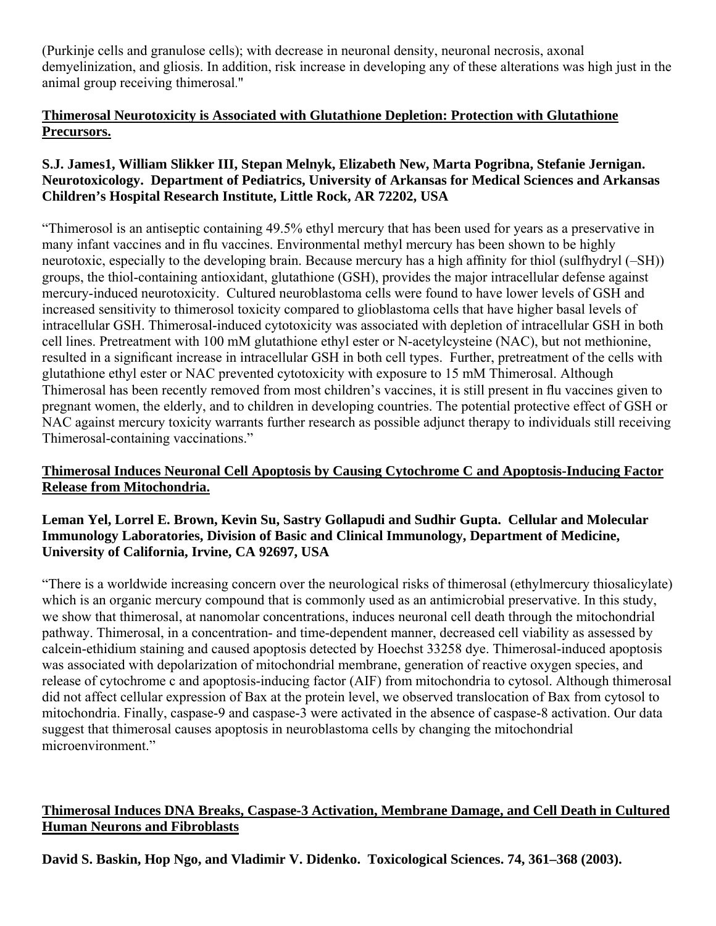(Purkinje cells and granulose cells); with decrease in neuronal density, neuronal necrosis, axonal demyelinization, and gliosis. In addition, risk increase in developing any of these alterations was high just in the animal group receiving thimerosal."

## **Thimerosal Neurotoxicity is Associated with Glutathione Depletion: Protection with Glutathione Precursors.**

## **S.J. James1, William Slikker III, Stepan Melnyk, Elizabeth New, Marta Pogribna, Stefanie Jernigan. Neurotoxicology. Department of Pediatrics, University of Arkansas for Medical Sciences and Arkansas Children's Hospital Research Institute, Little Rock, AR 72202, USA**

"Thimerosol is an antiseptic containing 49.5% ethyl mercury that has been used for years as a preservative in many infant vaccines and in flu vaccines. Environmental methyl mercury has been shown to be highly neurotoxic, especially to the developing brain. Because mercury has a high affinity for thiol (sulfhydryl (–SH)) groups, the thiol-containing antioxidant, glutathione (GSH), provides the major intracellular defense against mercury-induced neurotoxicity. Cultured neuroblastoma cells were found to have lower levels of GSH and increased sensitivity to thimerosol toxicity compared to glioblastoma cells that have higher basal levels of intracellular GSH. Thimerosal-induced cytotoxicity was associated with depletion of intracellular GSH in both cell lines. Pretreatment with 100 mM glutathione ethyl ester or N-acetylcysteine (NAC), but not methionine, resulted in a significant increase in intracellular GSH in both cell types. Further, pretreatment of the cells with glutathione ethyl ester or NAC prevented cytotoxicity with exposure to 15 mM Thimerosal. Although Thimerosal has been recently removed from most children's vaccines, it is still present in flu vaccines given to pregnant women, the elderly, and to children in developing countries. The potential protective effect of GSH or NAC against mercury toxicity warrants further research as possible adjunct therapy to individuals still receiving Thimerosal-containing vaccinations."

## **Thimerosal Induces Neuronal Cell Apoptosis by Causing Cytochrome C and Apoptosis-Inducing Factor Release from Mitochondria.**

#### **Leman Yel, Lorrel E. Brown, Kevin Su, Sastry Gollapudi and Sudhir Gupta. Cellular and Molecular Immunology Laboratories, Division of Basic and Clinical Immunology, Department of Medicine, University of California, Irvine, CA 92697, USA**

"There is a worldwide increasing concern over the neurological risks of thimerosal (ethylmercury thiosalicylate) which is an organic mercury compound that is commonly used as an antimicrobial preservative. In this study, we show that thimerosal, at nanomolar concentrations, induces neuronal cell death through the mitochondrial pathway. Thimerosal, in a concentration- and time-dependent manner, decreased cell viability as assessed by calcein-ethidium staining and caused apoptosis detected by Hoechst 33258 dye. Thimerosal-induced apoptosis was associated with depolarization of mitochondrial membrane, generation of reactive oxygen species, and release of cytochrome c and apoptosis-inducing factor (AIF) from mitochondria to cytosol. Although thimerosal did not affect cellular expression of Bax at the protein level, we observed translocation of Bax from cytosol to mitochondria. Finally, caspase-9 and caspase-3 were activated in the absence of caspase-8 activation. Our data suggest that thimerosal causes apoptosis in neuroblastoma cells by changing the mitochondrial microenvironment."

## **Thimerosal Induces DNA Breaks, Caspase-3 Activation, Membrane Damage, and Cell Death in Cultured Human Neurons and Fibroblasts**

**David S. Baskin, Hop Ngo, and Vladimir V. Didenko. Toxicological Sciences. 74, 361–368 (2003).**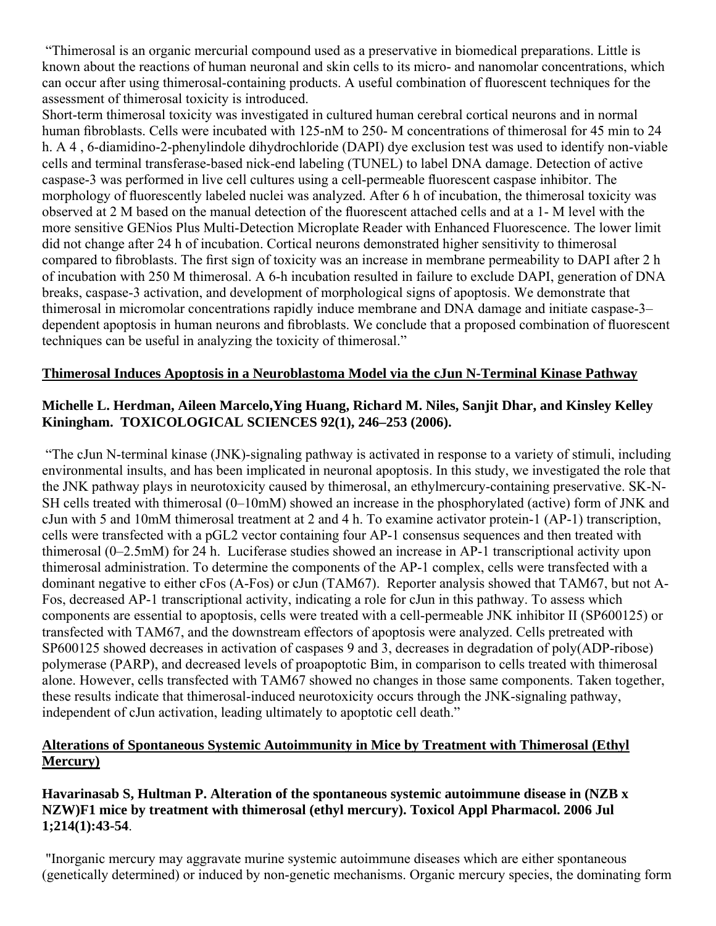"Thimerosal is an organic mercurial compound used as a preservative in biomedical preparations. Little is known about the reactions of human neuronal and skin cells to its micro- and nanomolar concentrations, which can occur after using thimerosal-containing products. A useful combination of fluorescent techniques for the assessment of thimerosal toxicity is introduced.

Short-term thimerosal toxicity was investigated in cultured human cerebral cortical neurons and in normal human fibroblasts. Cells were incubated with 125-nM to 250- M concentrations of thimerosal for 45 min to 24 h. A 4 , 6-diamidino-2-phenylindole dihydrochloride (DAPI) dye exclusion test was used to identify non-viable cells and terminal transferase-based nick-end labeling (TUNEL) to label DNA damage. Detection of active caspase-3 was performed in live cell cultures using a cell-permeable fluorescent caspase inhibitor. The morphology of fluorescently labeled nuclei was analyzed. After 6 h of incubation, the thimerosal toxicity was observed at 2 M based on the manual detection of the fluorescent attached cells and at a 1- M level with the more sensitive GENios Plus Multi-Detection Microplate Reader with Enhanced Fluorescence. The lower limit did not change after 24 h of incubation. Cortical neurons demonstrated higher sensitivity to thimerosal compared to fibroblasts. The first sign of toxicity was an increase in membrane permeability to DAPI after 2 h of incubation with 250 M thimerosal. A 6-h incubation resulted in failure to exclude DAPI, generation of DNA breaks, caspase-3 activation, and development of morphological signs of apoptosis. We demonstrate that thimerosal in micromolar concentrations rapidly induce membrane and DNA damage and initiate caspase-3– dependent apoptosis in human neurons and fibroblasts. We conclude that a proposed combination of fluorescent techniques can be useful in analyzing the toxicity of thimerosal."

#### **Thimerosal Induces Apoptosis in a Neuroblastoma Model via the cJun N-Terminal Kinase Pathway**

#### **Michelle L. Herdman, Aileen Marcelo,Ying Huang, Richard M. Niles, Sanjit Dhar, and Kinsley Kelley Kiningham. TOXICOLOGICAL SCIENCES 92(1), 246–253 (2006).**

 "The cJun N-terminal kinase (JNK)-signaling pathway is activated in response to a variety of stimuli, including environmental insults, and has been implicated in neuronal apoptosis. In this study, we investigated the role that the JNK pathway plays in neurotoxicity caused by thimerosal, an ethylmercury-containing preservative. SK-N-SH cells treated with thimerosal (0–10mM) showed an increase in the phosphorylated (active) form of JNK and cJun with 5 and 10mM thimerosal treatment at 2 and 4 h. To examine activator protein-1 (AP-1) transcription, cells were transfected with a pGL2 vector containing four AP-1 consensus sequences and then treated with thimerosal (0–2.5mM) for 24 h. Luciferase studies showed an increase in AP-1 transcriptional activity upon thimerosal administration. To determine the components of the AP-1 complex, cells were transfected with a dominant negative to either cFos (A-Fos) or cJun (TAM67). Reporter analysis showed that TAM67, but not A-Fos, decreased AP-1 transcriptional activity, indicating a role for cJun in this pathway. To assess which components are essential to apoptosis, cells were treated with a cell-permeable JNK inhibitor II (SP600125) or transfected with TAM67, and the downstream effectors of apoptosis were analyzed. Cells pretreated with SP600125 showed decreases in activation of caspases 9 and 3, decreases in degradation of poly(ADP-ribose) polymerase (PARP), and decreased levels of proapoptotic Bim, in comparison to cells treated with thimerosal alone. However, cells transfected with TAM67 showed no changes in those same components. Taken together, these results indicate that thimerosal-induced neurotoxicity occurs through the JNK-signaling pathway, independent of cJun activation, leading ultimately to apoptotic cell death."

#### **Alterations of Spontaneous Systemic Autoimmunity in Mice by Treatment with Thimerosal (Ethyl Mercury)**

#### **Havarinasab S, Hultman P. Alteration of the spontaneous systemic autoimmune disease in (NZB x NZW)F1 mice by treatment with thimerosal (ethyl mercury). Toxicol Appl Pharmacol. 2006 Jul 1;214(1):43-54**.

 "Inorganic mercury may aggravate murine systemic autoimmune diseases which are either spontaneous (genetically determined) or induced by non-genetic mechanisms. Organic mercury species, the dominating form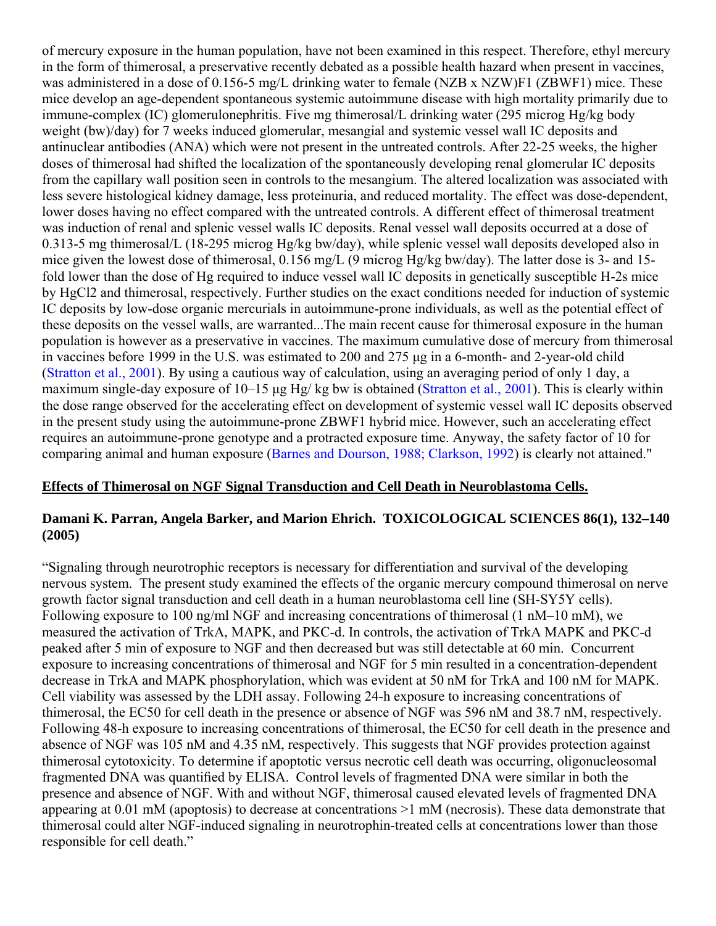of mercury exposure in the human population, have not been examined in this respect. Therefore, ethyl mercury in the form of thimerosal, a preservative recently debated as a possible health hazard when present in vaccines, was administered in a dose of 0.156-5 mg/L drinking water to female (NZB x NZW)F1 (ZBWF1) mice. These mice develop an age-dependent spontaneous systemic autoimmune disease with high mortality primarily due to immune-complex (IC) glomerulonephritis. Five mg thimerosal/L drinking water (295 microg Hg/kg body weight (bw)/day) for 7 weeks induced glomerular, mesangial and systemic vessel wall IC deposits and antinuclear antibodies (ANA) which were not present in the untreated controls. After 22-25 weeks, the higher doses of thimerosal had shifted the localization of the spontaneously developing renal glomerular IC deposits from the capillary wall position seen in controls to the mesangium. The altered localization was associated with less severe histological kidney damage, less proteinuria, and reduced mortality. The effect was dose-dependent, lower doses having no effect compared with the untreated controls. A different effect of thimerosal treatment was induction of renal and splenic vessel walls IC deposits. Renal vessel wall deposits occurred at a dose of 0.313-5 mg thimerosal/L (18-295 microg Hg/kg bw/day), while splenic vessel wall deposits developed also in mice given the lowest dose of thimerosal, 0.156 mg/L (9 microg Hg/kg bw/day). The latter dose is 3- and 15 fold lower than the dose of Hg required to induce vessel wall IC deposits in genetically susceptible H-2s mice by HgCl2 and thimerosal, respectively. Further studies on the exact conditions needed for induction of systemic IC deposits by low-dose organic mercurials in autoimmune-prone individuals, as well as the potential effect of these deposits on the vessel walls, are warranted...The main recent cause for thimerosal exposure in the human population is however as a preservative in vaccines. The maximum cumulative dose of mercury from thimerosal in vaccines before 1999 in the U.S. was estimated to 200 and 275 μg in a 6-month- and 2-year-old child (Stratton et al., 2001). By using a cautious way of calculation, using an averaging period of only 1 day, a maximum single-day exposure of 10–15 μg Hg/ kg bw is obtained (Stratton et al., 2001). This is clearly within the dose range observed for the accelerating effect on development of systemic vessel wall IC deposits observed in the present study using the autoimmune-prone ZBWF1 hybrid mice. However, such an accelerating effect requires an autoimmune-prone genotype and a protracted exposure time. Anyway, the safety factor of 10 for comparing animal and human exposure (Barnes and Dourson, 1988; Clarkson, 1992) is clearly not attained."

#### **Effects of Thimerosal on NGF Signal Transduction and Cell Death in Neuroblastoma Cells.**

#### **Damani K. Parran, Angela Barker, and Marion Ehrich. TOXICOLOGICAL SCIENCES 86(1), 132–140 (2005)**

"Signaling through neurotrophic receptors is necessary for differentiation and survival of the developing nervous system. The present study examined the effects of the organic mercury compound thimerosal on nerve growth factor signal transduction and cell death in a human neuroblastoma cell line (SH-SY5Y cells). Following exposure to 100 ng/ml NGF and increasing concentrations of thimerosal (1 nM–10 mM), we measured the activation of TrkA, MAPK, and PKC-d. In controls, the activation of TrkA MAPK and PKC-d peaked after 5 min of exposure to NGF and then decreased but was still detectable at 60 min. Concurrent exposure to increasing concentrations of thimerosal and NGF for 5 min resulted in a concentration-dependent decrease in TrkA and MAPK phosphorylation, which was evident at 50 nM for TrkA and 100 nM for MAPK. Cell viability was assessed by the LDH assay. Following 24-h exposure to increasing concentrations of thimerosal, the EC50 for cell death in the presence or absence of NGF was 596 nM and 38.7 nM, respectively. Following 48-h exposure to increasing concentrations of thimerosal, the EC50 for cell death in the presence and absence of NGF was 105 nM and 4.35 nM, respectively. This suggests that NGF provides protection against thimerosal cytotoxicity. To determine if apoptotic versus necrotic cell death was occurring, oligonucleosomal fragmented DNA was quantified by ELISA. Control levels of fragmented DNA were similar in both the presence and absence of NGF. With and without NGF, thimerosal caused elevated levels of fragmented DNA appearing at 0.01 mM (apoptosis) to decrease at concentrations >1 mM (necrosis). These data demonstrate that thimerosal could alter NGF-induced signaling in neurotrophin-treated cells at concentrations lower than those responsible for cell death."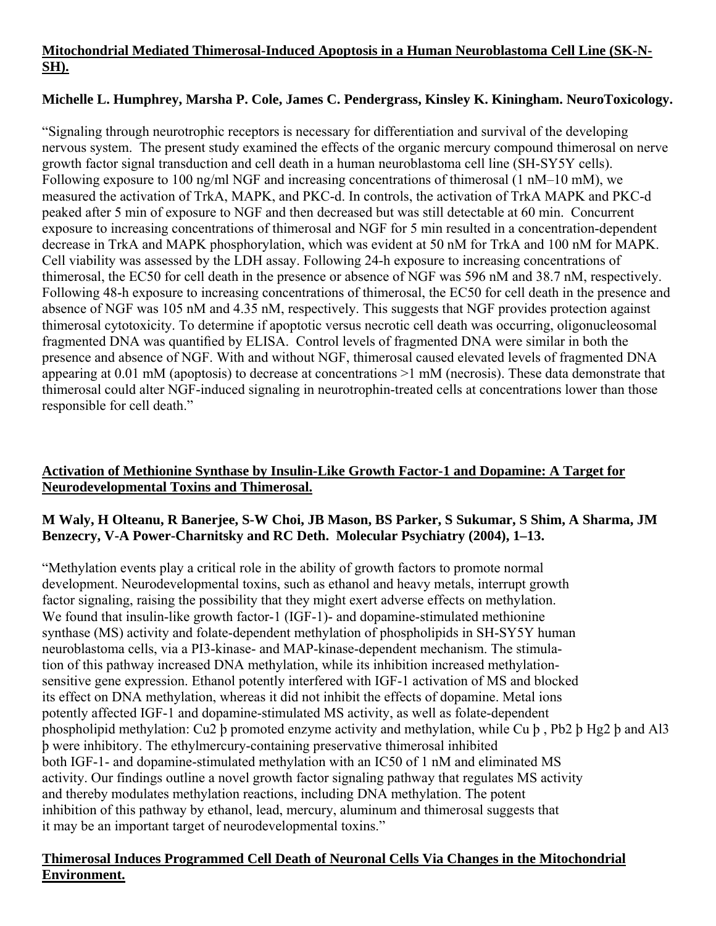## **Mitochondrial Mediated Thimerosal-Induced Apoptosis in a Human Neuroblastoma Cell Line (SK-N-SH).**

## **Michelle L. Humphrey, Marsha P. Cole, James C. Pendergrass, Kinsley K. Kiningham. NeuroToxicology.**

"Signaling through neurotrophic receptors is necessary for differentiation and survival of the developing nervous system. The present study examined the effects of the organic mercury compound thimerosal on nerve growth factor signal transduction and cell death in a human neuroblastoma cell line (SH-SY5Y cells). Following exposure to 100 ng/ml NGF and increasing concentrations of thimerosal (1 nM–10 mM), we measured the activation of TrkA, MAPK, and PKC-d. In controls, the activation of TrkA MAPK and PKC-d peaked after 5 min of exposure to NGF and then decreased but was still detectable at 60 min. Concurrent exposure to increasing concentrations of thimerosal and NGF for 5 min resulted in a concentration-dependent decrease in TrkA and MAPK phosphorylation, which was evident at 50 nM for TrkA and 100 nM for MAPK. Cell viability was assessed by the LDH assay. Following 24-h exposure to increasing concentrations of thimerosal, the EC50 for cell death in the presence or absence of NGF was 596 nM and 38.7 nM, respectively. Following 48-h exposure to increasing concentrations of thimerosal, the EC50 for cell death in the presence and absence of NGF was 105 nM and 4.35 nM, respectively. This suggests that NGF provides protection against thimerosal cytotoxicity. To determine if apoptotic versus necrotic cell death was occurring, oligonucleosomal fragmented DNA was quantified by ELISA. Control levels of fragmented DNA were similar in both the presence and absence of NGF. With and without NGF, thimerosal caused elevated levels of fragmented DNA appearing at 0.01 mM (apoptosis) to decrease at concentrations >1 mM (necrosis). These data demonstrate that thimerosal could alter NGF-induced signaling in neurotrophin-treated cells at concentrations lower than those responsible for cell death."

## **Activation of Methionine Synthase by Insulin-Like Growth Factor-1 and Dopamine: A Target for Neurodevelopmental Toxins and Thimerosal.**

#### **M Waly, H Olteanu, R Banerjee, S-W Choi, JB Mason, BS Parker, S Sukumar, S Shim, A Sharma, JM Benzecry, V-A Power-Charnitsky and RC Deth. Molecular Psychiatry (2004), 1–13.**

"Methylation events play a critical role in the ability of growth factors to promote normal development. Neurodevelopmental toxins, such as ethanol and heavy metals, interrupt growth factor signaling, raising the possibility that they might exert adverse effects on methylation. We found that insulin-like growth factor-1 (IGF-1)- and dopamine-stimulated methionine synthase (MS) activity and folate-dependent methylation of phospholipids in SH-SY5Y human neuroblastoma cells, via a PI3-kinase- and MAP-kinase-dependent mechanism. The stimulation of this pathway increased DNA methylation, while its inhibition increased methylationsensitive gene expression. Ethanol potently interfered with IGF-1 activation of MS and blocked its effect on DNA methylation, whereas it did not inhibit the effects of dopamine. Metal ions potently affected IGF-1 and dopamine-stimulated MS activity, as well as folate-dependent phospholipid methylation: Cu2 þ promoted enzyme activity and methylation, while Cu þ , Pb2 þ Hg2 þ and Al3 þ were inhibitory. The ethylmercury-containing preservative thimerosal inhibited both IGF-1- and dopamine-stimulated methylation with an IC50 of 1 nM and eliminated MS activity. Our findings outline a novel growth factor signaling pathway that regulates MS activity and thereby modulates methylation reactions, including DNA methylation. The potent inhibition of this pathway by ethanol, lead, mercury, aluminum and thimerosal suggests that it may be an important target of neurodevelopmental toxins."

#### **Thimerosal Induces Programmed Cell Death of Neuronal Cells Via Changes in the Mitochondrial Environment.**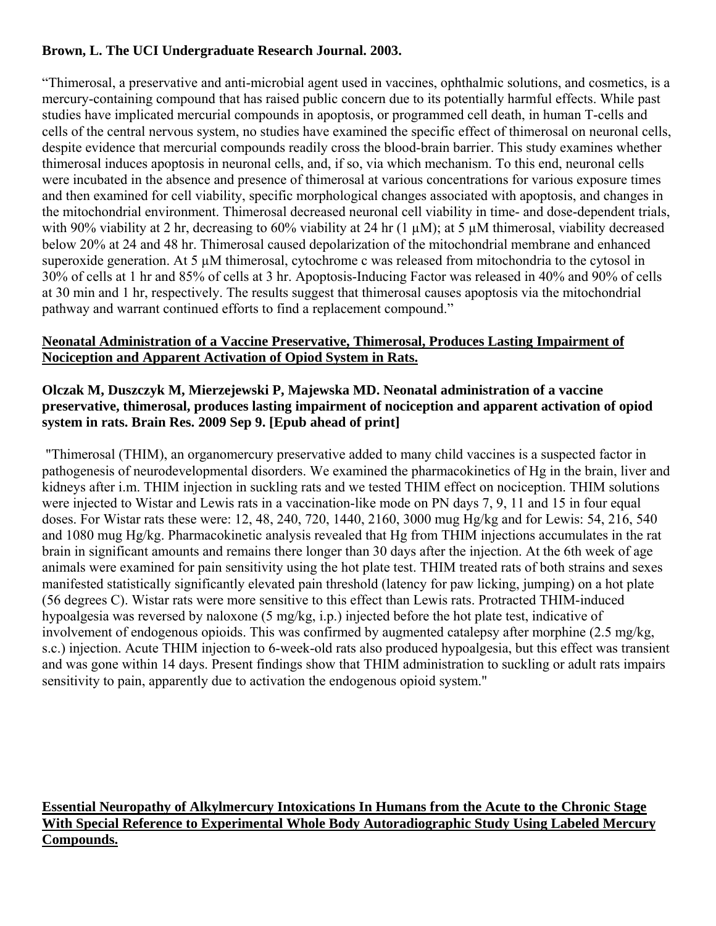## **Brown, L. The UCI Undergraduate Research Journal. 2003.**

"Thimerosal, a preservative and anti-microbial agent used in vaccines, ophthalmic solutions, and cosmetics, is a mercury-containing compound that has raised public concern due to its potentially harmful effects. While past studies have implicated mercurial compounds in apoptosis, or programmed cell death, in human T-cells and cells of the central nervous system, no studies have examined the specific effect of thimerosal on neuronal cells, despite evidence that mercurial compounds readily cross the blood-brain barrier. This study examines whether thimerosal induces apoptosis in neuronal cells, and, if so, via which mechanism. To this end, neuronal cells were incubated in the absence and presence of thimerosal at various concentrations for various exposure times and then examined for cell viability, specific morphological changes associated with apoptosis, and changes in the mitochondrial environment. Thimerosal decreased neuronal cell viability in time- and dose-dependent trials, with 90% viability at 2 hr, decreasing to 60% viability at 24 hr (1  $\mu$ M); at 5  $\mu$ M thimerosal, viability decreased below 20% at 24 and 48 hr. Thimerosal caused depolarization of the mitochondrial membrane and enhanced superoxide generation. At 5  $\mu$ M thimerosal, cytochrome c was released from mitochondria to the cytosol in 30% of cells at 1 hr and 85% of cells at 3 hr. Apoptosis-Inducing Factor was released in 40% and 90% of cells at 30 min and 1 hr, respectively. The results suggest that thimerosal causes apoptosis via the mitochondrial pathway and warrant continued efforts to find a replacement compound."

#### **Neonatal Administration of a Vaccine Preservative, Thimerosal, Produces Lasting Impairment of Nociception and Apparent Activation of Opiod System in Rats.**

#### **Olczak M, Duszczyk M, Mierzejewski P, Majewska MD. Neonatal administration of a vaccine preservative, thimerosal, produces lasting impairment of nociception and apparent activation of opiod system in rats. Brain Res. 2009 Sep 9. [Epub ahead of print]**

 "Thimerosal (THIM), an organomercury preservative added to many child vaccines is a suspected factor in pathogenesis of neurodevelopmental disorders. We examined the pharmacokinetics of Hg in the brain, liver and kidneys after i.m. THIM injection in suckling rats and we tested THIM effect on nociception. THIM solutions were injected to Wistar and Lewis rats in a vaccination-like mode on PN days 7, 9, 11 and 15 in four equal doses. For Wistar rats these were: 12, 48, 240, 720, 1440, 2160, 3000 mug Hg/kg and for Lewis: 54, 216, 540 and 1080 mug Hg/kg. Pharmacokinetic analysis revealed that Hg from THIM injections accumulates in the rat brain in significant amounts and remains there longer than 30 days after the injection. At the 6th week of age animals were examined for pain sensitivity using the hot plate test. THIM treated rats of both strains and sexes manifested statistically significantly elevated pain threshold (latency for paw licking, jumping) on a hot plate (56 degrees C). Wistar rats were more sensitive to this effect than Lewis rats. Protracted THIM-induced hypoalgesia was reversed by naloxone (5 mg/kg, i.p.) injected before the hot plate test, indicative of involvement of endogenous opioids. This was confirmed by augmented catalepsy after morphine (2.5 mg/kg, s.c.) injection. Acute THIM injection to 6-week-old rats also produced hypoalgesia, but this effect was transient and was gone within 14 days. Present findings show that THIM administration to suckling or adult rats impairs sensitivity to pain, apparently due to activation the endogenous opioid system."

## **Essential Neuropathy of Alkylmercury Intoxications In Humans from the Acute to the Chronic Stage With Special Reference to Experimental Whole Body Autoradiographic Study Using Labeled Mercury Compounds.**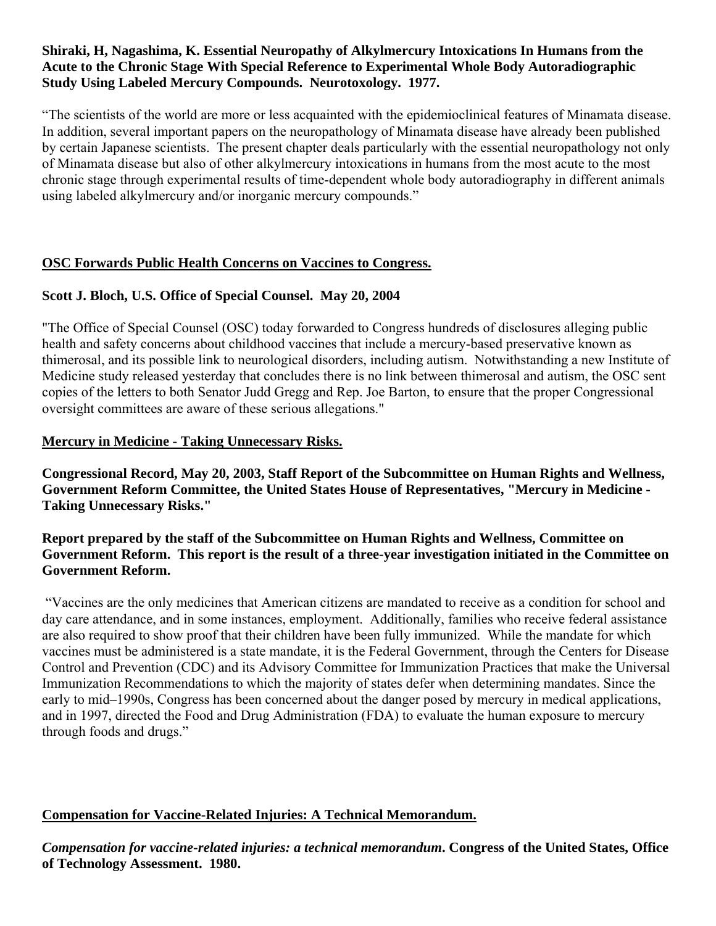#### **Shiraki, H, Nagashima, K. Essential Neuropathy of Alkylmercury Intoxications In Humans from the Acute to the Chronic Stage With Special Reference to Experimental Whole Body Autoradiographic Study Using Labeled Mercury Compounds. Neurotoxology. 1977.**

"The scientists of the world are more or less acquainted with the epidemioclinical features of Minamata disease. In addition, several important papers on the neuropathology of Minamata disease have already been published by certain Japanese scientists. The present chapter deals particularly with the essential neuropathology not only of Minamata disease but also of other alkylmercury intoxications in humans from the most acute to the most chronic stage through experimental results of time-dependent whole body autoradiography in different animals using labeled alkylmercury and/or inorganic mercury compounds."

## **OSC Forwards Public Health Concerns on Vaccines to Congress.**

## **Scott J. Bloch, U.S. Office of Special Counsel. May 20, 2004**

"The Office of Special Counsel (OSC) today forwarded to Congress hundreds of disclosures alleging public health and safety concerns about childhood vaccines that include a mercury-based preservative known as thimerosal, and its possible link to neurological disorders, including autism. Notwithstanding a new Institute of Medicine study released yesterday that concludes there is no link between thimerosal and autism, the OSC sent copies of the letters to both Senator Judd Gregg and Rep. Joe Barton, to ensure that the proper Congressional oversight committees are aware of these serious allegations."

#### **Mercury in Medicine - Taking Unnecessary Risks.**

**Congressional Record, May 20, 2003, Staff Report of the Subcommittee on Human Rights and Wellness, Government Reform Committee, the United States House of Representatives, "Mercury in Medicine - Taking Unnecessary Risks."** 

## **Report prepared by the staff of the Subcommittee on Human Rights and Wellness, Committee on Government Reform. This report is the result of a three-year investigation initiated in the Committee on Government Reform.**

 "Vaccines are the only medicines that American citizens are mandated to receive as a condition for school and day care attendance, and in some instances, employment. Additionally, families who receive federal assistance are also required to show proof that their children have been fully immunized. While the mandate for which vaccines must be administered is a state mandate, it is the Federal Government, through the Centers for Disease Control and Prevention (CDC) and its Advisory Committee for Immunization Practices that make the Universal Immunization Recommendations to which the majority of states defer when determining mandates. Since the early to mid–1990s, Congress has been concerned about the danger posed by mercury in medical applications, and in 1997, directed the Food and Drug Administration (FDA) to evaluate the human exposure to mercury through foods and drugs."

## **Compensation for Vaccine-Related Injuries: A Technical Memorandum.**

*Compensation for vaccine-related injuries: a technical memorandum***. Congress of the United States, Office of Technology Assessment. 1980.**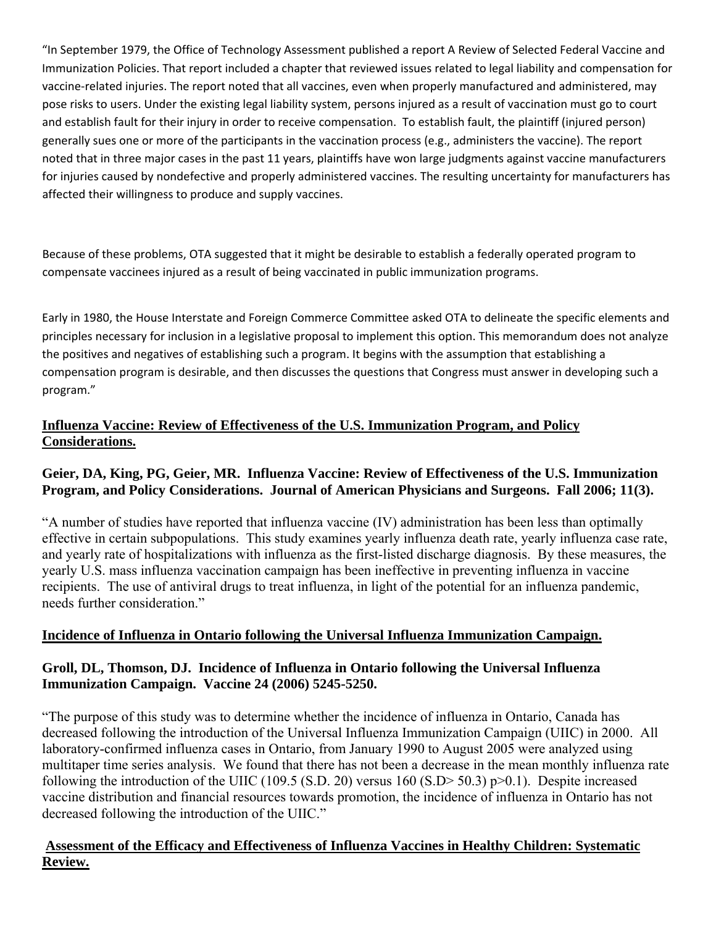"In September 1979, the Office of Technology Assessment published a report A Review of Selected Federal Vaccine and Immunization Policies. That report included a chapter that reviewed issues related to legal liability and compensation for vaccine‐related injuries. The report noted that all vaccines, even when properly manufactured and administered, may pose risks to users. Under the existing legal liability system, persons injured as a result of vaccination must go to court and establish fault for their injury in order to receive compensation. To establish fault, the plaintiff (injured person) generally sues one or more of the participants in the vaccination process (e.g., administers the vaccine). The report noted that in three major cases in the past 11 years, plaintiffs have won large judgments against vaccine manufacturers for injuries caused by nondefective and properly administered vaccines. The resulting uncertainty for manufacturers has affected their willingness to produce and supply vaccines.

Because of these problems, OTA suggested that it might be desirable to establish a federally operated program to compensate vaccinees injured as a result of being vaccinated in public immunization programs.

Early in 1980, the House Interstate and Foreign Commerce Committee asked OTA to delineate the specific elements and principles necessary for inclusion in a legislative proposal to implement this option. This memorandum does not analyze the positives and negatives of establishing such a program. It begins with the assumption that establishing a compensation program is desirable, and then discusses the questions that Congress must answer in developing such a program."

## **Influenza Vaccine: Review of Effectiveness of the U.S. Immunization Program, and Policy Considerations.**

## **Geier, DA, King, PG, Geier, MR. Influenza Vaccine: Review of Effectiveness of the U.S. Immunization Program, and Policy Considerations. Journal of American Physicians and Surgeons. Fall 2006; 11(3).**

"A number of studies have reported that influenza vaccine (IV) administration has been less than optimally effective in certain subpopulations. This study examines yearly influenza death rate, yearly influenza case rate, and yearly rate of hospitalizations with influenza as the first-listed discharge diagnosis. By these measures, the yearly U.S. mass influenza vaccination campaign has been ineffective in preventing influenza in vaccine recipients. The use of antiviral drugs to treat influenza, in light of the potential for an influenza pandemic, needs further consideration."

## **Incidence of Influenza in Ontario following the Universal Influenza Immunization Campaign.**

## **Groll, DL, Thomson, DJ. Incidence of Influenza in Ontario following the Universal Influenza Immunization Campaign. Vaccine 24 (2006) 5245-5250.**

"The purpose of this study was to determine whether the incidence of influenza in Ontario, Canada has decreased following the introduction of the Universal Influenza Immunization Campaign (UIIC) in 2000. All laboratory-confirmed influenza cases in Ontario, from January 1990 to August 2005 were analyzed using multitaper time series analysis. We found that there has not been a decrease in the mean monthly influenza rate following the introduction of the UIIC (109.5 (S.D. 20) versus 160 (S.D> 50.3) p>0.1). Despite increased vaccine distribution and financial resources towards promotion, the incidence of influenza in Ontario has not decreased following the introduction of the UIIC."

#### **Assessment of the Efficacy and Effectiveness of Influenza Vaccines in Healthy Children: Systematic Review.**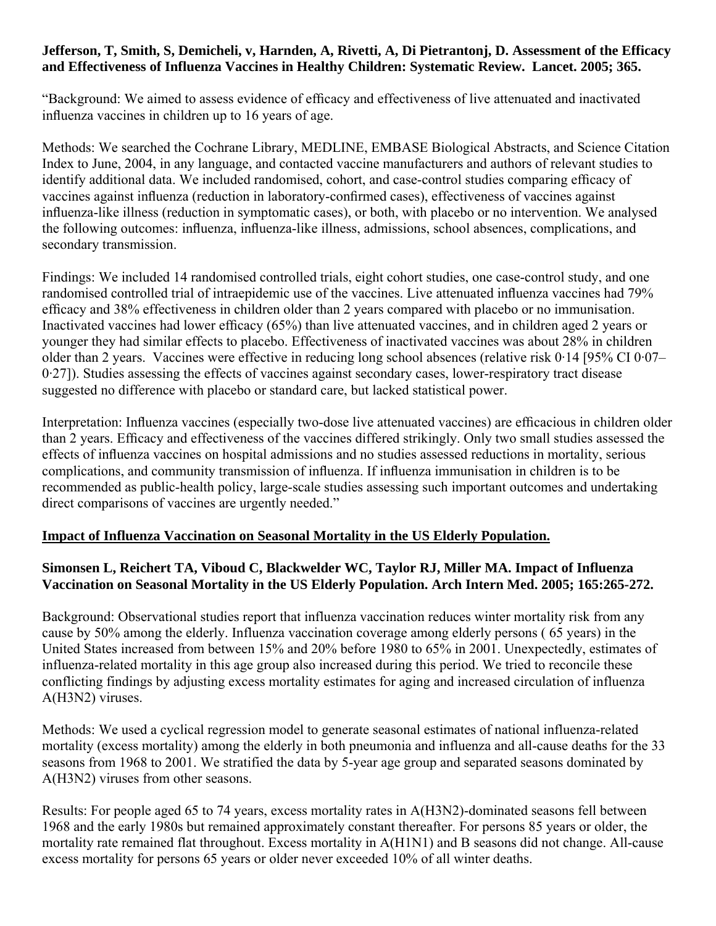#### **Jefferson, T, Smith, S, Demicheli, v, Harnden, A, Rivetti, A, Di Pietrantonj, D. Assessment of the Efficacy and Effectiveness of Influenza Vaccines in Healthy Children: Systematic Review. Lancet. 2005; 365.**

"Background: We aimed to assess evidence of efficacy and effectiveness of live attenuated and inactivated influenza vaccines in children up to 16 years of age.

Methods: We searched the Cochrane Library, MEDLINE, EMBASE Biological Abstracts, and Science Citation Index to June, 2004, in any language, and contacted vaccine manufacturers and authors of relevant studies to identify additional data. We included randomised, cohort, and case-control studies comparing efficacy of vaccines against influenza (reduction in laboratory-confirmed cases), effectiveness of vaccines against influenza-like illness (reduction in symptomatic cases), or both, with placebo or no intervention. We analysed the following outcomes: influenza, influenza-like illness, admissions, school absences, complications, and secondary transmission.

Findings: We included 14 randomised controlled trials, eight cohort studies, one case-control study, and one randomised controlled trial of intraepidemic use of the vaccines. Live attenuated influenza vaccines had 79% efficacy and 38% effectiveness in children older than 2 years compared with placebo or no immunisation. Inactivated vaccines had lower efficacy (65%) than live attenuated vaccines, and in children aged 2 years or younger they had similar effects to placebo. Effectiveness of inactivated vaccines was about 28% in children older than 2 years. Vaccines were effective in reducing long school absences (relative risk 0·14 [95% CI 0·07– 0·27]). Studies assessing the effects of vaccines against secondary cases, lower-respiratory tract disease suggested no difference with placebo or standard care, but lacked statistical power.

Interpretation: Influenza vaccines (especially two-dose live attenuated vaccines) are efficacious in children older than 2 years. Efficacy and effectiveness of the vaccines differed strikingly. Only two small studies assessed the effects of influenza vaccines on hospital admissions and no studies assessed reductions in mortality, serious complications, and community transmission of influenza. If influenza immunisation in children is to be recommended as public-health policy, large-scale studies assessing such important outcomes and undertaking direct comparisons of vaccines are urgently needed."

#### **Impact of Influenza Vaccination on Seasonal Mortality in the US Elderly Population.**

## **Simonsen L, Reichert TA, Viboud C, Blackwelder WC, Taylor RJ, Miller MA. Impact of Influenza Vaccination on Seasonal Mortality in the US Elderly Population. Arch Intern Med. 2005; 165:265-272.**

Background: Observational studies report that influenza vaccination reduces winter mortality risk from any cause by 50% among the elderly. Influenza vaccination coverage among elderly persons ( 65 years) in the United States increased from between 15% and 20% before 1980 to 65% in 2001. Unexpectedly, estimates of influenza-related mortality in this age group also increased during this period. We tried to reconcile these conflicting findings by adjusting excess mortality estimates for aging and increased circulation of influenza A(H3N2) viruses.

Methods: We used a cyclical regression model to generate seasonal estimates of national influenza-related mortality (excess mortality) among the elderly in both pneumonia and influenza and all-cause deaths for the 33 seasons from 1968 to 2001. We stratified the data by 5-year age group and separated seasons dominated by A(H3N2) viruses from other seasons.

Results: For people aged 65 to 74 years, excess mortality rates in A(H3N2)-dominated seasons fell between 1968 and the early 1980s but remained approximately constant thereafter. For persons 85 years or older, the mortality rate remained flat throughout. Excess mortality in A(H1N1) and B seasons did not change. All-cause excess mortality for persons 65 years or older never exceeded 10% of all winter deaths.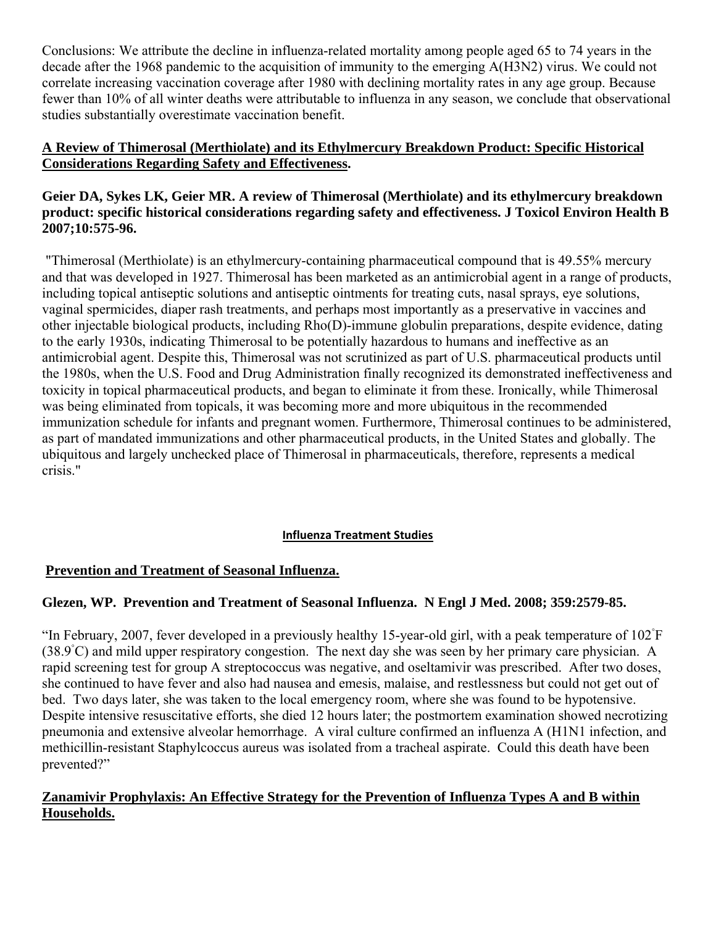Conclusions: We attribute the decline in influenza-related mortality among people aged 65 to 74 years in the decade after the 1968 pandemic to the acquisition of immunity to the emerging A(H3N2) virus. We could not correlate increasing vaccination coverage after 1980 with declining mortality rates in any age group. Because fewer than 10% of all winter deaths were attributable to influenza in any season, we conclude that observational studies substantially overestimate vaccination benefit.

#### **A Review of Thimerosal (Merthiolate) and its Ethylmercury Breakdown Product: Specific Historical Considerations Regarding Safety and Effectiveness.**

#### **Geier DA, Sykes LK, Geier MR. A review of Thimerosal (Merthiolate) and its ethylmercury breakdown product: specific historical considerations regarding safety and effectiveness. J Toxicol Environ Health B 2007;10:575-96.**

 "Thimerosal (Merthiolate) is an ethylmercury-containing pharmaceutical compound that is 49.55% mercury and that was developed in 1927. Thimerosal has been marketed as an antimicrobial agent in a range of products, including topical antiseptic solutions and antiseptic ointments for treating cuts, nasal sprays, eye solutions, vaginal spermicides, diaper rash treatments, and perhaps most importantly as a preservative in vaccines and other injectable biological products, including Rho(D)-immune globulin preparations, despite evidence, dating to the early 1930s, indicating Thimerosal to be potentially hazardous to humans and ineffective as an antimicrobial agent. Despite this, Thimerosal was not scrutinized as part of U.S. pharmaceutical products until the 1980s, when the U.S. Food and Drug Administration finally recognized its demonstrated ineffectiveness and toxicity in topical pharmaceutical products, and began to eliminate it from these. Ironically, while Thimerosal was being eliminated from topicals, it was becoming more and more ubiquitous in the recommended immunization schedule for infants and pregnant women. Furthermore, Thimerosal continues to be administered, as part of mandated immunizations and other pharmaceutical products, in the United States and globally. The ubiquitous and largely unchecked place of Thimerosal in pharmaceuticals, therefore, represents a medical crisis."

#### **Influenza Treatment Studies**

#### **Prevention and Treatment of Seasonal Influenza.**

## **Glezen, WP. Prevention and Treatment of Seasonal Influenza. N Engl J Med. 2008; 359:2579-85.**

"In February, 2007, fever developed in a previously healthy 15-year-old girl, with a peak temperature of 102◦ F (38.9◦ C) and mild upper respiratory congestion. The next day she was seen by her primary care physician. A rapid screening test for group A streptococcus was negative, and oseltamivir was prescribed. After two doses, she continued to have fever and also had nausea and emesis, malaise, and restlessness but could not get out of bed. Two days later, she was taken to the local emergency room, where she was found to be hypotensive. Despite intensive resuscitative efforts, she died 12 hours later; the postmortem examination showed necrotizing pneumonia and extensive alveolar hemorrhage. A viral culture confirmed an influenza A (H1N1 infection, and methicillin-resistant Staphylcoccus aureus was isolated from a tracheal aspirate. Could this death have been prevented?"

## **Zanamivir Prophylaxis: An Effective Strategy for the Prevention of Influenza Types A and B within Households.**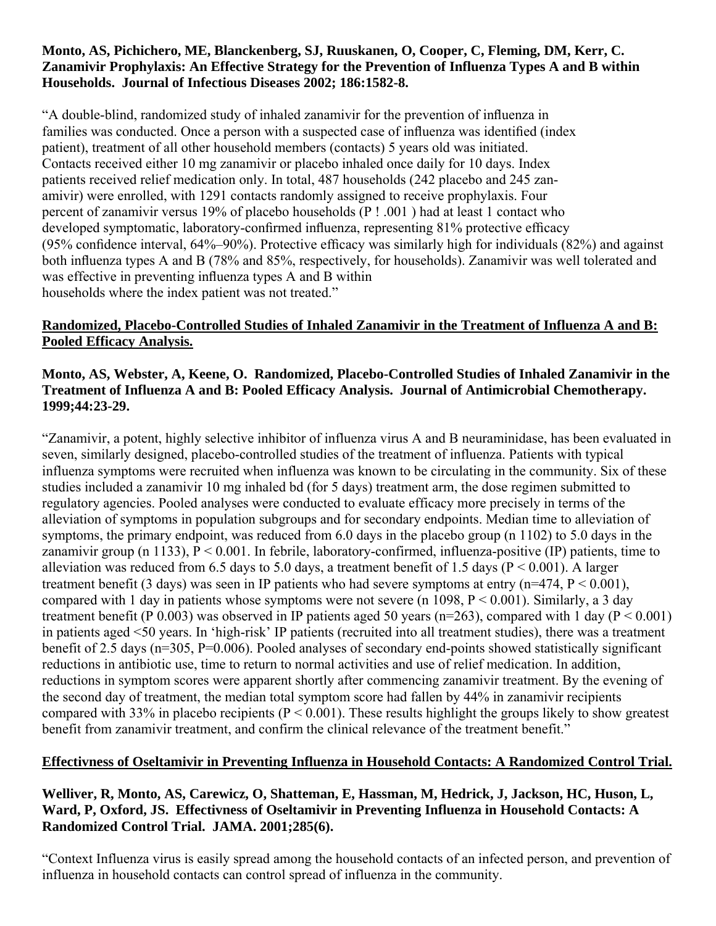#### **Monto, AS, Pichichero, ME, Blanckenberg, SJ, Ruuskanen, O, Cooper, C, Fleming, DM, Kerr, C. Zanamivir Prophylaxis: An Effective Strategy for the Prevention of Influenza Types A and B within Households. Journal of Infectious Diseases 2002; 186:1582-8.**

"A double-blind, randomized study of inhaled zanamivir for the prevention of influenza in families was conducted. Once a person with a suspected case of influenza was identified (index patient), treatment of all other household members (contacts) 5 years old was initiated. Contacts received either 10 mg zanamivir or placebo inhaled once daily for 10 days. Index patients received relief medication only. In total, 487 households (242 placebo and 245 zanamivir) were enrolled, with 1291 contacts randomly assigned to receive prophylaxis. Four percent of zanamivir versus 19% of placebo households (P ! .001 ) had at least 1 contact who developed symptomatic, laboratory-confirmed influenza, representing 81% protective efficacy (95% confidence interval, 64%–90%). Protective efficacy was similarly high for individuals (82%) and against both influenza types A and B (78% and 85%, respectively, for households). Zanamivir was well tolerated and was effective in preventing influenza types A and B within households where the index patient was not treated."

## **Randomized, Placebo-Controlled Studies of Inhaled Zanamivir in the Treatment of Influenza A and B: Pooled Efficacy Analysis.**

## **Monto, AS, Webster, A, Keene, O. Randomized, Placebo-Controlled Studies of Inhaled Zanamivir in the Treatment of Influenza A and B: Pooled Efficacy Analysis. Journal of Antimicrobial Chemotherapy. 1999;44:23-29.**

"Zanamivir, a potent, highly selective inhibitor of influenza virus A and B neuraminidase, has been evaluated in seven, similarly designed, placebo-controlled studies of the treatment of influenza. Patients with typical influenza symptoms were recruited when influenza was known to be circulating in the community. Six of these studies included a zanamivir 10 mg inhaled bd (for 5 days) treatment arm, the dose regimen submitted to regulatory agencies. Pooled analyses were conducted to evaluate efficacy more precisely in terms of the alleviation of symptoms in population subgroups and for secondary endpoints. Median time to alleviation of symptoms, the primary endpoint, was reduced from 6.0 days in the placebo group (n 1102) to 5.0 days in the zanamivir group (n 1133),  $P < 0.001$ . In febrile, laboratory-confirmed, influenza-positive (IP) patients, time to alleviation was reduced from 6.5 days to 5.0 days, a treatment benefit of 1.5 days ( $P \le 0.001$ ). A larger treatment benefit (3 days) was seen in IP patients who had severe symptoms at entry ( $n=474$ ,  $P < 0.001$ ), compared with 1 day in patients whose symptoms were not severe (n 1098,  $P \le 0.001$ ). Similarly, a 3 day treatment benefit (P 0.003) was observed in IP patients aged 50 years (n=263), compared with 1 day (P < 0.001) in patients aged <50 years. In 'high-risk' IP patients (recruited into all treatment studies), there was a treatment benefit of 2.5 days (n=305, P=0.006). Pooled analyses of secondary end-points showed statistically significant reductions in antibiotic use, time to return to normal activities and use of relief medication. In addition, reductions in symptom scores were apparent shortly after commencing zanamivir treatment. By the evening of the second day of treatment, the median total symptom score had fallen by 44% in zanamivir recipients compared with 33% in placebo recipients ( $P < 0.001$ ). These results highlight the groups likely to show greatest benefit from zanamivir treatment, and confirm the clinical relevance of the treatment benefit."

#### **Effectivness of Oseltamivir in Preventing Influenza in Household Contacts: A Randomized Control Trial.**

## **Welliver, R, Monto, AS, Carewicz, O, Shatteman, E, Hassman, M, Hedrick, J, Jackson, HC, Huson, L, Ward, P, Oxford, JS. Effectivness of Oseltamivir in Preventing Influenza in Household Contacts: A Randomized Control Trial. JAMA. 2001;285(6).**

"Context Influenza virus is easily spread among the household contacts of an infected person, and prevention of influenza in household contacts can control spread of influenza in the community.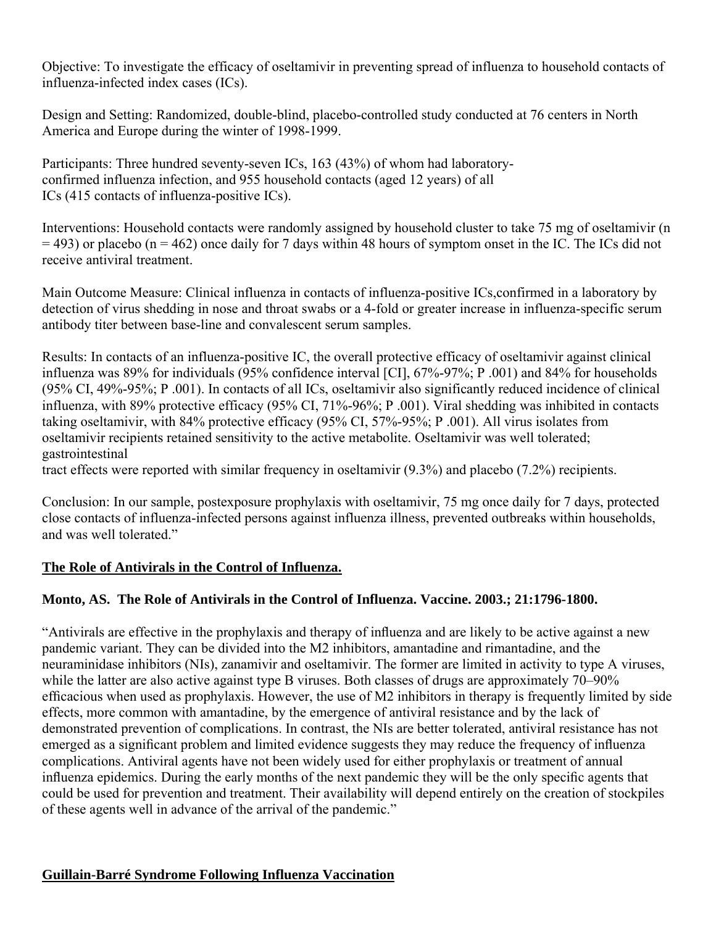Objective: To investigate the efficacy of oseltamivir in preventing spread of influenza to household contacts of influenza-infected index cases (ICs).

Design and Setting: Randomized, double-blind, placebo-controlled study conducted at 76 centers in North America and Europe during the winter of 1998-1999.

Participants: Three hundred seventy-seven ICs, 163 (43%) of whom had laboratoryconfirmed influenza infection, and 955 household contacts (aged 12 years) of all ICs (415 contacts of influenza-positive ICs).

Interventions: Household contacts were randomly assigned by household cluster to take 75 mg of oseltamivir (n  $=$  493) or placebo (n = 462) once daily for 7 days within 48 hours of symptom onset in the IC. The ICs did not receive antiviral treatment.

Main Outcome Measure: Clinical influenza in contacts of influenza-positive ICs,confirmed in a laboratory by detection of virus shedding in nose and throat swabs or a 4-fold or greater increase in influenza-specific serum antibody titer between base-line and convalescent serum samples.

Results: In contacts of an influenza-positive IC, the overall protective efficacy of oseltamivir against clinical influenza was 89% for individuals (95% confidence interval [CI], 67%-97%; P .001) and 84% for households (95% CI, 49%-95%; P .001). In contacts of all ICs, oseltamivir also significantly reduced incidence of clinical influenza, with 89% protective efficacy (95% CI, 71%-96%; P .001). Viral shedding was inhibited in contacts taking oseltamivir, with 84% protective efficacy (95% CI, 57%-95%; P .001). All virus isolates from oseltamivir recipients retained sensitivity to the active metabolite. Oseltamivir was well tolerated; gastrointestinal

tract effects were reported with similar frequency in oseltamivir (9.3%) and placebo (7.2%) recipients.

Conclusion: In our sample, postexposure prophylaxis with oseltamivir, 75 mg once daily for 7 days, protected close contacts of influenza-infected persons against influenza illness, prevented outbreaks within households, and was well tolerated."

#### **The Role of Antivirals in the Control of Influenza.**

## **Monto, AS. The Role of Antivirals in the Control of Influenza. Vaccine. 2003.; 21:1796-1800.**

"Antivirals are effective in the prophylaxis and therapy of influenza and are likely to be active against a new pandemic variant. They can be divided into the M2 inhibitors, amantadine and rimantadine, and the neuraminidase inhibitors (NIs), zanamivir and oseltamivir. The former are limited in activity to type A viruses, while the latter are also active against type B viruses. Both classes of drugs are approximately 70–90% efficacious when used as prophylaxis. However, the use of M2 inhibitors in therapy is frequently limited by side effects, more common with amantadine, by the emergence of antiviral resistance and by the lack of demonstrated prevention of complications. In contrast, the NIs are better tolerated, antiviral resistance has not emerged as a significant problem and limited evidence suggests they may reduce the frequency of influenza complications. Antiviral agents have not been widely used for either prophylaxis or treatment of annual influenza epidemics. During the early months of the next pandemic they will be the only specific agents that could be used for prevention and treatment. Their availability will depend entirely on the creation of stockpiles of these agents well in advance of the arrival of the pandemic."

#### **Guillain-Barré Syndrome Following Influenza Vaccination**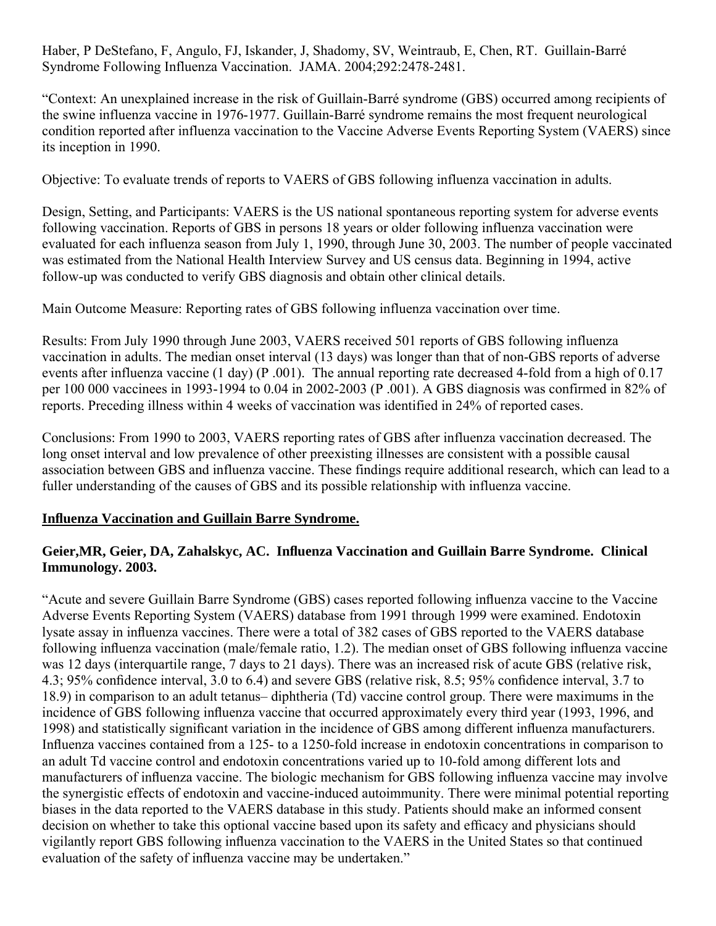Haber, P DeStefano, F, Angulo, FJ, Iskander, J, Shadomy, SV, Weintraub, E, Chen, RT. Guillain-Barré Syndrome Following Influenza Vaccination. JAMA. 2004;292:2478-2481.

"Context: An unexplained increase in the risk of Guillain-Barré syndrome (GBS) occurred among recipients of the swine influenza vaccine in 1976-1977. Guillain-Barré syndrome remains the most frequent neurological condition reported after influenza vaccination to the Vaccine Adverse Events Reporting System (VAERS) since its inception in 1990.

Objective: To evaluate trends of reports to VAERS of GBS following influenza vaccination in adults.

Design, Setting, and Participants: VAERS is the US national spontaneous reporting system for adverse events following vaccination. Reports of GBS in persons 18 years or older following influenza vaccination were evaluated for each influenza season from July 1, 1990, through June 30, 2003. The number of people vaccinated was estimated from the National Health Interview Survey and US census data. Beginning in 1994, active follow-up was conducted to verify GBS diagnosis and obtain other clinical details.

Main Outcome Measure: Reporting rates of GBS following influenza vaccination over time.

Results: From July 1990 through June 2003, VAERS received 501 reports of GBS following influenza vaccination in adults. The median onset interval (13 days) was longer than that of non-GBS reports of adverse events after influenza vaccine (1 day) (P .001). The annual reporting rate decreased 4-fold from a high of 0.17 per 100 000 vaccinees in 1993-1994 to 0.04 in 2002-2003 (P .001). A GBS diagnosis was confirmed in 82% of reports. Preceding illness within 4 weeks of vaccination was identified in 24% of reported cases.

Conclusions: From 1990 to 2003, VAERS reporting rates of GBS after influenza vaccination decreased. The long onset interval and low prevalence of other preexisting illnesses are consistent with a possible causal association between GBS and influenza vaccine. These findings require additional research, which can lead to a fuller understanding of the causes of GBS and its possible relationship with influenza vaccine.

## **Influenza Vaccination and Guillain Barre Syndrome.**

## **Geier,MR, Geier, DA, Zahalskyc, AC. Influenza Vaccination and Guillain Barre Syndrome. Clinical Immunology. 2003.**

"Acute and severe Guillain Barre Syndrome (GBS) cases reported following influenza vaccine to the Vaccine Adverse Events Reporting System (VAERS) database from 1991 through 1999 were examined. Endotoxin lysate assay in influenza vaccines. There were a total of 382 cases of GBS reported to the VAERS database following influenza vaccination (male/female ratio, 1.2). The median onset of GBS following influenza vaccine was 12 days (interquartile range, 7 days to 21 days). There was an increased risk of acute GBS (relative risk, 4.3; 95% confidence interval, 3.0 to 6.4) and severe GBS (relative risk, 8.5; 95% confidence interval, 3.7 to 18.9) in comparison to an adult tetanus– diphtheria (Td) vaccine control group. There were maximums in the incidence of GBS following influenza vaccine that occurred approximately every third year (1993, 1996, and 1998) and statistically significant variation in the incidence of GBS among different influenza manufacturers. Influenza vaccines contained from a 125- to a 1250-fold increase in endotoxin concentrations in comparison to an adult Td vaccine control and endotoxin concentrations varied up to 10-fold among different lots and manufacturers of influenza vaccine. The biologic mechanism for GBS following influenza vaccine may involve the synergistic effects of endotoxin and vaccine-induced autoimmunity. There were minimal potential reporting biases in the data reported to the VAERS database in this study. Patients should make an informed consent decision on whether to take this optional vaccine based upon its safety and efficacy and physicians should vigilantly report GBS following influenza vaccination to the VAERS in the United States so that continued evaluation of the safety of influenza vaccine may be undertaken."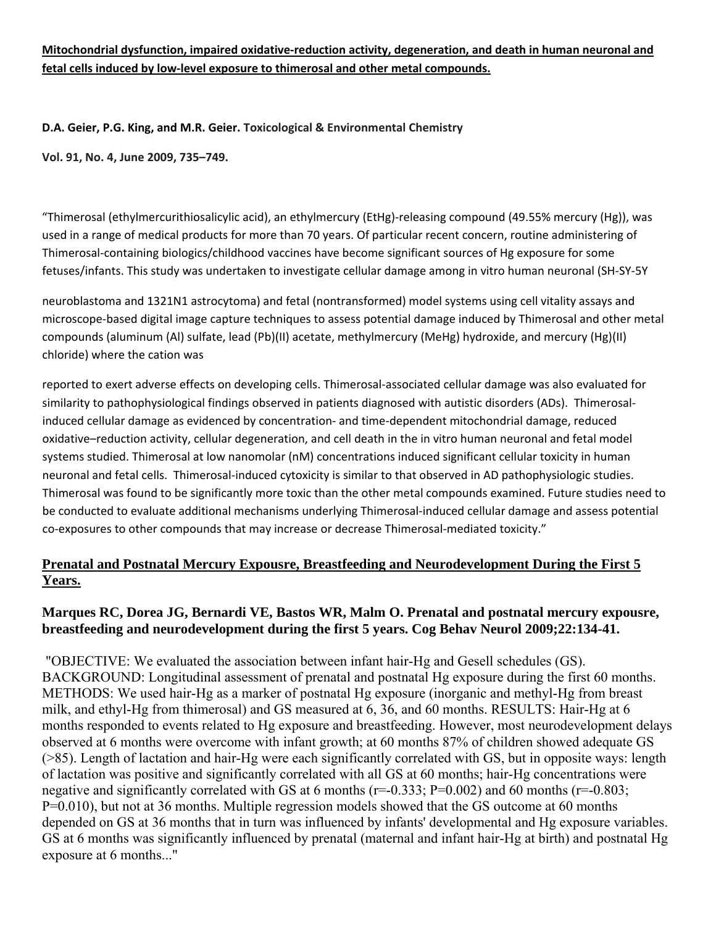#### **Mitochondrial dysfunction, impaired oxidative‐reduction activity, degeneration, and death in human neuronal and fetal cells induced by low‐level exposure to thimerosal and other metal compounds.**

#### **D.A. Geier, P.G. King, and M.R. Geier. Toxicological & Environmental Chemistry**

**Vol. 91, No. 4, June 2009, 735–749.**

"Thimerosal (ethylmercurithiosalicylic acid), an ethylmercury (EtHg)‐releasing compound (49.55% mercury (Hg)), was used in a range of medical products for more than 70 years. Of particular recent concern, routine administering of Thimerosal‐containing biologics/childhood vaccines have become significant sources of Hg exposure for some fetuses/infants. This study was undertaken to investigate cellular damage among in vitro human neuronal (SH‐SY‐5Y

neuroblastoma and 1321N1 astrocytoma) and fetal (nontransformed) model systems using cell vitality assays and microscope‐based digital image capture techniques to assess potential damage induced by Thimerosal and other metal compounds (aluminum (Al) sulfate, lead (Pb)(II) acetate, methylmercury (MeHg) hydroxide, and mercury (Hg)(II) chloride) where the cation was

reported to exert adverse effects on developing cells. Thimerosal‐associated cellular damage was also evaluated for similarity to pathophysiological findings observed in patients diagnosed with autistic disorders (ADs). Thimerosalinduced cellular damage as evidenced by concentration‐ and time‐dependent mitochondrial damage, reduced oxidative–reduction activity, cellular degeneration, and cell death in the in vitro human neuronal and fetal model systems studied. Thimerosal at low nanomolar (nM) concentrations induced significant cellular toxicity in human neuronal and fetal cells. Thimerosal‐induced cytoxicity is similar to that observed in AD pathophysiologic studies. Thimerosal was found to be significantly more toxic than the other metal compounds examined. Future studies need to be conducted to evaluate additional mechanisms underlying Thimerosal-induced cellular damage and assess potential co-exposures to other compounds that may increase or decrease Thimerosal-mediated toxicity."

## **Prenatal and Postnatal Mercury Expousre, Breastfeeding and Neurodevelopment During the First 5 Years.**

## **Marques RC, Dorea JG, Bernardi VE, Bastos WR, Malm O. Prenatal and postnatal mercury expousre, breastfeeding and neurodevelopment during the first 5 years. Cog Behav Neurol 2009;22:134-41.**

 "OBJECTIVE: We evaluated the association between infant hair-Hg and Gesell schedules (GS). BACKGROUND: Longitudinal assessment of prenatal and postnatal Hg exposure during the first 60 months. METHODS: We used hair-Hg as a marker of postnatal Hg exposure (inorganic and methyl-Hg from breast milk, and ethyl-Hg from thimerosal) and GS measured at 6, 36, and 60 months. RESULTS: Hair-Hg at 6 months responded to events related to Hg exposure and breastfeeding. However, most neurodevelopment delays observed at 6 months were overcome with infant growth; at 60 months 87% of children showed adequate GS (>85). Length of lactation and hair-Hg were each significantly correlated with GS, but in opposite ways: length of lactation was positive and significantly correlated with all GS at 60 months; hair-Hg concentrations were negative and significantly correlated with GS at 6 months ( $r=-0.333$ ; P=0.002) and 60 months ( $r=-0.803$ ; P=0.010), but not at 36 months. Multiple regression models showed that the GS outcome at 60 months depended on GS at 36 months that in turn was influenced by infants' developmental and Hg exposure variables. GS at 6 months was significantly influenced by prenatal (maternal and infant hair-Hg at birth) and postnatal Hg exposure at 6 months..."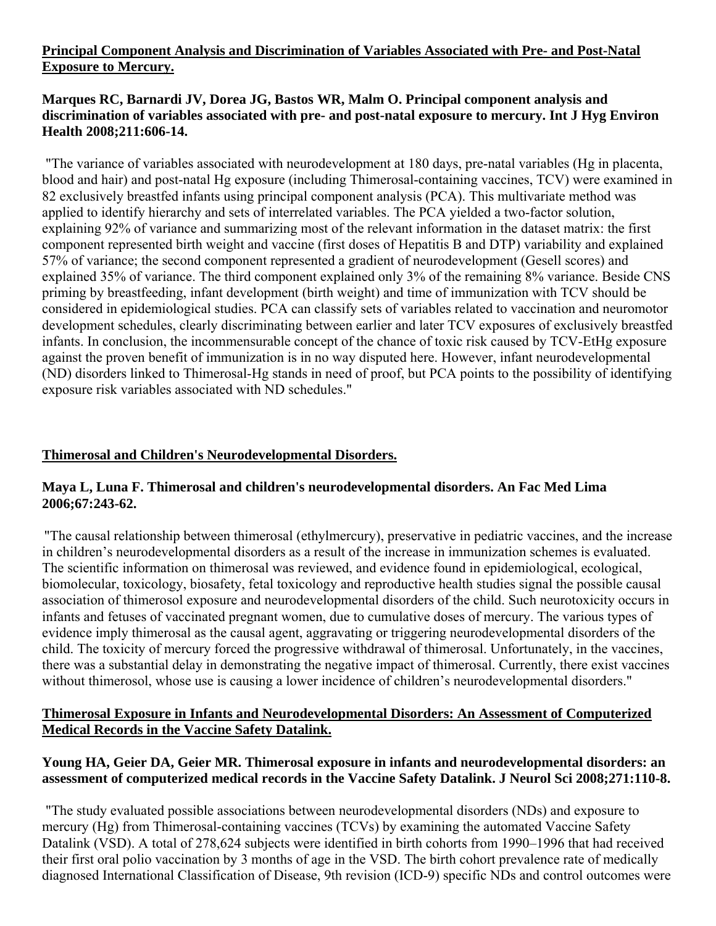#### **Principal Component Analysis and Discrimination of Variables Associated with Pre- and Post-Natal Exposure to Mercury.**

## **Marques RC, Barnardi JV, Dorea JG, Bastos WR, Malm O. Principal component analysis and discrimination of variables associated with pre- and post-natal exposure to mercury. Int J Hyg Environ Health 2008;211:606-14.**

 "The variance of variables associated with neurodevelopment at 180 days, pre-natal variables (Hg in placenta, blood and hair) and post-natal Hg exposure (including Thimerosal-containing vaccines, TCV) were examined in 82 exclusively breastfed infants using principal component analysis (PCA). This multivariate method was applied to identify hierarchy and sets of interrelated variables. The PCA yielded a two-factor solution, explaining 92% of variance and summarizing most of the relevant information in the dataset matrix: the first component represented birth weight and vaccine (first doses of Hepatitis B and DTP) variability and explained 57% of variance; the second component represented a gradient of neurodevelopment (Gesell scores) and explained 35% of variance. The third component explained only 3% of the remaining 8% variance. Beside CNS priming by breastfeeding, infant development (birth weight) and time of immunization with TCV should be considered in epidemiological studies. PCA can classify sets of variables related to vaccination and neuromotor development schedules, clearly discriminating between earlier and later TCV exposures of exclusively breastfed infants. In conclusion, the incommensurable concept of the chance of toxic risk caused by TCV-EtHg exposure against the proven benefit of immunization is in no way disputed here. However, infant neurodevelopmental (ND) disorders linked to Thimerosal-Hg stands in need of proof, but PCA points to the possibility of identifying exposure risk variables associated with ND schedules."

#### **Thimerosal and Children's Neurodevelopmental Disorders.**

#### **Maya L, Luna F. Thimerosal and children's neurodevelopmental disorders. An Fac Med Lima 2006;67:243-62.**

"The causal relationship between thimerosal (ethylmercury), preservative in pediatric vaccines, and the increase in children's neurodevelopmental disorders as a result of the increase in immunization schemes is evaluated. The scientific information on thimerosal was reviewed, and evidence found in epidemiological, ecological, biomolecular, toxicology, biosafety, fetal toxicology and reproductive health studies signal the possible causal association of thimerosol exposure and neurodevelopmental disorders of the child. Such neurotoxicity occurs in infants and fetuses of vaccinated pregnant women, due to cumulative doses of mercury. The various types of evidence imply thimerosal as the causal agent, aggravating or triggering neurodevelopmental disorders of the child. The toxicity of mercury forced the progressive withdrawal of thimerosal. Unfortunately, in the vaccines, there was a substantial delay in demonstrating the negative impact of thimerosal. Currently, there exist vaccines without thimerosol, whose use is causing a lower incidence of children's neurodevelopmental disorders."

#### **Thimerosal Exposure in Infants and Neurodevelopmental Disorders: An Assessment of Computerized Medical Records in the Vaccine Safety Datalink.**

## **Young HA, Geier DA, Geier MR. Thimerosal exposure in infants and neurodevelopmental disorders: an assessment of computerized medical records in the Vaccine Safety Datalink. J Neurol Sci 2008;271:110-8.**

 "The study evaluated possible associations between neurodevelopmental disorders (NDs) and exposure to mercury (Hg) from Thimerosal-containing vaccines (TCVs) by examining the automated Vaccine Safety Datalink (VSD). A total of 278,624 subjects were identified in birth cohorts from 1990–1996 that had received their first oral polio vaccination by 3 months of age in the VSD. The birth cohort prevalence rate of medically diagnosed International Classification of Disease, 9th revision (ICD-9) specific NDs and control outcomes were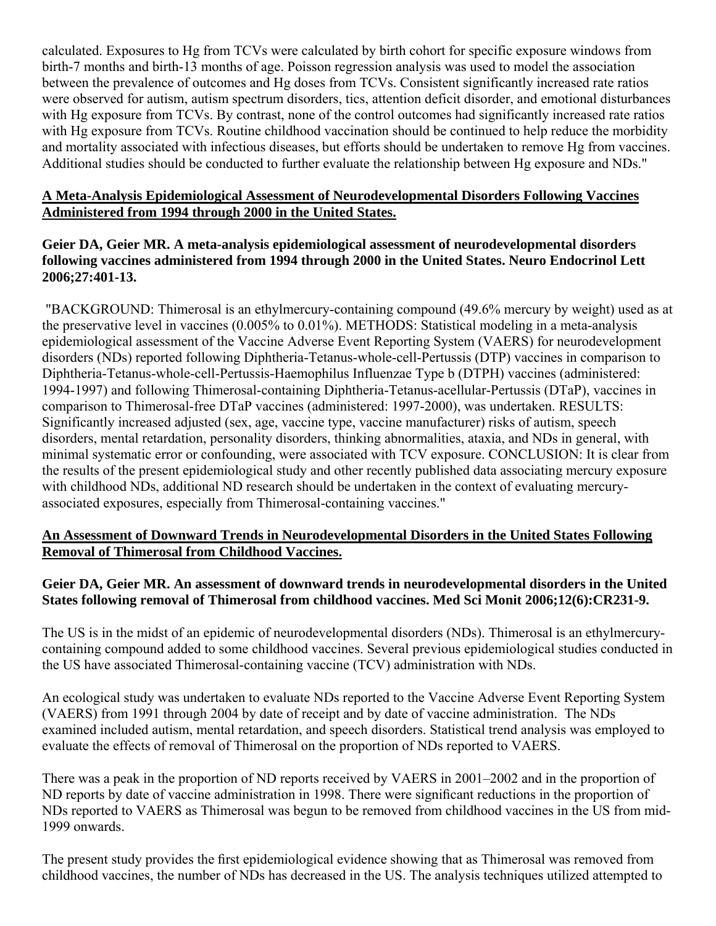calculated. Exposures to Hg from TCVs were calculated by birth cohort for specific exposure windows from birth-7 months and birth-13 months of age. Poisson regression analysis was used to model the association between the prevalence of outcomes and Hg doses from TCVs. Consistent significantly increased rate ratios were observed for autism, autism spectrum disorders, tics, attention deficit disorder, and emotional disturbances with Hg exposure from TCVs. By contrast, none of the control outcomes had significantly increased rate ratios with Hg exposure from TCVs. Routine childhood vaccination should be continued to help reduce the morbidity and mortality associated with infectious diseases, but efforts should be undertaken to remove Hg from vaccines. Additional studies should be conducted to further evaluate the relationship between Hg exposure and NDs."

#### **A Meta-Analysis Epidemiological Assessment of Neurodevelopmental Disorders Following Vaccines Administered from 1994 through 2000 in the United States.**

#### **Geier DA, Geier MR. A meta-analysis epidemiological assessment of neurodevelopmental disorders following vaccines administered from 1994 through 2000 in the United States. Neuro Endocrinol Lett 2006;27:401-13.**

 "BACKGROUND: Thimerosal is an ethylmercury-containing compound (49.6% mercury by weight) used as at the preservative level in vaccines (0.005% to 0.01%). METHODS: Statistical modeling in a meta-analysis epidemiological assessment of the Vaccine Adverse Event Reporting System (VAERS) for neurodevelopment disorders (NDs) reported following Diphtheria-Tetanus-whole-cell-Pertussis (DTP) vaccines in comparison to Diphtheria-Tetanus-whole-cell-Pertussis-Haemophilus Influenzae Type b (DTPH) vaccines (administered: 1994-1997) and following Thimerosal-containing Diphtheria-Tetanus-acellular-Pertussis (DTaP), vaccines in comparison to Thimerosal-free DTaP vaccines (administered: 1997-2000), was undertaken. RESULTS: Significantly increased adjusted (sex, age, vaccine type, vaccine manufacturer) risks of autism, speech disorders, mental retardation, personality disorders, thinking abnormalities, ataxia, and NDs in general, with minimal systematic error or confounding, were associated with TCV exposure. CONCLUSION: It is clear from the results of the present epidemiological study and other recently published data associating mercury exposure with childhood NDs, additional ND research should be undertaken in the context of evaluating mercuryassociated exposures, especially from Thimerosal-containing vaccines."

#### **An Assessment of Downward Trends in Neurodevelopmental Disorders in the United States Following Removal of Thimerosal from Childhood Vaccines.**

## **Geier DA, Geier MR. An assessment of downward trends in neurodevelopmental disorders in the United States following removal of Thimerosal from childhood vaccines. Med Sci Monit 2006;12(6):CR231-9.**

The US is in the midst of an epidemic of neurodevelopmental disorders (NDs). Thimerosal is an ethylmercurycontaining compound added to some childhood vaccines. Several previous epidemiological studies conducted in the US have associated Thimerosal-containing vaccine (TCV) administration with NDs.

An ecological study was undertaken to evaluate NDs reported to the Vaccine Adverse Event Reporting System (VAERS) from 1991 through 2004 by date of receipt and by date of vaccine administration. The NDs examined included autism, mental retardation, and speech disorders. Statistical trend analysis was employed to evaluate the effects of removal of Thimerosal on the proportion of NDs reported to VAERS.

There was a peak in the proportion of ND reports received by VAERS in 2001–2002 and in the proportion of ND reports by date of vaccine administration in 1998. There were significant reductions in the proportion of NDs reported to VAERS as Thimerosal was begun to be removed from childhood vaccines in the US from mid-1999 onwards.

The present study provides the first epidemiological evidence showing that as Thimerosal was removed from childhood vaccines, the number of NDs has decreased in the US. The analysis techniques utilized attempted to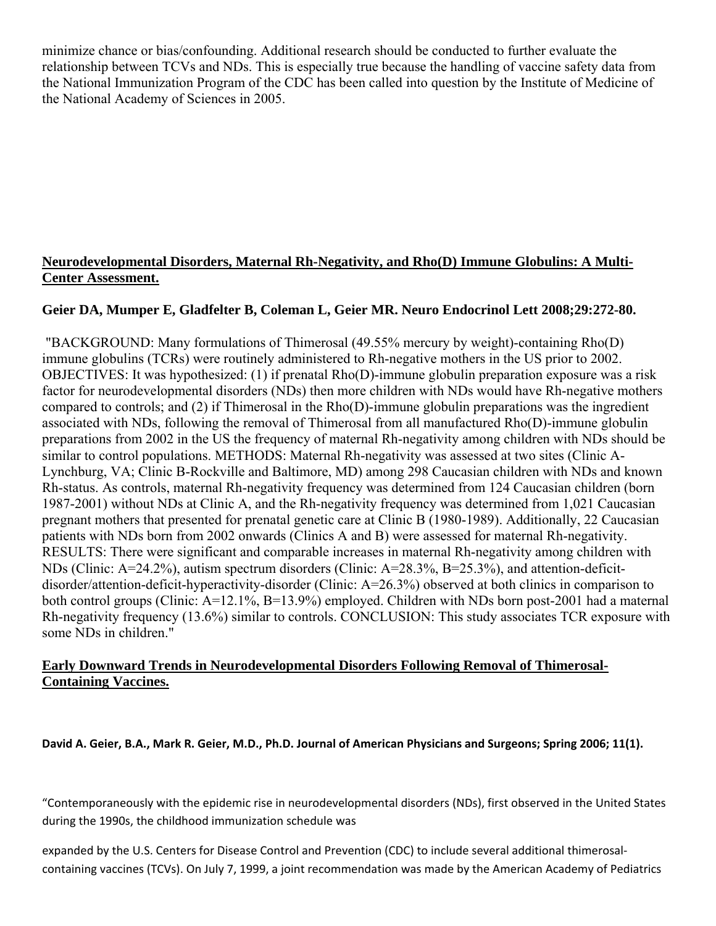minimize chance or bias/confounding. Additional research should be conducted to further evaluate the relationship between TCVs and NDs. This is especially true because the handling of vaccine safety data from the National Immunization Program of the CDC has been called into question by the Institute of Medicine of the National Academy of Sciences in 2005.

## **Neurodevelopmental Disorders, Maternal Rh-Negativity, and Rho(D) Immune Globulins: A Multi-Center Assessment.**

## **Geier DA, Mumper E, Gladfelter B, Coleman L, Geier MR. Neuro Endocrinol Lett 2008;29:272-80.**

 "BACKGROUND: Many formulations of Thimerosal (49.55% mercury by weight)-containing Rho(D) immune globulins (TCRs) were routinely administered to Rh-negative mothers in the US prior to 2002. OBJECTIVES: It was hypothesized: (1) if prenatal Rho(D)-immune globulin preparation exposure was a risk factor for neurodevelopmental disorders (NDs) then more children with NDs would have Rh-negative mothers compared to controls; and (2) if Thimerosal in the Rho(D)-immune globulin preparations was the ingredient associated with NDs, following the removal of Thimerosal from all manufactured Rho(D)-immune globulin preparations from 2002 in the US the frequency of maternal Rh-negativity among children with NDs should be similar to control populations. METHODS: Maternal Rh-negativity was assessed at two sites (Clinic A-Lynchburg, VA; Clinic B-Rockville and Baltimore, MD) among 298 Caucasian children with NDs and known Rh-status. As controls, maternal Rh-negativity frequency was determined from 124 Caucasian children (born 1987-2001) without NDs at Clinic A, and the Rh-negativity frequency was determined from 1,021 Caucasian pregnant mothers that presented for prenatal genetic care at Clinic B (1980-1989). Additionally, 22 Caucasian patients with NDs born from 2002 onwards (Clinics A and B) were assessed for maternal Rh-negativity. RESULTS: There were significant and comparable increases in maternal Rh-negativity among children with NDs (Clinic: A=24.2%), autism spectrum disorders (Clinic: A=28.3%, B=25.3%), and attention-deficitdisorder/attention-deficit-hyperactivity-disorder (Clinic: A=26.3%) observed at both clinics in comparison to both control groups (Clinic: A=12.1%, B=13.9%) employed. Children with NDs born post-2001 had a maternal Rh-negativity frequency (13.6%) similar to controls. CONCLUSION: This study associates TCR exposure with some NDs in children."

#### **Early Downward Trends in Neurodevelopmental Disorders Following Removal of Thimerosal-Containing Vaccines.**

David A. Geier, B.A., Mark R. Geier, M.D., Ph.D. Journal of American Physicians and Surgeons; Spring 2006; 11(1).

"Contemporaneously with the epidemic rise in neurodevelopmental disorders (NDs), first observed in the United States during the 1990s, the childhood immunization schedule was

expanded by the U.S. Centers for Disease Control and Prevention (CDC) to include several additional thimerosalcontaining vaccines (TCVs). On July 7, 1999, a joint recommendation was made by the American Academy of Pediatrics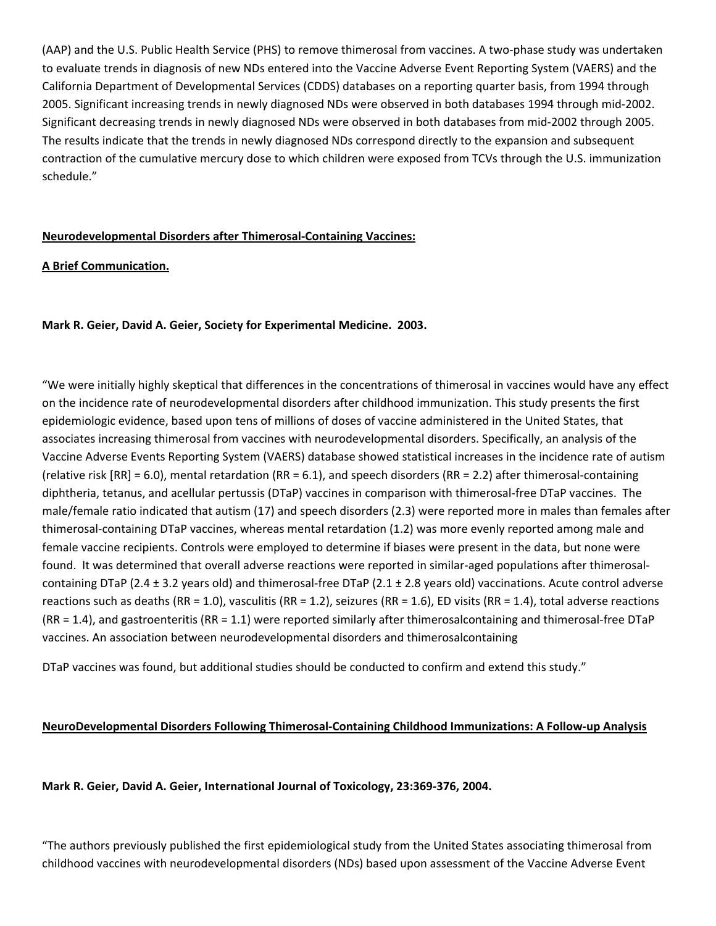(AAP) and the U.S. Public Health Service (PHS) to remove thimerosal from vaccines. A two‐phase study was undertaken to evaluate trends in diagnosis of new NDs entered into the Vaccine Adverse Event Reporting System (VAERS) and the California Department of Developmental Services (CDDS) databases on a reporting quarter basis, from 1994 through 2005. Significant increasing trends in newly diagnosed NDs were observed in both databases 1994 through mid‐2002. Significant decreasing trends in newly diagnosed NDs were observed in both databases from mid‐2002 through 2005. The results indicate that the trends in newly diagnosed NDs correspond directly to the expansion and subsequent contraction of the cumulative mercury dose to which children were exposed from TCVs through the U.S. immunization schedule."

#### **Neurodevelopmental Disorders after Thimerosal‐Containing Vaccines:**

#### **A Brief Communication.**

#### **Mark R. Geier, David A. Geier, Society for Experimental Medicine. 2003.**

"We were initially highly skeptical that differences in the concentrations of thimerosal in vaccines would have any effect on the incidence rate of neurodevelopmental disorders after childhood immunization. This study presents the first epidemiologic evidence, based upon tens of millions of doses of vaccine administered in the United States, that associates increasing thimerosal from vaccines with neurodevelopmental disorders. Specifically, an analysis of the Vaccine Adverse Events Reporting System (VAERS) database showed statistical increases in the incidence rate of autism (relative risk  $[RR] = 6.0$ ), mental retardation  $(RR = 6.1)$ , and speech disorders  $(RR = 2.2)$  after thimerosal-containing diphtheria, tetanus, and acellular pertussis (DTaP) vaccines in comparison with thimerosal‐free DTaP vaccines. The male/female ratio indicated that autism (17) and speech disorders (2.3) were reported more in males than females after thimerosal‐containing DTaP vaccines, whereas mental retardation (1.2) was more evenly reported among male and female vaccine recipients. Controls were employed to determine if biases were present in the data, but none were found. It was determined that overall adverse reactions were reported in similar-aged populations after thimerosalcontaining DTaP (2.4  $\pm$  3.2 years old) and thimerosal-free DTaP (2.1  $\pm$  2.8 years old) vaccinations. Acute control adverse reactions such as deaths (RR = 1.0), vasculitis (RR = 1.2), seizures (RR = 1.6), ED visits (RR = 1.4), total adverse reactions  $(RR = 1.4)$ , and gastroenteritis  $(RR = 1.1)$  were reported similarly after thimerosalcontaining and thimerosal-free DTaP vaccines. An association between neurodevelopmental disorders and thimerosalcontaining

DTaP vaccines was found, but additional studies should be conducted to confirm and extend this study."

#### **NeuroDevelopmental Disorders Following Thimerosal‐Containing Childhood Immunizations: A Follow‐up Analysis**

**Mark R. Geier, David A. Geier, International Journal of Toxicology, 23:369‐376, 2004.**

"The authors previously published the first epidemiological study from the United States associating thimerosal from childhood vaccines with neurodevelopmental disorders (NDs) based upon assessment of the Vaccine Adverse Event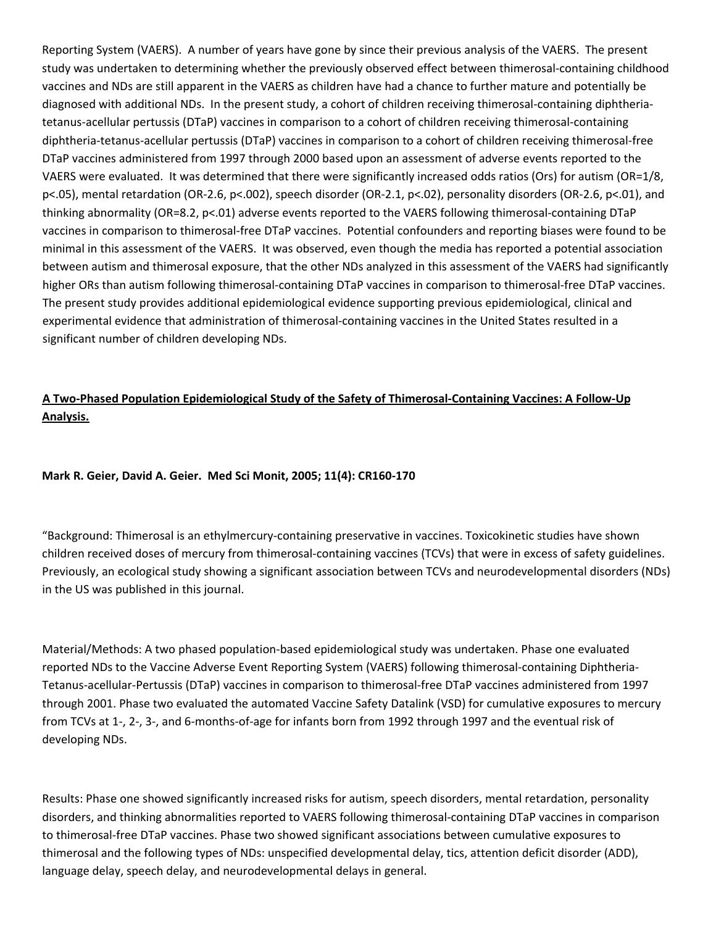Reporting System (VAERS). A number of years have gone by since their previous analysis of the VAERS. The present study was undertaken to determining whether the previously observed effect between thimerosal‐containing childhood vaccines and NDs are still apparent in the VAERS as children have had a chance to further mature and potentially be diagnosed with additional NDs. In the present study, a cohort of children receiving thimerosal‐containing diphtheria‐ tetanus‐acellular pertussis (DTaP) vaccines in comparison to a cohort of children receiving thimerosal‐containing diphtheria‐tetanus‐acellular pertussis (DTaP) vaccines in comparison to a cohort of children receiving thimerosal‐free DTaP vaccines administered from 1997 through 2000 based upon an assessment of adverse events reported to the VAERS were evaluated. It was determined that there were significantly increased odds ratios (Ors) for autism (OR=1/8, p<.05), mental retardation (OR‐2.6, p<.002), speech disorder (OR‐2.1, p<.02), personality disorders (OR‐2.6, p<.01), and thinking abnormality (OR=8.2, p<.01) adverse events reported to the VAERS following thimerosal‐containing DTaP vaccines in comparison to thimerosal‐free DTaP vaccines. Potential confounders and reporting biases were found to be minimal in this assessment of the VAERS. It was observed, even though the media has reported a potential association between autism and thimerosal exposure, that the other NDs analyzed in this assessment of the VAERS had significantly higher ORs than autism following thimerosal-containing DTaP vaccines in comparison to thimerosal-free DTaP vaccines. The present study provides additional epidemiological evidence supporting previous epidemiological, clinical and experimental evidence that administration of thimerosal‐containing vaccines in the United States resulted in a significant number of children developing NDs.

## A Two-Phased Population Epidemiological Study of the Safety of Thimerosal-Containing Vaccines: A Follow-Up **Analysis.**

#### **Mark R. Geier, David A. Geier. Med Sci Monit, 2005; 11(4): CR160‐170**

"Background: Thimerosal is an ethylmercury‐containing preservative in vaccines. Toxicokinetic studies have shown children received doses of mercury from thimerosal‐containing vaccines (TCVs) that were in excess of safety guidelines. Previously, an ecological study showing a significant association between TCVs and neurodevelopmental disorders (NDs) in the US was published in this journal.

Material/Methods: A two phased population‐based epidemiological study was undertaken. Phase one evaluated reported NDs to the Vaccine Adverse Event Reporting System (VAERS) following thimerosal‐containing Diphtheria‐ Tetanus‐acellular‐Pertussis (DTaP) vaccines in comparison to thimerosal‐free DTaP vaccines administered from 1997 through 2001. Phase two evaluated the automated Vaccine Safety Datalink (VSD) for cumulative exposures to mercury from TCVs at 1‐, 2‐, 3‐, and 6‐months‐of‐age for infants born from 1992 through 1997 and the eventual risk of developing NDs.

Results: Phase one showed significantly increased risks for autism, speech disorders, mental retardation, personality disorders, and thinking abnormalities reported to VAERS following thimerosal‐containing DTaP vaccines in comparison to thimerosal‐free DTaP vaccines. Phase two showed significant associations between cumulative exposures to thimerosal and the following types of NDs: unspecified developmental delay, tics, attention deficit disorder (ADD), language delay, speech delay, and neurodevelopmental delays in general.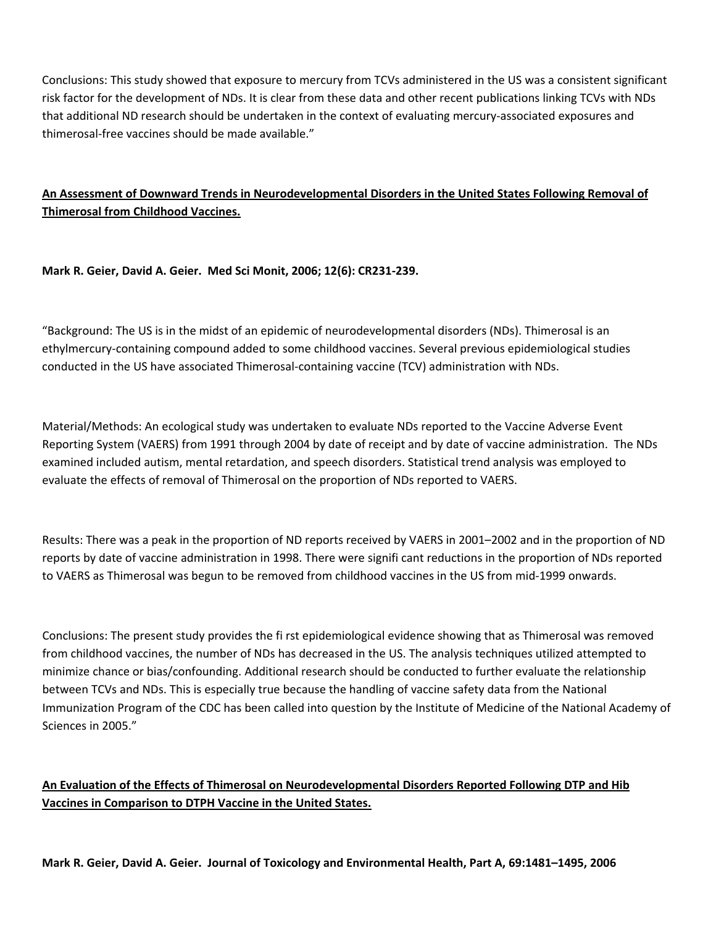Conclusions: This study showed that exposure to mercury from TCVs administered in the US was a consistent significant risk factor for the development of NDs. It is clear from these data and other recent publications linking TCVs with NDs that additional ND research should be undertaken in the context of evaluating mercury‐associated exposures and thimerosal‐free vaccines should be made available."

## **An Assessment of Downward Trends in Neurodevelopmental Disorders in the United States Following Removal of Thimerosal from Childhood Vaccines.**

**Mark R. Geier, David A. Geier. Med Sci Monit, 2006; 12(6): CR231‐239.**

"Background: The US is in the midst of an epidemic of neurodevelopmental disorders (NDs). Thimerosal is an ethylmercury‐containing compound added to some childhood vaccines. Several previous epidemiological studies conducted in the US have associated Thimerosal‐containing vaccine (TCV) administration with NDs.

Material/Methods: An ecological study was undertaken to evaluate NDs reported to the Vaccine Adverse Event Reporting System (VAERS) from 1991 through 2004 by date of receipt and by date of vaccine administration. The NDs examined included autism, mental retardation, and speech disorders. Statistical trend analysis was employed to evaluate the effects of removal of Thimerosal on the proportion of NDs reported to VAERS.

Results: There was a peak in the proportion of ND reports received by VAERS in 2001–2002 and in the proportion of ND reports by date of vaccine administration in 1998. There were signifi cant reductions in the proportion of NDs reported to VAERS as Thimerosal was begun to be removed from childhood vaccines in the US from mid‐1999 onwards.

Conclusions: The present study provides the fi rst epidemiological evidence showing that as Thimerosal was removed from childhood vaccines, the number of NDs has decreased in the US. The analysis techniques utilized attempted to minimize chance or bias/confounding. Additional research should be conducted to further evaluate the relationship between TCVs and NDs. This is especially true because the handling of vaccine safety data from the National Immunization Program of the CDC has been called into question by the Institute of Medicine of the National Academy of Sciences in 2005."

## **An Evaluation of the Effects of Thimerosal on Neurodevelopmental Disorders Reported Following DTP and Hib Vaccines in Comparison to DTPH Vaccine in the United States.**

Mark R. Geier, David A. Geier. Journal of Toxicology and Environmental Health, Part A, 69:1481-1495, 2006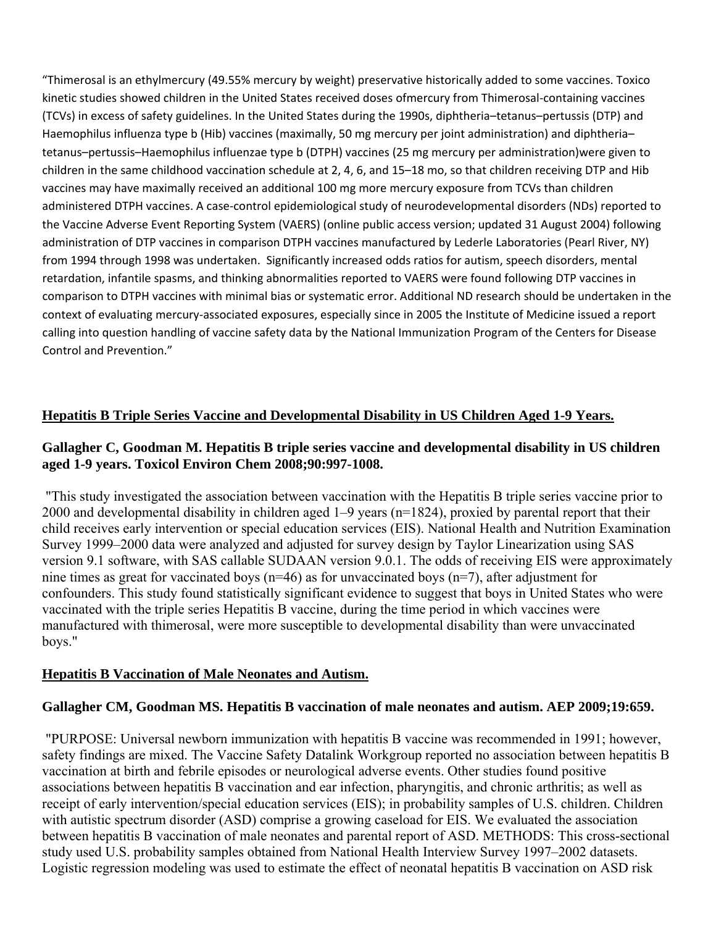"Thimerosal is an ethylmercury (49.55% mercury by weight) preservative historically added to some vaccines. Toxico kinetic studies showed children in the United States received doses ofmercury from Thimerosal‐containing vaccines (TCVs) in excess of safety guidelines. In the United States during the 1990s, diphtheria–tetanus–pertussis (DTP) and Haemophilus influenza type b (Hib) vaccines (maximally, 50 mg mercury per joint administration) and diphtheria– tetanus–pertussis–Haemophilus influenzae type b (DTPH) vaccines (25 mg mercury per administration)were given to children in the same childhood vaccination schedule at 2, 4, 6, and 15–18 mo, so that children receiving DTP and Hib vaccines may have maximally received an additional 100 mg more mercury exposure from TCVs than children administered DTPH vaccines. A case‐control epidemiological study of neurodevelopmental disorders (NDs) reported to the Vaccine Adverse Event Reporting System (VAERS) (online public access version; updated 31 August 2004) following administration of DTP vaccines in comparison DTPH vaccines manufactured by Lederle Laboratories (Pearl River, NY) from 1994 through 1998 was undertaken. Significantly increased odds ratios for autism, speech disorders, mental retardation, infantile spasms, and thinking abnormalities reported to VAERS were found following DTP vaccines in comparison to DTPH vaccines with minimal bias or systematic error. Additional ND research should be undertaken in the context of evaluating mercury‐associated exposures, especially since in 2005 the Institute of Medicine issued a report calling into question handling of vaccine safety data by the National Immunization Program of the Centers for Disease Control and Prevention."

#### **Hepatitis B Triple Series Vaccine and Developmental Disability in US Children Aged 1-9 Years.**

#### **Gallagher C, Goodman M. Hepatitis B triple series vaccine and developmental disability in US children aged 1-9 years. Toxicol Environ Chem 2008;90:997-1008.**

 "This study investigated the association between vaccination with the Hepatitis B triple series vaccine prior to 2000 and developmental disability in children aged 1–9 years (n=1824), proxied by parental report that their child receives early intervention or special education services (EIS). National Health and Nutrition Examination Survey 1999–2000 data were analyzed and adjusted for survey design by Taylor Linearization using SAS version 9.1 software, with SAS callable SUDAAN version 9.0.1. The odds of receiving EIS were approximately nine times as great for vaccinated boys (n=46) as for unvaccinated boys (n=7), after adjustment for confounders. This study found statistically significant evidence to suggest that boys in United States who were vaccinated with the triple series Hepatitis B vaccine, during the time period in which vaccines were manufactured with thimerosal, were more susceptible to developmental disability than were unvaccinated boys."

#### **Hepatitis B Vaccination of Male Neonates and Autism.**

#### **Gallagher CM, Goodman MS. Hepatitis B vaccination of male neonates and autism. AEP 2009;19:659.**

 "PURPOSE: Universal newborn immunization with hepatitis B vaccine was recommended in 1991; however, safety findings are mixed. The Vaccine Safety Datalink Workgroup reported no association between hepatitis B vaccination at birth and febrile episodes or neurological adverse events. Other studies found positive associations between hepatitis B vaccination and ear infection, pharyngitis, and chronic arthritis; as well as receipt of early intervention/special education services (EIS); in probability samples of U.S. children. Children with autistic spectrum disorder (ASD) comprise a growing caseload for EIS. We evaluated the association between hepatitis B vaccination of male neonates and parental report of ASD. METHODS: This cross-sectional study used U.S. probability samples obtained from National Health Interview Survey 1997–2002 datasets. Logistic regression modeling was used to estimate the effect of neonatal hepatitis B vaccination on ASD risk